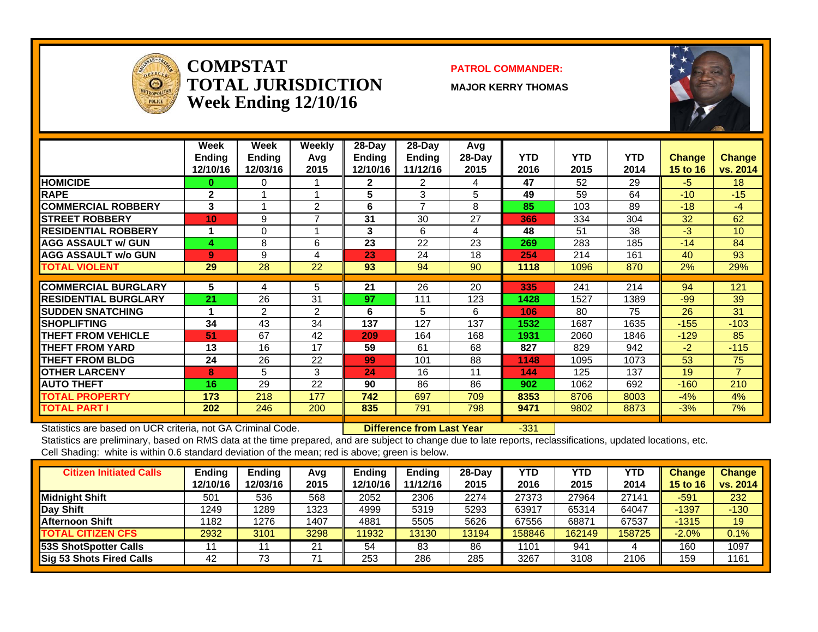

#### **COMPSTATTOTAL JURISDICTIONWeek Ending 12/10/16**

#### **PATROL COMMANDER:**

**MAJOR KERRY THOMAS**



|                             | Week<br><b>Ending</b><br>12/10/16 | Week<br><b>Ending</b><br>12/03/16 | Weekly<br>Avg<br>2015 | $28$ -Day<br><b>Ending</b><br>12/10/16 | $28$ -Day<br><b>Ending</b><br>11/12/16 | Avg<br>$28-Day$<br>2015 | <b>YTD</b><br>2016 | <b>YTD</b><br>2015 | <b>YTD</b><br>2014 | <b>Change</b><br>15 to 16 | <b>Change</b><br>vs. 2014 |
|-----------------------------|-----------------------------------|-----------------------------------|-----------------------|----------------------------------------|----------------------------------------|-------------------------|--------------------|--------------------|--------------------|---------------------------|---------------------------|
| <b>HOMICIDE</b>             | $\bf{0}$                          | 0                                 |                       | 2                                      | 2                                      | 4                       | 47                 | 52                 | 29                 | $-5$                      | 18                        |
| <b>RAPE</b>                 | $\mathbf{2}$                      |                                   |                       | 5                                      | 3                                      | 5                       | 49                 | 59                 | 64                 | $-10$                     | $-15$                     |
| <b>COMMERCIAL ROBBERY</b>   | 3                                 |                                   | $\mathcal{P}$         | 6                                      | 7                                      | 8                       | 85                 | 103                | 89                 | $-18$                     | -4                        |
| <b>STREET ROBBERY</b>       | 10                                | 9                                 | $\overline{ }$        | 31                                     | 30                                     | 27                      | 366                | 334                | 304                | 32                        | 62                        |
| <b>RESIDENTIAL ROBBERY</b>  |                                   | $\Omega$                          |                       | 3                                      | 6                                      | 4                       | 48                 | 51                 | 38                 | $-3$                      | 10                        |
| <b>AGG ASSAULT w/ GUN</b>   | 4                                 | 8                                 | 6                     | 23                                     | 22                                     | 23                      | 269                | 283                | 185                | $-14$                     | 84                        |
| <b>AGG ASSAULT w/o GUN</b>  | 9                                 | 9                                 | 4                     | 23                                     | 24                                     | 18                      | 254                | 214                | 161                | 40                        | 93                        |
| <b>TOTAL VIOLENT</b>        | 29                                | 28                                | 22                    | 93                                     | 94                                     | 90                      | 1118               | 1096               | 870                | 2%                        | 29%                       |
| <b>ICOMMERCIAL BURGLARY</b> | 5                                 | 4                                 | 5                     | 21                                     | 26                                     | 20                      | 335                | 241                | 214                | 94                        | 121                       |
| <b>RESIDENTIAL BURGLARY</b> | 21                                | 26                                | 31                    | 97                                     | 111                                    | 123                     | 1428               | 1527               | 1389               | $-99$                     | 39                        |
| <b>SUDDEN SNATCHING</b>     |                                   | 2                                 | 2                     | 6                                      | 5                                      | 6                       | 106                | 80                 | 75                 | 26                        | 31                        |
| <b>ISHOPLIFTING</b>         | 34                                | 43                                | 34                    | 137                                    | 127                                    | 137                     | 1532               | 1687               | 1635               | $-155$                    | $-103$                    |
| <b>THEFT FROM VEHICLE</b>   | 51                                | 67                                | 42                    | 209                                    | 164                                    | 168                     | 1931               | 2060               | 1846               | $-129$                    | 85                        |
| <b>THEFT FROM YARD</b>      | 13                                | 16                                | 17                    | 59                                     | 61                                     | 68                      | 827                | 829                | 942                | $-2$                      | $-115$                    |
| <b>THEFT FROM BLDG</b>      | 24                                | 26                                | 22                    | 99                                     | 101                                    | 88                      | 1148               | 1095               | 1073               | 53                        | 75                        |
| <b>OTHER LARCENY</b>        | 8                                 | 5                                 | 3                     | 24                                     | 16                                     | 11                      | 144                | 125                | 137                | 19                        | $\overline{7}$            |
| <b>AUTO THEFT</b>           | 16                                | 29                                | 22                    | 90                                     | 86                                     | 86                      | 902                | 1062               | 692                | $-160$                    | 210                       |
| <b>TOTAL PROPERTY</b>       | 173                               | 218                               | 177                   | 742                                    | 697                                    | 709                     | 8353               | 8706               | 8003               | $-4%$                     | 4%                        |
| <b>TOTAL PART I</b>         | 202                               | 246                               | 200                   | 835                                    | 791                                    | 798                     | 9471               | 9802               | 8873               | $-3%$                     | 7%                        |

Statistics are based on UCR criteria, not GA Criminal Code. **Difference from Last Year** -331

| <b>Citizen Initiated Calls</b>  | <b>Ending</b><br>12/10/16 | <b>Ending</b><br>12/03/16 | Avg<br>2015 | Endina<br>2/10/16 | Ending<br>11/12/16 | $28-Dav$<br>2015 | YTD<br>2016 | YTD<br>2015 | YTD<br>2014 | <b>Change</b><br>15 to 16 | <b>Change</b><br>vs. 2014 |
|---------------------------------|---------------------------|---------------------------|-------------|-------------------|--------------------|------------------|-------------|-------------|-------------|---------------------------|---------------------------|
| <b>Midnight Shift</b>           | 501                       | 536                       | 568         | 2052              | 2306               | 2274             | 27373       | 27964       | 27141       | $-591$                    | 232                       |
| <b>Day Shift</b>                | 1249                      | 1289                      | 1323        | 4999              | 5319               | 5293             | 63917       | 65314       | 64047       | $-1397$                   | $-130$                    |
| <b>Afternoon Shift</b>          | 1182                      | 1276                      | 1407        | 4881              | 5505               | 5626             | 67556       | 68871       | 67537       | $-1315$                   | 19                        |
| <b>TOTAL CITIZEN CFS</b>        | 2932                      | 3101                      | 3298        | 11932             | 13130              | 13194            | 158846      | 162149      | 158725      | $-2.0%$                   | 0.1%                      |
| 53S ShotSpotter Calls           |                           |                           | 21          | 54                | 83                 | 86               | 1101        | 941         |             | 160                       | 1097                      |
| <b>Sig 53 Shots Fired Calls</b> | 42                        | 73                        |             | 253               | 286                | 285              | 3267        | 3108        | 2106        | 159                       | 1161                      |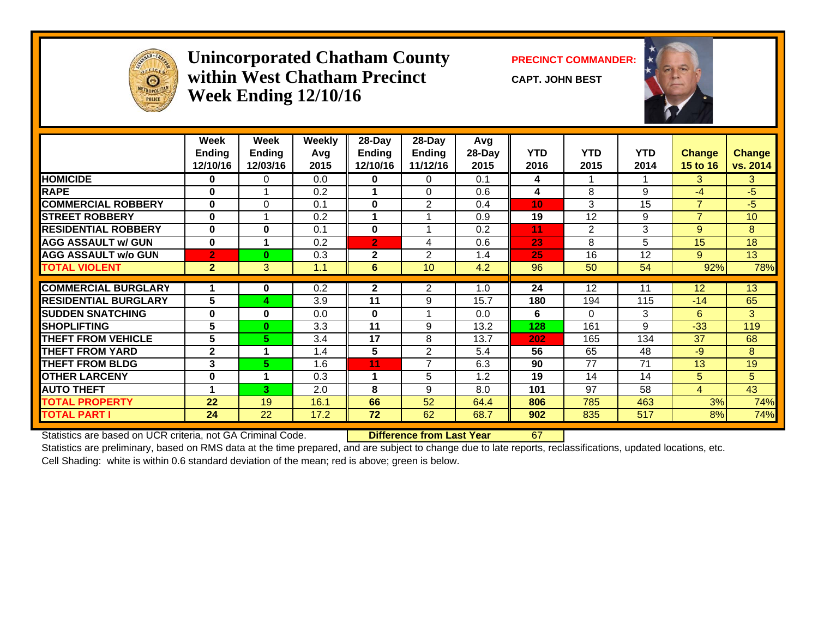

#### **Unincorporated Chatham County PRECINCT COMMANDER: within West Chatham PrecinctWeek Ending 12/10/16**

**CAPT. JOHN BEST**



|                             | Week<br><b>Ending</b><br>12/10/16 | Week<br><b>Ending</b><br>12/03/16 | Weekly<br>Avg<br>2015 | 28-Day<br><b>Ending</b><br>12/10/16 | 28-Day<br>Ending<br>11/12/16 | Avg<br>28-Day<br>2015 | <b>YTD</b><br>2016 | <b>YTD</b><br>2015 | <b>YTD</b><br>2014 | <b>Change</b><br>15 to 16 | <b>Change</b><br>vs. 2014 |
|-----------------------------|-----------------------------------|-----------------------------------|-----------------------|-------------------------------------|------------------------------|-----------------------|--------------------|--------------------|--------------------|---------------------------|---------------------------|
| <b>HOMICIDE</b>             | 0                                 | $\Omega$                          | 0.0                   | $\mathbf{0}$                        | $\Omega$                     | 0.1                   | 4                  |                    |                    | 3                         | 3                         |
| <b>RAPE</b>                 | 0                                 |                                   | 0.2                   |                                     | $\Omega$                     | 0.6                   | 4                  | 8                  | 9                  | $-4$                      | $-5$                      |
| <b>COMMERCIAL ROBBERY</b>   | 0                                 | $\Omega$                          | 0.1                   | $\mathbf{0}$                        | 2                            | 0.4                   | 10 <sub>1</sub>    | 3                  | 15                 | $\overline{7}$            | $-5$                      |
| <b>STREET ROBBERY</b>       | $\bf{0}$                          |                                   | 0.2                   |                                     |                              | 0.9                   | 19                 | 12                 | 9                  | $\overline{7}$            | 10                        |
| <b>RESIDENTIAL ROBBERY</b>  | $\bf{0}$                          | $\bf{0}$                          | 0.1                   | $\bf{0}$                            |                              | 0.2                   | 11                 | $\overline{2}$     | 3                  | 9                         | 8                         |
| <b>AGG ASSAULT w/ GUN</b>   | $\bf{0}$                          |                                   | 0.2                   | l2,                                 | 4                            | 0.6                   | 23                 | 8                  | 5                  | 15                        | 18                        |
| <b>AGG ASSAULT w/o GUN</b>  | $\overline{2}$                    | $\bf{0}$                          | 0.3                   | $\mathbf{2}$                        | 2                            | 1.4                   | 25                 | 16                 | 12                 | 9                         | 13                        |
| <b>TOTAL VIOLENT</b>        | 2 <sup>1</sup>                    | 3                                 | 1.1                   | 6                                   | 10                           | 4.2                   | 96                 | 50                 | 54                 | 92%                       | 78%                       |
|                             |                                   |                                   |                       |                                     |                              |                       |                    |                    |                    |                           |                           |
| <b>COMMERCIAL BURGLARY</b>  |                                   | 0                                 | 0.2                   | $\mathbf{2}$                        | $\overline{2}$               | 1.0                   | 24                 | 12                 | 11                 | 12                        | 13                        |
| <b>RESIDENTIAL BURGLARY</b> | 5                                 | 4                                 | 3.9                   | 11                                  | 9                            | 15.7                  | 180                | 194                | 115                | $-14$                     | 65                        |
| <b>SUDDEN SNATCHING</b>     | $\bf{0}$                          | $\bf{0}$                          | 0.0                   | $\mathbf{0}$                        |                              | 0.0                   | 6                  | $\Omega$           | 3                  | 6                         | 3                         |
| <b>SHOPLIFTING</b>          | 5                                 | $\bf{0}$                          | 3.3                   | 11                                  | 9                            | 13.2                  | 128                | 161                | 9                  | $-33$                     | 119                       |
| <b>THEFT FROM VEHICLE</b>   | 5                                 | 5                                 | 3.4                   | 17                                  | 8                            | 13.7                  | 202                | 165                | 134                | 37                        | 68                        |
| <b>THEFT FROM YARD</b>      | $\mathbf{2}$                      |                                   | 1.4                   | 5                                   | 2                            | 5.4                   | 56                 | 65                 | 48                 | $-9$                      | 8                         |
| <b>THEFT FROM BLDG</b>      | 3                                 | 5                                 | 1.6                   | 11                                  | $\overline{7}$               | 6.3                   | 90                 | 77                 | 71                 | 13                        | 19                        |
| <b>OTHER LARCENY</b>        | $\bf{0}$                          |                                   | 0.3                   | 1                                   | 5                            | 1.2                   | 19                 | 14                 | 14                 | 5                         | 5                         |
| <b>AUTO THEFT</b>           | 4                                 | 3                                 | 2.0                   | 8                                   | 9                            | 8.0                   | 101                | 97                 | 58                 | $\overline{4}$            | 43                        |
| <b>TOTAL PROPERTY</b>       | 22                                | 19                                | 16.1                  | 66                                  | 52                           | 64.4                  | 806                | 785                | 463                | 3%                        | 74%                       |
| <b>TOTAL PART I</b>         | 24                                | 22                                | 17.2                  | 72                                  | 62                           | 68.7                  | 902                | 835                | 517                | 8%                        | 74%                       |

Statistics are based on UCR criteria, not GA Criminal Code. **Difference from Last Year** 67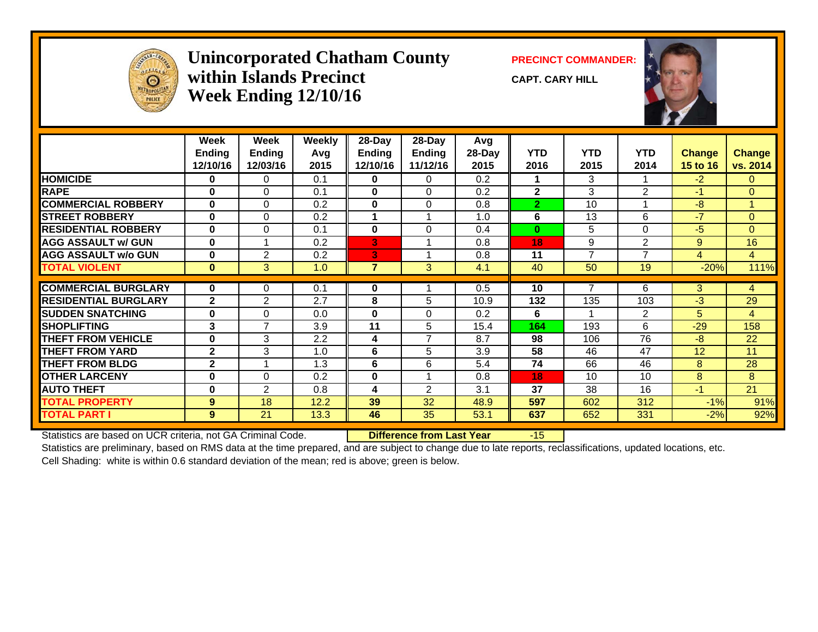

#### **Unincorporated Chatham County PRECINCT COMMANDER: within Islands PrecinctWeek Ending 12/10/16**

**CAPT. CARY HILL**



|                             | Week           | Week           | Weekly | 28-Day         | 28-Day         | Avg    |                |                          |                |                |                |
|-----------------------------|----------------|----------------|--------|----------------|----------------|--------|----------------|--------------------------|----------------|----------------|----------------|
|                             | <b>Ending</b>  | <b>Ending</b>  | Avg    | <b>Ending</b>  | <b>Ending</b>  | 28-Day | <b>YTD</b>     | <b>YTD</b>               | <b>YTD</b>     | Change         | <b>Change</b>  |
|                             | 12/10/16       | 12/03/16       | 2015   | 12/10/16       | 11/12/16       | 2015   | 2016           | 2015                     | 2014           | 15 to 16       | vs. 2014       |
| <b>HOMICIDE</b>             | 0              | 0              | 0.1    | 0              | 0              | 0.2    |                | 3                        |                | $-2$           | $\overline{0}$ |
| <b>RAPE</b>                 | $\bf{0}$       | $\Omega$       | 0.1    | $\mathbf{0}$   | $\Omega$       | 0.2    | $\overline{2}$ | 3                        | 2              | $-1$           | $\Omega$       |
| <b>COMMERCIAL ROBBERY</b>   | $\bf{0}$       | $\Omega$       | 0.2    | $\mathbf{0}$   | $\Omega$       | 0.8    | $\overline{2}$ | 10                       |                | $-8$           |                |
| <b>STREET ROBBERY</b>       | $\bf{0}$       | $\Omega$       | 0.2    |                |                | 1.0    | 6              | 13                       | 6              | $-7$           | $\mathbf{0}$   |
| <b>RESIDENTIAL ROBBERY</b>  | 0              | $\Omega$       | 0.1    | $\mathbf{0}$   | 0              | 0.4    | $\bf{0}$       | 5                        | $\Omega$       | $-5$           | $\Omega$       |
| <b>AGG ASSAULT w/ GUN</b>   | 0              |                | 0.2    | 3              |                | 0.8    | 18             | 9                        | 2              | 9              | 16             |
| <b>AGG ASSAULT w/o GUN</b>  | $\bf{0}$       | 2              | 0.2    | 3              |                | 0.8    | 11             | $\overline{7}$           | $\overline{7}$ | $\overline{4}$ | $\overline{4}$ |
| <b>TOTAL VIOLENT</b>        | $\bf{0}$       | 3              | 1.0    | $\overline{7}$ | 3              | 4.1    | 40             | 50                       | 19             | $-20%$         | 111%           |
| <b>COMMERCIAL BURGLARY</b>  | 0              | 0              | 0.1    | 0              |                | 0.5    | 10             |                          | 6              | 3              |                |
|                             |                |                |        |                |                |        |                |                          |                |                | $\overline{4}$ |
| <b>RESIDENTIAL BURGLARY</b> | $\overline{2}$ | 2              | 2.7    | 8              | 5              | 10.9   | 132            | 135                      | 103            | $-3$           | 29             |
| <b>SUDDEN SNATCHING</b>     | 0              | 0              | 0.0    | 0              | 0              | 0.2    | 6              | $\overline{\phantom{a}}$ | 2              | 5              | $\overline{4}$ |
| <b>SHOPLIFTING</b>          | 3              | $\overline{7}$ | 3.9    | 11             | 5              | 15.4   | 164            | 193                      | 6              | $-29$          | 158            |
| <b>THEFT FROM VEHICLE</b>   | $\bf{0}$       | 3              | 2.2    | 4              | $\overline{7}$ | 8.7    | 98             | 106                      | 76             | $-8$           | 22             |
| <b>THEFT FROM YARD</b>      | $\mathbf{2}$   | 3              | 1.0    | 6              | 5              | 3.9    | 58             | 46                       | 47             | 12             | 11             |
| <b>THEFT FROM BLDG</b>      | $\mathbf{2}$   |                | 1.3    | 6              | 6              | 5.4    | 74             | 66                       | 46             | 8              | 28             |
| <b>OTHER LARCENY</b>        | 0              | $\Omega$       | 0.2    | 0              |                | 0.8    | 18             | 10                       | 10             | 8              | 8              |
| <b>AUTO THEFT</b>           | 0              | 2              | 0.8    | 4              | $\overline{2}$ | 3.1    | 37             | 38                       | 16             | $-1$           | 21             |
| <b>TOTAL PROPERTY</b>       | 9              | 18             | 12.2   | 39             | 32             | 48.9   | 597            | 602                      | 312            | $-1%$          | 91%            |
| <b>TOTAL PART I</b>         | $9^{\circ}$    | 21             | 13.3   | 46             | 35             | 53.1   | 637            | 652                      | 331            | $-2%$          | 92%            |

Statistics are based on UCR criteria, not GA Criminal Code. **Difference from Last Year** -15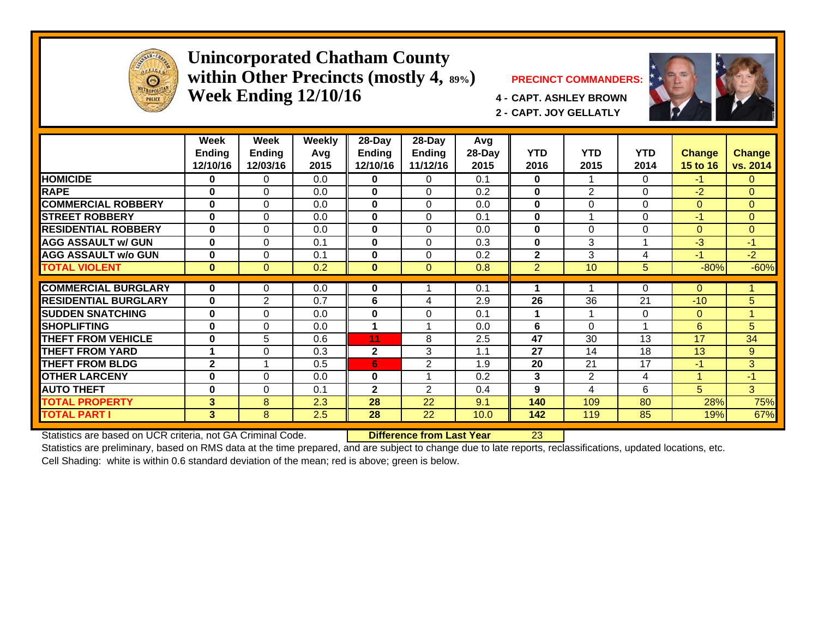

#### **Unincorporated Chatham County within Other Precincts (mostly 4, 89%) PRECINCT COMMANDERS: Week Ending 12/10/16 4 - CAPT. ASHLEY BROWN**





**2 - CAPT. JOY GELLATLY**

|                             | Week<br><b>Ending</b><br>12/10/16 | Week<br><b>Ending</b><br>12/03/16 | Weekly<br>Avg<br>2015 | 28-Day<br><b>Ending</b><br>12/10/16 | $28-Day$<br><b>Ending</b><br>11/12/16 | Avg<br>28-Day<br>2015 | <b>YTD</b><br>2016 | <b>YTD</b><br>2015 | <b>YTD</b><br>2014      | <b>Change</b><br>15 to 16 | <b>Change</b><br>vs. 2014 |
|-----------------------------|-----------------------------------|-----------------------------------|-----------------------|-------------------------------------|---------------------------------------|-----------------------|--------------------|--------------------|-------------------------|---------------------------|---------------------------|
| <b>HOMICIDE</b>             | 0                                 | 0                                 | 0.0                   | $\bf{0}$                            | $\Omega$                              | 0.1                   | $\bf{0}$           |                    | 0                       | $-1$                      | $\Omega$                  |
| <b>RAPE</b>                 | $\bf{0}$                          | $\Omega$                          | 0.0                   | $\bf{0}$                            | $\Omega$                              | 0.2                   | $\bf{0}$           | 2                  | $\Omega$                | $-2$                      | $\overline{0}$            |
| <b>COMMERCIAL ROBBERY</b>   | $\bf{0}$                          | $\Omega$                          | 0.0                   | $\bf{0}$                            | 0                                     | 0.0                   | $\mathbf{0}$       | $\Omega$           | 0                       | $\mathbf{0}$              | $\overline{0}$            |
| <b>STREET ROBBERY</b>       | $\bf{0}$                          | $\Omega$                          | 0.0                   | $\bf{0}$                            | 0                                     | 0.1                   | $\bf{0}$           |                    | $\Omega$                | $-1$                      | $\Omega$                  |
| <b>RESIDENTIAL ROBBERY</b>  | $\bf{0}$                          | $\Omega$                          | 0.0                   | $\bf{0}$                            | $\Omega$                              | 0.0                   | $\bf{0}$           | $\Omega$           | $\Omega$                | $\mathbf{0}$              | $\Omega$                  |
| <b>AGG ASSAULT w/ GUN</b>   | $\bf{0}$                          | $\Omega$                          | 0.1                   | $\bf{0}$                            | $\Omega$                              | 0.3                   | $\bf{0}$           | 3                  |                         | $-3$                      | $-1$                      |
| <b>AGG ASSAULT w/o GUN</b>  | 0                                 | $\Omega$                          | 0.1                   | $\bf{0}$                            | $\Omega$                              | 0.2                   | $\mathbf{2}$       | 3                  | 4                       | $-1$                      | $-2$                      |
| <b>TOTAL VIOLENT</b>        | $\bf{0}$                          | $\Omega$                          | 0.2                   | $\mathbf{0}$                        | $\Omega$                              | 0.8                   | $\overline{2}$     | 10                 | 5                       | $-80%$                    | $-60%$                    |
|                             |                                   |                                   |                       |                                     |                                       |                       |                    |                    |                         |                           |                           |
| <b>COMMERCIAL BURGLARY</b>  | 0                                 | 0                                 | 0.0                   | 0                                   |                                       | 0.1                   |                    |                    | $\Omega$                | $\Omega$                  |                           |
| <b>RESIDENTIAL BURGLARY</b> | 0                                 | 2                                 | 0.7                   | 6                                   | 4                                     | 2.9                   | 26                 | 36                 | 21                      | $-10$                     | 5                         |
| <b>SUDDEN SNATCHING</b>     | 0                                 | $\Omega$                          | 0.0                   | $\bf{0}$                            | $\Omega$                              | 0.1                   |                    |                    | $\Omega$                | $\Omega$                  |                           |
| <b>SHOPLIFTING</b>          | $\bf{0}$                          | $\Omega$                          | 0.0                   | 1                                   | 4                                     | 0.0                   | 6                  | $\Omega$           | $\overline{\mathbf{A}}$ | 6                         | 5 <sup>5</sup>            |
| THEFT FROM VEHICLE          | $\bf{0}$                          | 5                                 | 0.6                   | 11                                  | 8                                     | 2.5                   | 47                 | 30                 | 13                      | 17                        | 34                        |
| <b>THEFT FROM YARD</b>      | $\blacktriangleleft$              | $\Omega$                          | 0.3                   | $\mathbf{2}$                        | 3                                     | 1.1                   | 27                 | 14                 | 18                      | 13                        | 9                         |
| <b>THEFT FROM BLDG</b>      | $\mathbf 2$                       |                                   | 0.5                   | 6                                   | $\overline{2}$                        | 1.9                   | 20                 | 21                 | 17                      | $-1$                      | 3                         |
| <b>OTHER LARCENY</b>        | $\bf{0}$                          | $\Omega$                          | 0.0                   | $\bf{0}$                            |                                       | 0.2                   | 3                  | $\overline{2}$     | 4                       | $\overline{A}$            | $-1/$                     |
| <b>AUTO THEFT</b>           | $\bf{0}$                          | $\Omega$                          | 0.1                   | $\mathbf{2}$                        | 2                                     | 0.4                   | 9                  | 4                  | 6                       | 5                         | 3                         |
| <b>TOTAL PROPERTY</b>       | 3                                 | 8                                 | 2.3                   | 28                                  | 22                                    | 9.1                   | 140                | 109                | 80                      | 28%                       | 75%                       |
| <b>TOTAL PART I</b>         | 3                                 | 8                                 | 2.5                   | 28                                  | 22                                    | 10.0                  | 142                | 119                | 85                      | 19%                       | 67%                       |
| $\overline{\phantom{a}}$    |                                   |                                   |                       | -                                   |                                       |                       |                    |                    |                         |                           |                           |

Statistics are based on UCR criteria, not GA Criminal Code. **Difference from Last Year** 23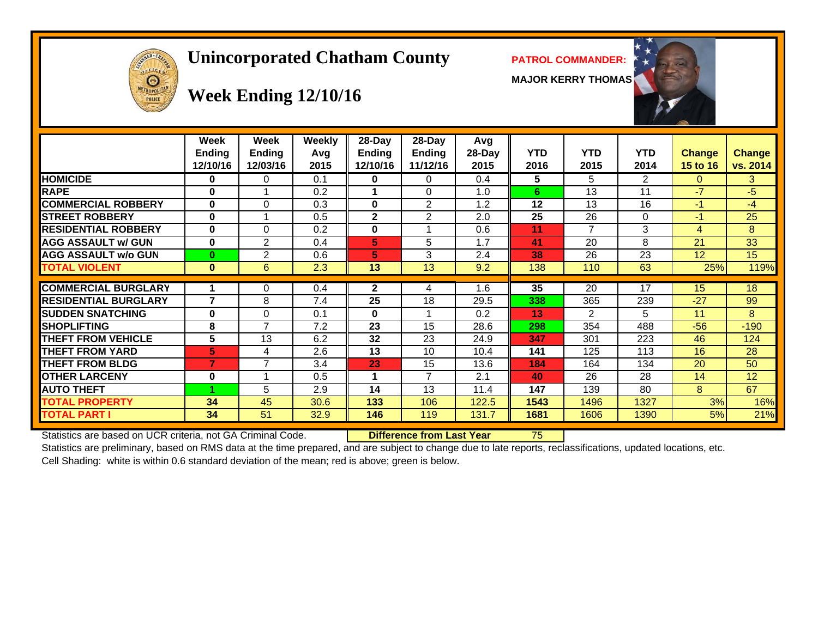# **Unincorporated Chatham County PATROL COMMANDER:**

**MAJOR KERRY THOMAS**





# **Week Ending 12/10/16**

|                             | Week<br><b>Ending</b><br>12/10/16 | Week<br><b>Ending</b><br>12/03/16 | Weekly<br>Avg<br>2015 | $28$ -Day<br>Ending<br>12/10/16 | $28-Day$<br><b>Ending</b><br>11/12/16 | Avg<br>28-Day<br>2015 | <b>YTD</b><br>2016 | <b>YTD</b><br>2015 | <b>YTD</b><br>2014 | <b>Change</b><br><b>15 to 16</b> | <b>Change</b><br>vs. 2014 |
|-----------------------------|-----------------------------------|-----------------------------------|-----------------------|---------------------------------|---------------------------------------|-----------------------|--------------------|--------------------|--------------------|----------------------------------|---------------------------|
| <b>HOMICIDE</b>             | 0                                 | 0                                 | 0.1                   | 0                               | 0                                     | 0.4                   | 5                  | 5                  | 2                  | 0                                | 3                         |
| <b>RAPE</b>                 | 0                                 |                                   | 0.2                   |                                 | 0                                     | 1.0                   | 6                  | 13                 | 11                 | $-7$                             | $-5$                      |
| <b>COMMERCIAL ROBBERY</b>   | 0                                 | $\Omega$                          | 0.3                   | 0                               | 2                                     | 1.2                   | 12                 | 13                 | 16                 | $-1$                             | $-4$                      |
| <b>STREET ROBBERY</b>       | 0                                 |                                   | 0.5                   | $\mathbf{2}$                    | $\overline{2}$                        | 2.0                   | 25                 | 26                 | $\Omega$           | $-1$                             | 25                        |
| <b>RESIDENTIAL ROBBERY</b>  | 0                                 | $\Omega$                          | 0.2                   | $\bf{0}$                        |                                       | 0.6                   | 11                 | 7                  | 3                  | 4                                | 8                         |
| <b>AGG ASSAULT w/ GUN</b>   | 0                                 | $\overline{2}$                    | 0.4                   | 5                               | 5                                     | 1.7                   | 41                 | 20                 | 8                  | 21                               | 33                        |
| <b>AGG ASSAULT w/o GUN</b>  | $\bf{0}$                          | 2                                 | 0.6                   | 5                               | 3                                     | 2.4                   | 38                 | 26                 | 23                 | 12                               | 15                        |
| <b>TOTAL VIOLENT</b>        | $\mathbf{0}$                      | 6                                 | 2.3                   | 13                              | 13                                    | 9.2                   | 138                | 110                | 63                 | 25%                              | 119%                      |
| <b>COMMERCIAL BURGLARY</b>  | 1                                 | 0                                 | 0.4                   | $\mathbf{2}$                    | 4                                     | 1.6                   | 35                 | 20                 | 17                 | 15                               | 18                        |
| <b>RESIDENTIAL BURGLARY</b> | 7                                 | 8                                 | 7.4                   | 25                              | 18                                    | 29.5                  | 338                | 365                | 239                | $-27$                            | 99                        |
| <b>SUDDEN SNATCHING</b>     | 0                                 | $\Omega$                          | 0.1                   | 0                               |                                       | 0.2                   | 13                 | $\overline{2}$     | 5                  | 11                               | 8                         |
| <b>SHOPLIFTING</b>          | 8                                 | 7                                 | 7.2                   | 23                              | 15                                    | 28.6                  | 298                | 354                | 488                | $-56$                            | $-190$                    |
| <b>THEFT FROM VEHICLE</b>   | 5                                 | 13                                | 6.2                   | 32                              | 23                                    | 24.9                  | 347                | 301                | 223                | 46                               | 124                       |
| <b>THEFT FROM YARD</b>      | 5                                 | 4                                 | 2.6                   | 13                              | 10                                    | 10.4                  | 141                | 125                | 113                | 16                               | 28                        |
| <b>THEFT FROM BLDG</b>      | 7                                 | 7                                 | 3.4                   | 23                              | 15                                    | 13.6                  | 184                | 164                | 134                | 20                               | 50                        |
| <b>OTHER LARCENY</b>        | 0                                 |                                   | 0.5                   | 1                               | $\overline{7}$                        | 2.1                   | 40                 | 26                 | 28                 | 14                               | 12                        |
| <b>AUTO THEFT</b>           |                                   | 5                                 | 2.9                   | 14                              | 13                                    | 11.4                  | 147                | 139                | 80                 | 8                                | 67                        |
| <b>TOTAL PROPERTY</b>       | 34                                | 45                                | 30.6                  | 133                             | 106                                   | 122.5                 | 1543               | 1496               | 1327               | 3%                               | 16%                       |
| <b>TOTAL PART I</b>         | 34                                | 51                                | 32.9                  | 146                             | 119                                   | 131.7                 | 1681               | 1606               | 1390               | 5%                               | 21%                       |

Statistics are based on UCR criteria, not GA Criminal Code. **Difference from Last Year** 75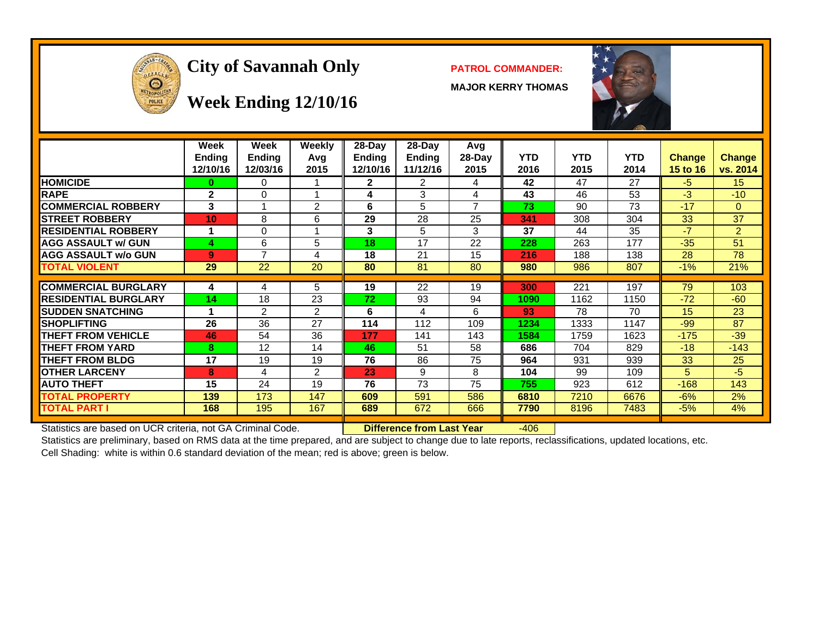

# City of Savannah Only **PATROL COMMANDER:**

**MAJOR KERRY THOMAS**



# **Week Ending 12/10/16**

|                             | Week<br><b>Ending</b><br>12/10/16 | Week<br><b>Ending</b><br>12/03/16 | <b>Weekly</b><br>Avg<br>2015 | 28-Day<br><b>Ending</b><br>12/10/16 | $28-Day$<br>Ending<br>11/12/16 | Avg<br>$28-Day$<br>2015 | <b>YTD</b><br>2016 | <b>YTD</b><br>2015 | YTD.<br>2014 | <b>Change</b><br><b>15 to 16</b> | <b>Change</b><br>vs. 2014 |
|-----------------------------|-----------------------------------|-----------------------------------|------------------------------|-------------------------------------|--------------------------------|-------------------------|--------------------|--------------------|--------------|----------------------------------|---------------------------|
| <b>HOMICIDE</b>             | $\bf{0}$                          | 0                                 |                              | $\mathbf{2}$                        | 2                              | 4                       | 42                 | 47                 | 27           | -5                               | 15                        |
| <b>RAPE</b>                 | $\mathbf{2}$                      | $\Omega$                          |                              | 4                                   | 3                              | 4                       | 43                 | 46                 | 53           | $-3$                             | $-10$                     |
| <b>COMMERCIAL ROBBERY</b>   | 3                                 |                                   | 2                            | 6                                   | 5                              | $\overline{7}$          | 73                 | 90                 | 73           | $-17$                            | $\Omega$                  |
| <b>STREET ROBBERY</b>       | 10                                | 8                                 | 6                            | 29                                  | 28                             | 25                      | 341                | 308                | 304          | 33                               | 37                        |
| <b>RESIDENTIAL ROBBERY</b>  |                                   | $\Omega$                          |                              | 3                                   | 5                              | 3                       | 37                 | 44                 | 35           | $-7$                             | $\overline{2}$            |
| <b>AGG ASSAULT w/ GUN</b>   | 4                                 | 6                                 | 5                            | 18                                  | 17                             | 22                      | 228                | 263                | 177          | $-35$                            | 51                        |
| <b>AGG ASSAULT w/o GUN</b>  | 9                                 | $\overline{\phantom{a}}$          | 4                            | 18                                  | 21                             | 15                      | 216                | 188                | 138          | 28                               | 78                        |
| <b>TOTAL VIOLENT</b>        | 29                                | 22                                | 20                           | 80                                  | 81                             | 80                      | 980                | 986                | 807          | $-1%$                            | 21%                       |
| <b>COMMERCIAL BURGLARY</b>  | 4                                 | 4                                 | 5                            | 19                                  | 22                             | 19                      | 300                | 221                | 197          | 79                               | 103                       |
| <b>RESIDENTIAL BURGLARY</b> | 14                                | 18                                | 23                           | 72                                  | 93                             | 94                      | 1090               | 1162               | 1150         | $-72$                            | $-60$                     |
| <b>SUDDEN SNATCHING</b>     |                                   | 2                                 | 2                            | 6                                   | 4                              | 6                       | 93                 | 78                 | 70           | 15                               | 23                        |
| <b>SHOPLIFTING</b>          | 26                                | 36                                | 27                           | 114                                 | 112                            | 109                     | 1234               | 1333               | 1147         | $-99$                            | 87                        |
| <b>THEFT FROM VEHICLE</b>   | 46                                | 54                                | 36                           | 177                                 | 141                            | 143                     | 1584               | 1759               | 1623         | $-175$                           | $-39$                     |
| <b>THEFT FROM YARD</b>      | 8                                 | 12                                | 14                           | 46                                  | 51                             | 58                      | 686                | 704                | 829          | $-18$                            | $-143$                    |
| <b>THEFT FROM BLDG</b>      | 17                                | 19                                | 19                           | 76                                  | 86                             | 75                      | 964                | 931                | 939          | 33                               | 25                        |
| <b>OTHER LARCENY</b>        | 8                                 | 4                                 | $\mathfrak{p}$               | 23                                  | 9                              | 8                       | 104                | 99                 | 109          | 5                                | $-5$                      |
| <b>AUTO THEFT</b>           | 15                                | 24                                | 19                           | 76                                  | 73                             | 75                      | 755                | 923                | 612          | $-168$                           | 143                       |
| <b>TOTAL PROPERTY</b>       | 139                               | 173                               | 147                          | 609                                 | 591                            | 586                     | 6810               | 7210               | 6676         | $-6%$                            | 2%                        |
| <b>TOTAL PART I</b>         | 168                               | 195                               | 167                          | 689                                 | 672                            | 666                     | 7790               | 8196               | 7483         | $-5%$                            | 4%                        |

Statistics are based on UCR criteria, not GA Criminal Code. **Difference from Last Year** -406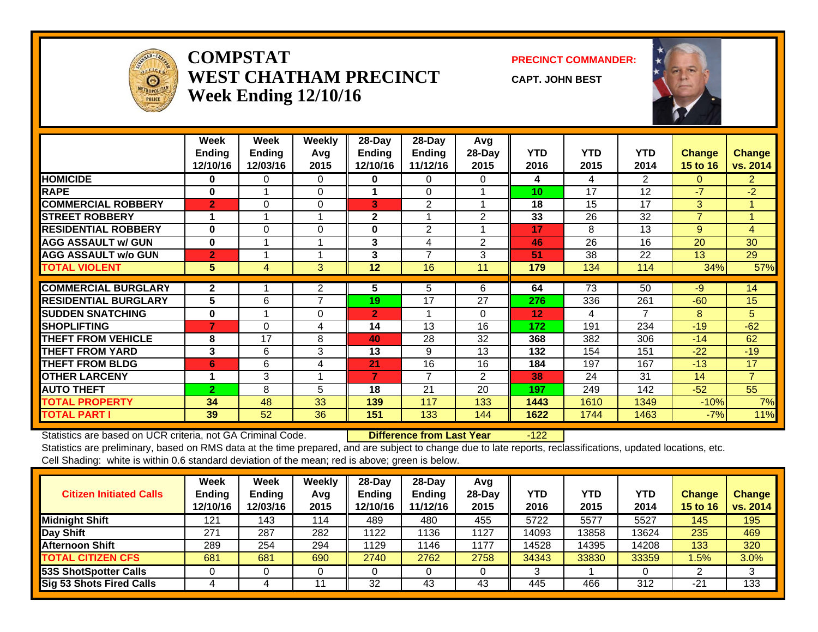

#### **COMPSTATWEST CHATHAM PRECINCTWeek Ending 12/10/16**

**PRECINCT COMMANDER:**

**CAPT. JOHN BEST**



|                             | Week<br>Ending<br>12/10/16 | Week<br><b>Ending</b><br>12/03/16 | <b>Weekly</b><br>Avq<br>2015 | 28-Day<br><b>Ending</b><br>12/10/16 | 28-Day<br>Ending<br>11/12/16 | Avg<br>28-Day<br>2015 | <b>YTD</b><br>2016 | <b>YTD</b><br>2015 | <b>YTD</b><br>2014 | <b>Change</b><br>15 to 16 | <b>Change</b><br>vs. 2014 |
|-----------------------------|----------------------------|-----------------------------------|------------------------------|-------------------------------------|------------------------------|-----------------------|--------------------|--------------------|--------------------|---------------------------|---------------------------|
| <b>HOMICIDE</b>             | $\bf{0}$                   | $\Omega$                          | $\Omega$                     | $\mathbf{0}$                        | 0                            | $\Omega$              | 4                  | 4                  | $\overline{2}$     | $\Omega$                  | $\overline{2}$            |
| <b>RAPE</b>                 | $\bf{0}$                   |                                   | $\Omega$                     |                                     | $\Omega$                     |                       | 10 <sup>1</sup>    | 17                 | 12                 | $-7$                      | $-2$                      |
| <b>COMMERCIAL ROBBERY</b>   | $\overline{2}$             | $\Omega$                          | $\Omega$                     | 3                                   | 2                            |                       | 18                 | 15                 | 17                 | 3                         |                           |
| <b>STREET ROBBERY</b>       |                            |                                   |                              | $\mathbf 2$                         |                              | 2                     | 33                 | 26                 | 32                 | $\overline{7}$            | -4                        |
| <b>RESIDENTIAL ROBBERY</b>  | $\bf{0}$                   | $\Omega$                          | $\Omega$                     | $\bf{0}$                            | 2                            |                       | 17                 | 8                  | 13                 | 9                         | $\overline{\mathbf{4}}$   |
| <b>AGG ASSAULT w/ GUN</b>   | $\bf{0}$                   |                                   |                              | 3                                   | 4                            | 2                     | 46                 | 26                 | 16                 | 20                        | 30                        |
| <b>AGG ASSAULT w/o GUN</b>  | $\overline{2}$             |                                   |                              | 3                                   | $\overline{ }$               | 3                     | 51                 | 38                 | 22                 | 13                        | 29                        |
| <b>TOTAL VIOLENT</b>        | 5                          | 4                                 | 3                            | 12                                  | 16                           | 11                    | 179                | 134                | 114                | 34%                       | 57%                       |
| <b>COMMERCIAL BURGLARY</b>  | $\mathbf{2}$               |                                   | 2                            | 5                                   | 5                            | 6                     | 64                 | $\overline{73}$    | 50                 | $-9$                      | 14                        |
| <b>RESIDENTIAL BURGLARY</b> | 5                          | 6                                 | 7                            | 19                                  | 17                           | 27                    | 276                | 336                | 261                | $-60$                     | 15                        |
|                             |                            |                                   |                              |                                     |                              |                       |                    |                    | 7                  |                           |                           |
| <b>SUDDEN SNATCHING</b>     | $\bf{0}$<br>7              |                                   | $\Omega$                     | $\overline{2}$                      |                              | $\Omega$              | $12 \overline{ }$  | 4                  |                    | 8                         | 5                         |
| <b>SHOPLIFTING</b>          |                            | $\Omega$                          | 4                            | 14                                  | 13                           | 16                    | 172                | 191                | 234                | $-19$                     | $-62$                     |
| <b>THEFT FROM VEHICLE</b>   | 8                          | 17                                | 8                            | 40                                  | 28                           | 32                    | 368                | 382                | 306                | $-14$                     | 62                        |
| <b>THEFT FROM YARD</b>      | 3                          | 6                                 | 3                            | 13                                  | 9                            | 13                    | 132                | 154                | 151                | $-22$                     | $-19$                     |
| <b>THEFT FROM BLDG</b>      | 6                          | 6                                 | 4                            | 21                                  | 16                           | 16                    | 184                | 197                | 167                | $-13$                     | 17                        |
| <b>OTHER LARCENY</b>        |                            | 3                                 |                              | 7                                   | 7                            | $\overline{2}$        | 38                 | 24                 | 31                 | 14                        | $\overline{7}$            |
| <b>AUTO THEFT</b>           | $\overline{2}$             | 8                                 | 5                            | 18                                  | 21                           | 20                    | 197                | 249                | 142                | $-52$                     | 55                        |
| <b>TOTAL PROPERTY</b>       | 34                         | 48                                | 33                           | 139                                 | 117                          | 133                   | 1443               | 1610               | 1349               | $-10%$                    | 7%                        |
| <b>TOTAL PART I</b>         | 39                         | 52                                | 36                           | 151                                 | 133                          | 144                   | 1622               | 1744               | 1463               | $-7%$                     | 11%                       |

Statistics are based on UCR criteria, not GA Criminal Code. **Difference from Last Year** -122

| <b>Citizen Initiated Calls</b>  | <b>Week</b><br><b>Ending</b><br>12/10/16 | Week<br>Ending<br>12/03/16 | Weekly<br>Avg<br>2015 | 28-Day<br><b>Ending</b><br>12/10/16 | $28$ -Day<br><b>Ending</b><br>11/12/16 | Avg<br>$28$ -Day<br>2015 | YTD<br>2016 | <b>YTD</b><br>2015 | <b>YTD</b><br>2014 | <b>Change</b><br><b>15 to 16</b> | Change<br>vs. 2014 |
|---------------------------------|------------------------------------------|----------------------------|-----------------------|-------------------------------------|----------------------------------------|--------------------------|-------------|--------------------|--------------------|----------------------------------|--------------------|
| <b>Midnight Shift</b>           | 121                                      | 143                        | 114                   | 489                                 | 480                                    | 455                      | 5722        | 5577               | 5527               | 145                              | 195                |
| Day Shift                       | 271                                      | 287                        | 282                   | 1122                                | 136                                    | 1127                     | 14093       | 3858               | 13624              | 235                              | 469                |
| <b>Afternoon Shift</b>          | 289                                      | 254                        | 294                   | 1129                                | 1146                                   | 1177                     | 14528       | 14395              | 14208              | 133                              | 320                |
| <b>TOTAL CITIZEN CFS</b>        | 681                                      | 681                        | 690                   | 2740                                | 2762                                   | 2758                     | 34343       | 33830              | 33359              | 1.5%                             | 3.0%               |
| 53S ShotSpotter Calls           |                                          |                            |                       |                                     |                                        |                          |             |                    |                    |                                  | 3                  |
| <b>Sig 53 Shots Fired Calls</b> |                                          |                            |                       | 32                                  | 43                                     | 43                       | 445         | 466                | 312                | $-21$                            | 133                |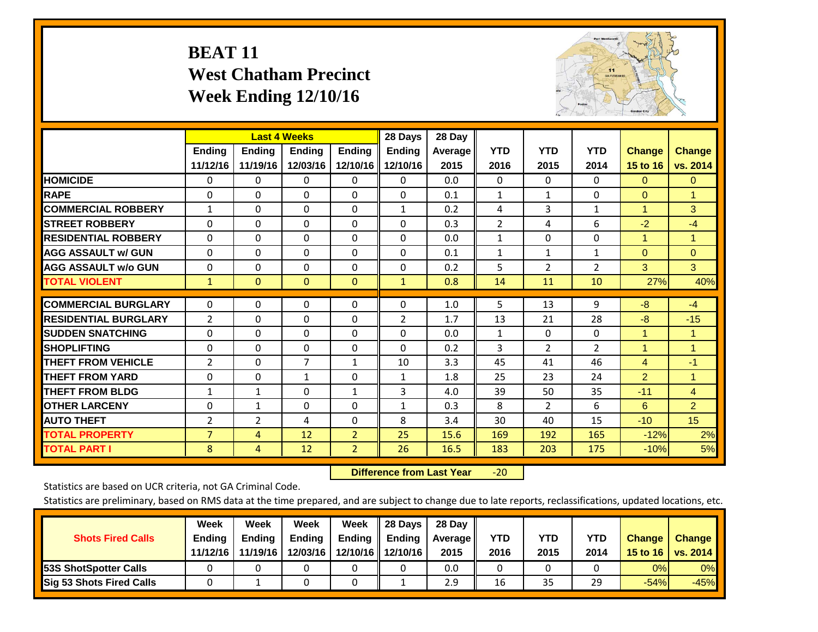# **BEAT 11 West Chatham Precinct Week Ending 12/10/16**



|                             |                | <b>Last 4 Weeks</b> |                |                | 28 Days       | 28 Day  |                |                |                |                      |                      |
|-----------------------------|----------------|---------------------|----------------|----------------|---------------|---------|----------------|----------------|----------------|----------------------|----------------------|
|                             | <b>Ending</b>  | <b>Ending</b>       | <b>Endina</b>  | <b>Ending</b>  | <b>Ending</b> | Average | <b>YTD</b>     | <b>YTD</b>     | <b>YTD</b>     | <b>Change</b>        | <b>Change</b>        |
|                             | 11/12/16       | 11/19/16            | 12/03/16       | 12/10/16       | 12/10/16      | 2015    | 2016           | 2015           | 2014           | 15 to 16             | vs. 2014             |
| <b>HOMICIDE</b>             | 0              | 0                   | $\Omega$       | 0              | $\mathbf{0}$  | 0.0     | $\mathbf{0}$   | 0              | 0              | $\mathbf{0}$         | $\mathbf{0}$         |
| <b>RAPE</b>                 | 0              | $\Omega$            | $\Omega$       | $\Omega$       | $\Omega$      | 0.1     | 1              | $\mathbf{1}$   | $\Omega$       | $\Omega$             | 1                    |
| <b>COMMERCIAL ROBBERY</b>   | 1              | 0                   | $\Omega$       | 0              | 1             | 0.2     | 4              | 3              | 1              | $\blacktriangleleft$ | 3                    |
| <b>ISTREET ROBBERY</b>      | $\Omega$       | $\Omega$            | $\Omega$       | $\Omega$       | $\Omega$      | 0.3     | $\overline{2}$ | 4              | 6              | $-2$                 | $-4$                 |
| <b>RESIDENTIAL ROBBERY</b>  | $\Omega$       | $\Omega$            | $\Omega$       | $\mathbf{0}$   | $\Omega$      | 0.0     | $\mathbf{1}$   | $\Omega$       | 0              | $\overline{1}$       | 1                    |
| <b>AGG ASSAULT w/ GUN</b>   | $\Omega$       | $\Omega$            | $\Omega$       | $\Omega$       | $\Omega$      | 0.1     | $\mathbf{1}$   | 1              | 1              | $\Omega$             | $\Omega$             |
| <b>AGG ASSAULT w/o GUN</b>  | 0              | 0                   | $\Omega$       | 0              | $\Omega$      | 0.2     | 5              | $\overline{2}$ | $\overline{2}$ | 3                    | 3                    |
| <b>TOTAL VIOLENT</b>        | $\mathbf{1}$   | $\Omega$            | $\mathbf{0}$   | $\mathbf{0}$   | $\mathbf{1}$  | 0.8     | 14             | 11             | 10             | 27%                  | 40%                  |
| <b>COMMERCIAL BURGLARY</b>  | $\Omega$       | $\Omega$            | $\Omega$       | 0              | $\Omega$      | 1.0     | 5              | 13             | 9              | -8                   | $-4$                 |
| <b>RESIDENTIAL BURGLARY</b> | 2              | 0                   | $\mathbf{0}$   | $\mathbf{0}$   |               | 1.7     | 13             | 21             | 28             | -8                   | $-15$                |
|                             |                |                     |                |                | 2             |         |                |                |                |                      |                      |
| <b>SUDDEN SNATCHING</b>     | $\Omega$       | 0                   | $\mathbf{0}$   | $\mathbf{0}$   | $\Omega$      | 0.0     | $\mathbf{1}$   | $\mathbf{0}$   | 0              | $\overline{1}$       | 1                    |
| <b>SHOPLIFTING</b>          | $\Omega$       | $\Omega$            | $\Omega$       | $\Omega$       | $\Omega$      | 0.2     | 3              | $\overline{2}$ | $\overline{2}$ | $\overline{1}$       | $\mathbf{1}$         |
| <b>THEFT FROM VEHICLE</b>   | 2              | 0                   | $\overline{7}$ | 1              | 10            | 3.3     | 45             | 41             | 46             | 4                    | $-1$                 |
| <b>THEFT FROM YARD</b>      | 0              | 0                   | $\mathbf{1}$   | 0              | 1             | 1.8     | 25             | 23             | 24             | $\overline{2}$       | $\blacktriangleleft$ |
| <b>THEFT FROM BLDG</b>      | $\mathbf{1}$   | $\mathbf{1}$        | $\Omega$       | $\mathbf{1}$   | 3             | 4.0     | 39             | 50             | 35             | $-11$                | $\overline{4}$       |
| <b>OTHER LARCENY</b>        | 0              | 1                   | $\mathbf{0}$   | $\Omega$       | $\mathbf{1}$  | 0.3     | 8              | $\overline{2}$ | 6              | 6                    | $\overline{2}$       |
| <b>AUTO THEFT</b>           | 2              | $\overline{2}$      | 4              | 0              | 8             | 3.4     | 30             | 40             | 15             | $-10$                | 15                   |
| <b>TOTAL PROPERTY</b>       | $\overline{7}$ | 4                   | 12             | $\overline{2}$ | 25            | 15.6    | 169            | 192            | 165            | $-12%$               | 2%                   |
| <b>TOTAL PART I</b>         | 8              | 4                   | 12             | $\overline{2}$ | 26            | 16.5    | 183            | 203            | 175            | $-10%$               | 5%                   |

 **Difference from Last Year**‐20

Statistics are based on UCR criteria, not GA Criminal Code.

| <b>Shots Fired Calls</b>        | Week<br><b>Ending</b><br>11/12/16 | Week<br><b>Endina</b><br>11/19/16 | Week<br>Ending<br>12/03/16 | Week<br>Ending | 28 Days<br><b>Ending</b><br>12/10/16 12/10/16 | 28 Day<br>Average II<br>2015 | YTD<br>2016 | YTD<br>2015 | <b>YTD</b><br>2014 | <b>Change</b><br>15 to 16 $\vert$ | <b>Change</b><br>vs. 2014 |
|---------------------------------|-----------------------------------|-----------------------------------|----------------------------|----------------|-----------------------------------------------|------------------------------|-------------|-------------|--------------------|-----------------------------------|---------------------------|
| <b>153S ShotSpotter Calls</b>   |                                   |                                   |                            |                |                                               | 0.0                          |             |             |                    | 0%                                | 0%                        |
| <b>Sig 53 Shots Fired Calls</b> |                                   |                                   |                            |                |                                               | 2.9                          | 16          | 35          | 29                 | $-54%$                            | $-45%$                    |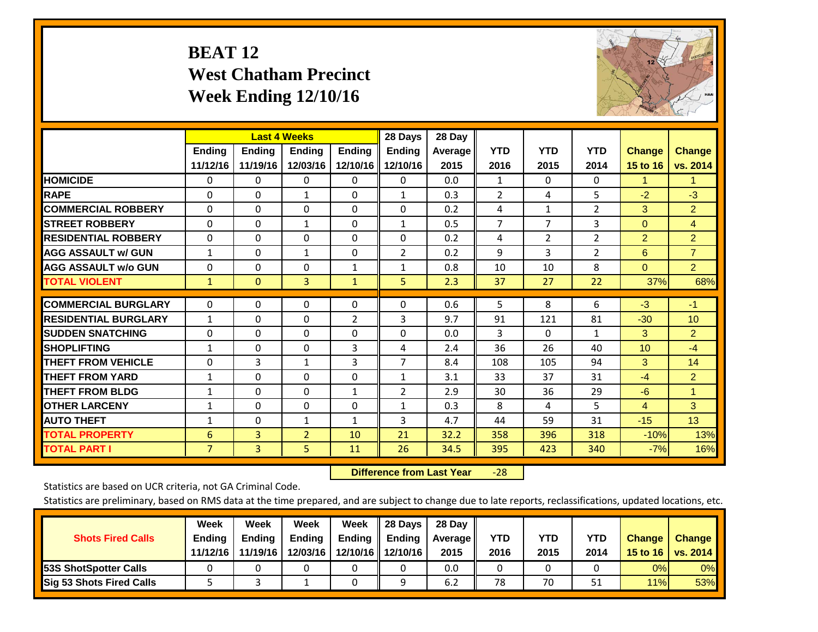# **BEAT 12 West Chatham Precinct Week Ending 12/10/16**



|                             |                | <b>Last 4 Weeks</b> |                |                | 28 Days        | 28 Day  |                |                |                |                |                      |
|-----------------------------|----------------|---------------------|----------------|----------------|----------------|---------|----------------|----------------|----------------|----------------|----------------------|
|                             | Ending         | Ending              | <b>Endina</b>  | <b>Ending</b>  | <b>Endina</b>  | Average | <b>YTD</b>     | <b>YTD</b>     | <b>YTD</b>     | <b>Change</b>  | <b>Change</b>        |
|                             | 11/12/16       | 11/19/16            | 12/03/16       | 12/10/16       | 12/10/16       | 2015    | 2016           | 2015           | 2014           | 15 to 16       | vs. 2014             |
| <b>HOMICIDE</b>             | 0              | $\Omega$            | $\Omega$       | 0              | 0              | 0.0     | 1              | $\Omega$       | 0              | 1              | $\blacktriangleleft$ |
| <b>RAPE</b>                 | $\Omega$       | $\Omega$            | $\mathbf{1}$   | 0              | $\mathbf{1}$   | 0.3     | $\overline{2}$ | 4              | 5              | $-2$           | $-3$                 |
| <b>COMMERCIAL ROBBERY</b>   | $\Omega$       | $\Omega$            | $\Omega$       | $\Omega$       | $\Omega$       | 0.2     | 4              | $\mathbf{1}$   | $\overline{2}$ | 3              | $\overline{2}$       |
| <b>ISTREET ROBBERY</b>      | $\Omega$       | $\Omega$            | 1              | $\Omega$       | $\mathbf{1}$   | 0.5     | $\overline{7}$ | $\overline{7}$ | 3              | $\Omega$       | $\overline{4}$       |
| <b>RESIDENTIAL ROBBERY</b>  | 0              | $\Omega$            | $\mathbf{0}$   | $\Omega$       | $\Omega$       | 0.2     | 4              | 2              | 2              | $\overline{2}$ | $\overline{2}$       |
| <b>AGG ASSAULT w/ GUN</b>   | $\mathbf{1}$   | $\Omega$            | $\mathbf{1}$   | $\Omega$       | $\overline{2}$ | 0.2     | 9              | 3              | 2              | 6              | $\overline{7}$       |
| <b>AGG ASSAULT w/o GUN</b>  | $\Omega$       | $\Omega$            | $\mathbf{0}$   | $\mathbf{1}$   | $\mathbf{1}$   | 0.8     | 10             | 10             | 8              | $\Omega$       | $\overline{2}$       |
| <b>TOTAL VIOLENT</b>        | $\mathbf{1}$   | $\Omega$            | 3              | $\mathbf{1}$   | 5              | 2.3     | 37             | 27             | 22             | 37%            | 68%                  |
|                             |                |                     |                |                |                |         |                |                |                |                |                      |
| <b>COMMERCIAL BURGLARY</b>  | $\Omega$       | $\Omega$            | $\Omega$       | $\Omega$       | $\Omega$       | 0.6     | 5              | 8              | 6              | $-3$           | $-1$                 |
| <b>RESIDENTIAL BURGLARY</b> | 1              | 0                   | $\Omega$       | $\overline{2}$ | 3              | 9.7     | 91             | 121            | 81             | $-30$          | 10 <sup>°</sup>      |
| <b>SUDDEN SNATCHING</b>     | 0              | 0                   | $\Omega$       | 0              | 0              | 0.0     | 3              | 0              | 1              | 3              | $\overline{2}$       |
| <b>SHOPLIFTING</b>          | 1              | $\Omega$            | $\mathbf{0}$   | 3              | 4              | 2.4     | 36             | 26             | 40             | 10             | $-4$                 |
| <b>THEFT FROM VEHICLE</b>   | $\Omega$       | 3                   | $\mathbf{1}$   | 3              | $\overline{7}$ | 8.4     | 108            | 105            | 94             | 3              | 14                   |
| <b>THEFT FROM YARD</b>      | $\mathbf{1}$   | $\Omega$            | $\mathbf{0}$   | $\Omega$       | $\mathbf{1}$   | 3.1     | 33             | 37             | 31             | $-4$           | $\overline{2}$       |
| <b>THEFT FROM BLDG</b>      | 1              | $\Omega$            | $\Omega$       | 1              | $\overline{2}$ | 2.9     | 30             | 36             | 29             | $-6$           | 1                    |
| <b>OTHER LARCENY</b>        | $\mathbf{1}$   | 0                   | $\Omega$       | 0              | $\mathbf{1}$   | 0.3     | 8              | 4              | 5.             | $\overline{4}$ | 3                    |
| <b>AUTO THEFT</b>           | 1              | $\Omega$            | $\mathbf{1}$   | 1              | 3              | 4.7     | 44             | 59             | 31             | $-15$          | 13                   |
| <b>TOTAL PROPERTY</b>       | 6              | 3                   | $\overline{2}$ | 10             | 21             | 32.2    | 358            | 396            | 318            | $-10%$         | 13%                  |
| <b>TOTAL PART I</b>         | $\overline{7}$ | $\overline{3}$      | 5.             | 11             | 26             | 34.5    | 395            | 423            | 340            | $-7%$          | 16%                  |

 **Difference from Last Year**‐28

Statistics are based on UCR criteria, not GA Criminal Code.

|                                 | Week          | Week          | Week     | Week   | 28 Days           | 28 Day     |      |      |            |               |               |
|---------------------------------|---------------|---------------|----------|--------|-------------------|------------|------|------|------------|---------------|---------------|
| <b>Shots Fired Calls</b>        | <b>Ending</b> | <b>Endina</b> | Ending   | Ending | <b>Ending</b>     | Average II | YTD  | YTD  | <b>YTD</b> | <b>Change</b> | <b>Change</b> |
|                                 | 11/12/16      | 11/19/16      | 12/03/16 |        | 12/10/16 12/10/16 | 2015       | 2016 | 2015 | 2014       | 15 to $16$    | vs. 2014      |
| <b>153S ShotSpotter Calls</b>   |               |               |          |        |                   | 0.0        |      |      |            | 0%            | 0%            |
| <b>Sig 53 Shots Fired Calls</b> |               |               |          |        |                   | 6.2        | 78   | 70   |            | 11%           | 53%           |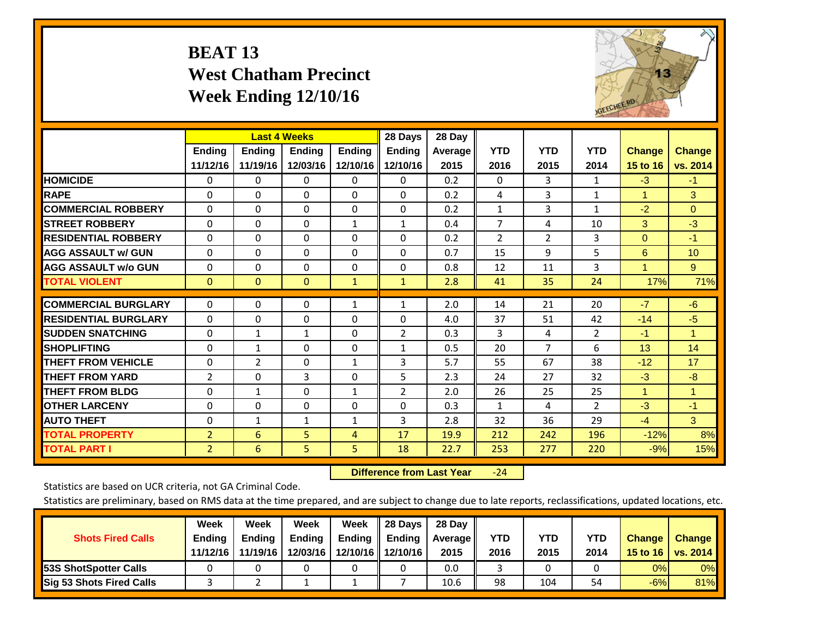# **BEAT 13 West Chatham Precinct Week Ending 12/10/16**



|                             |                           | <b>Last 4 Weeks</b> |                           |                           | 28 Days                   | 28 Day             |                    |                    |                    |                           |                           |
|-----------------------------|---------------------------|---------------------|---------------------------|---------------------------|---------------------------|--------------------|--------------------|--------------------|--------------------|---------------------------|---------------------------|
|                             | <b>Ending</b><br>11/12/16 | Ending<br>11/19/16  | <b>Endina</b><br>12/03/16 | <b>Endina</b><br>12/10/16 | <b>Endina</b><br>12/10/16 | Average   <br>2015 | <b>YTD</b><br>2016 | <b>YTD</b><br>2015 | <b>YTD</b><br>2014 | <b>Change</b><br>15 to 16 | <b>Change</b><br>vs. 2014 |
| <b>HOMICIDE</b>             | 0                         | 0                   | $\Omega$                  | 0                         | 0                         | 0.2                | $\Omega$           | 3                  | 1                  | $-3$                      | $-1$                      |
| <b>RAPE</b>                 | 0                         | $\Omega$            | $\Omega$                  | 0                         | 0                         | 0.2                | 4                  | 3                  | $\mathbf{1}$       | 1                         | 3                         |
| <b>COMMERCIAL ROBBERY</b>   | $\Omega$                  | $\Omega$            | $\Omega$                  | $\Omega$                  | $\Omega$                  | 0.2                | $\mathbf{1}$       | 3                  | $\mathbf{1}$       | $-2$                      | $\Omega$                  |
| <b>ISTREET ROBBERY</b>      | $\Omega$                  | $\Omega$            | $\Omega$                  | $\mathbf{1}$              | $\mathbf{1}$              | 0.4                | $\overline{7}$     | 4                  | 10                 | 3                         | $-3$                      |
| <b>RESIDENTIAL ROBBERY</b>  | $\Omega$                  | 0                   | $\mathbf{0}$              | $\Omega$                  | 0                         | 0.2                | $\overline{2}$     | $\overline{2}$     | 3                  | $\Omega$                  | $-1$                      |
| <b>AGG ASSAULT w/ GUN</b>   | $\Omega$                  | 0                   | $\mathbf{0}$              | $\Omega$                  | $\Omega$                  | 0.7                | 15                 | 9                  | 5                  | 6                         | 10                        |
| <b>AGG ASSAULT w/o GUN</b>  | $\Omega$                  | 0                   | $\mathbf{0}$              | $\Omega$                  | 0                         | 0.8                | 12                 | 11                 | 3                  | 1                         | 9                         |
| <b>TOTAL VIOLENT</b>        | $\Omega$                  | $\Omega$            | $\mathbf{0}$              | $\mathbf{1}$              | $\mathbf{1}$              | 2.8                | 41                 | 35                 | 24                 | 17%                       | 71%                       |
| <b>COMMERCIAL BURGLARY</b>  | $\Omega$                  | $\Omega$            | $\mathbf{0}$              | 1                         | 1                         | 2.0                | 14                 | 21                 | 20                 | $-7$                      | $-6$                      |
| <b>RESIDENTIAL BURGLARY</b> | 0                         | 0                   | $\mathbf{0}$              | 0                         | $\Omega$                  | 4.0                | 37                 | 51                 | 42                 | $-14$                     | $-5$                      |
| <b>SUDDEN SNATCHING</b>     | $\Omega$                  | 1                   | 1                         | 0                         | $\overline{2}$            | 0.3                | 3                  | 4                  | $\overline{2}$     | $-1$                      | 1                         |
| <b>SHOPLIFTING</b>          | 0                         | 1                   | $\mathbf{0}$              | 0                         | $\mathbf{1}$              | 0.5                | 20                 | 7                  | 6                  | 13                        | 14                        |
| <b>THEFT FROM VEHICLE</b>   | $\Omega$                  | $\overline{2}$      | $\mathbf{0}$              | $\mathbf{1}$              | 3                         | 5.7                | 55                 | 67                 | 38                 | $-12$                     | 17                        |
| <b>THEFT FROM YARD</b>      | $\overline{2}$            | 0                   | 3                         | $\Omega$                  | 5                         | 2.3                | 24                 | 27                 | 32                 | $-3$                      | $-8$                      |
| <b>THEFT FROM BLDG</b>      | $\Omega$                  | $\mathbf{1}$        | $\Omega$                  | 1                         | $\overline{2}$            | 2.0                | 26                 | 25                 | 25                 | 1                         | 1                         |
| <b>OTHER LARCENY</b>        | $\Omega$                  | $\Omega$            | $\Omega$                  | $\Omega$                  | 0                         | 0.3                | 1                  | 4                  | $\overline{2}$     | $-3$                      | $-1$                      |
| <b>AUTO THEFT</b>           | 0                         | 1                   | $\mathbf{1}$              | 1                         | 3                         | 2.8                | 32                 | 36                 | 29                 | $-4$                      | 3                         |
| <b>TOTAL PROPERTY</b>       | $\overline{2}$            | 6                   | 5                         | 4                         | 17                        | 19.9               | 212                | 242                | 196                | $-12%$                    | 8%                        |
| <b>TOTAL PART I</b>         | $\overline{2}$            | 6                   | 5.                        | 5                         | 18                        | 22.7               | 253                | 277                | 220                | $-9%$                     | 15%                       |

 **Difference from Last Year**‐24

Statistics are based on UCR criteria, not GA Criminal Code.

| <b>Shots Fired Calls</b>        | Week<br><b>Ending</b><br>11/12/16 | Week<br><b>Endina</b><br>11/19/16 | <b>Week</b><br>Ending<br>12/03/16 | Week<br>Ending | 28 Days<br><b>Ending</b><br>12/10/16 12/10/16 | 28 Day<br>Average II<br>2015 | YTD<br>2016 | YTD<br>2015 | <b>YTD</b><br>2014 | <b>Change</b><br>15 to 16 $\vert$ | <b>Change</b><br><b>vs. 2014</b> |
|---------------------------------|-----------------------------------|-----------------------------------|-----------------------------------|----------------|-----------------------------------------------|------------------------------|-------------|-------------|--------------------|-----------------------------------|----------------------------------|
| <b>153S ShotSpotter Calls</b>   |                                   |                                   |                                   |                |                                               | 0.0                          |             |             |                    | 0%                                | 0%                               |
| <b>Sig 53 Shots Fired Calls</b> |                                   |                                   |                                   |                |                                               | 10.6                         | 98          | 104         | 54                 | $-6%$                             | 81%                              |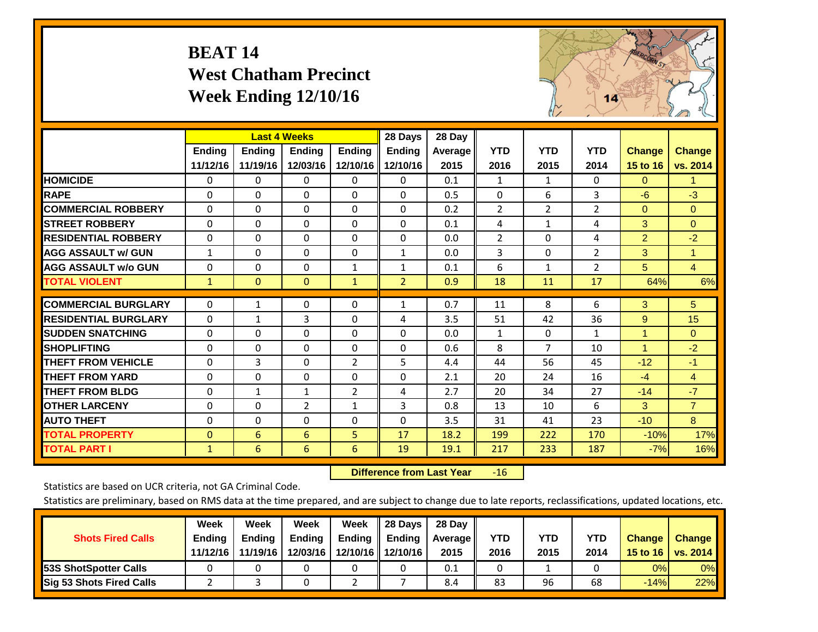# **BEAT 14 West Chatham Precinct Week Ending 12/10/16**



|                             |              |              | <b>Last 4 Weeks</b> |                | 28 Days        | 28 Day         |                |                |                |                |                |
|-----------------------------|--------------|--------------|---------------------|----------------|----------------|----------------|----------------|----------------|----------------|----------------|----------------|
|                             | Ending       | Ending       | <b>Ending</b>       | <b>Ending</b>  | <b>Ending</b>  | <b>Average</b> | <b>YTD</b>     | <b>YTD</b>     | <b>YTD</b>     | <b>Change</b>  | <b>Change</b>  |
|                             | 11/12/16     | 11/19/16     | 12/03/16            | 12/10/16       | 12/10/16       | 2015           | 2016           | 2015           | 2014           | 15 to 16       | vs. 2014       |
| <b>HOMICIDE</b>             | 0            | 0            | $\Omega$            | 0              | 0              | 0.1            | 1              | 1              | $\Omega$       | $\Omega$       | 1.             |
| <b>RAPE</b>                 | $\Omega$     | $\Omega$     | $\mathbf{0}$        | 0              | $\Omega$       | 0.5            | $\Omega$       | 6              | 3              | $-6$           | $-3$           |
| <b>COMMERCIAL ROBBERY</b>   | $\Omega$     | $\Omega$     | 0                   | $\Omega$       | $\Omega$       | 0.2            | $\overline{2}$ | 2              | $\overline{2}$ | $\mathbf{0}$   | $\mathbf{0}$   |
| <b>ISTREET ROBBERY</b>      | $\Omega$     | $\Omega$     | $\Omega$            | $\Omega$       | $\Omega$       | 0.1            | 4              | $\mathbf{1}$   | 4              | 3              | $\Omega$       |
| <b>RESIDENTIAL ROBBERY</b>  | $\Omega$     | $\Omega$     | 0                   | $\Omega$       | $\Omega$       | 0.0            | $\overline{2}$ | $\Omega$       | 4              | $\overline{2}$ | $-2$           |
| <b>AGG ASSAULT w/ GUN</b>   | $\mathbf{1}$ | $\Omega$     | $\mathbf{0}$        | $\Omega$       | $\mathbf{1}$   | 0.0            | 3              | 0              | $\overline{2}$ | 3              | $\mathbf{1}$   |
| <b>AGG ASSAULT w/o GUN</b>  | $\Omega$     | $\Omega$     | $\mathbf{0}$        | $\mathbf{1}$   | $\mathbf{1}$   | 0.1            | 6              | $\mathbf{1}$   | 2              | 5              | $\overline{4}$ |
| <b>TOTAL VIOLENT</b>        | $\mathbf{1}$ | $\mathbf{0}$ | $\overline{0}$      | $\mathbf{1}$   | $\overline{2}$ | 0.9            | 18             | 11             | 17             | 64%            | 6%             |
| <b>COMMERCIAL BURGLARY</b>  | $\Omega$     | 1            | 0                   | 0              | 1              | 0.7            | 11             | 8              | 6              | 3              | 5 <sup>5</sup> |
|                             |              |              |                     |                |                |                |                |                |                |                |                |
| <b>RESIDENTIAL BURGLARY</b> | $\Omega$     | $\mathbf{1}$ | 3                   | $\Omega$       | 4              | 3.5            | 51             | 42             | 36             | 9              | 15             |
| <b>ISUDDEN SNATCHING</b>    | $\Omega$     | $\Omega$     | $\mathbf{0}$        | $\Omega$       | $\Omega$       | 0.0            | 1              | 0              | 1              | 1              | $\Omega$       |
| <b>SHOPLIFTING</b>          | $\Omega$     | $\Omega$     | $\mathbf 0$         | $\Omega$       | $\Omega$       | 0.6            | 8              | $\overline{7}$ | 10             | 1              | $-2$           |
| <b>THEFT FROM VEHICLE</b>   | $\Omega$     | 3            | $\Omega$            | $\overline{2}$ | 5              | 4.4            | 44             | 56             | 45             | $-12$          | $-1$           |
| <b>THEFT FROM YARD</b>      | 0            | $\Omega$     | 0                   | $\Omega$       | $\Omega$       | 2.1            | 20             | 24             | 16             | $-4$           | $\overline{4}$ |
| <b>THEFT FROM BLDG</b>      | 0            | 1            | 1                   | 2              | 4              | 2.7            | 20             | 34             | 27             | $-14$          | $-7$           |
| <b>OTHER LARCENY</b>        | $\Omega$     | $\Omega$     | $\overline{2}$      | $\mathbf{1}$   | $\overline{3}$ | 0.8            | 13             | 10             | 6              | 3              | $\overline{7}$ |
| <b>AUTO THEFT</b>           | 0            | 0            | 0                   | 0              | $\Omega$       | 3.5            | 31             | 41             | 23             | $-10$          | 8              |
| <b>TOTAL PROPERTY</b>       | $\mathbf{0}$ | 6            | 6                   | 5              | 17             | 18.2           | 199            | 222            | 170            | $-10%$         | 17%            |
| <b>TOTAL PART I</b>         | $\mathbf{1}$ | 6            | 6                   | 6              | 19             | 19.1           | 217            | 233            | 187            | $-7%$          | 16%            |

 **Difference from Last Year**r -16

Statistics are based on UCR criteria, not GA Criminal Code.

|                                 | Week          | Week          | Week     | Week   | 28 Days           | 28 Day     |      |      |            |                  |                 |
|---------------------------------|---------------|---------------|----------|--------|-------------------|------------|------|------|------------|------------------|-----------------|
| <b>Shots Fired Calls</b>        | <b>Ending</b> | <b>Endina</b> | Ending   | Ending | <b>Ending</b>     | Average II | YTD  | YTD  | <b>YTD</b> | <b>Change</b>    | <b>Change</b>   |
|                                 | 11/12/16      | 11/19/16      | 12/03/16 |        | 12/10/16 12/10/16 | 2015       | 2016 | 2015 | 2014       | 15 to 16 $\vert$ | <b>vs. 2014</b> |
| <b>153S ShotSpotter Calls</b>   |               |               |          |        |                   | 0.1        |      |      |            | 0%               | 0%              |
| <b>Sig 53 Shots Fired Calls</b> |               |               |          |        |                   | 8.4        | 83   | 96   | 68         | $-14%$           | 22%             |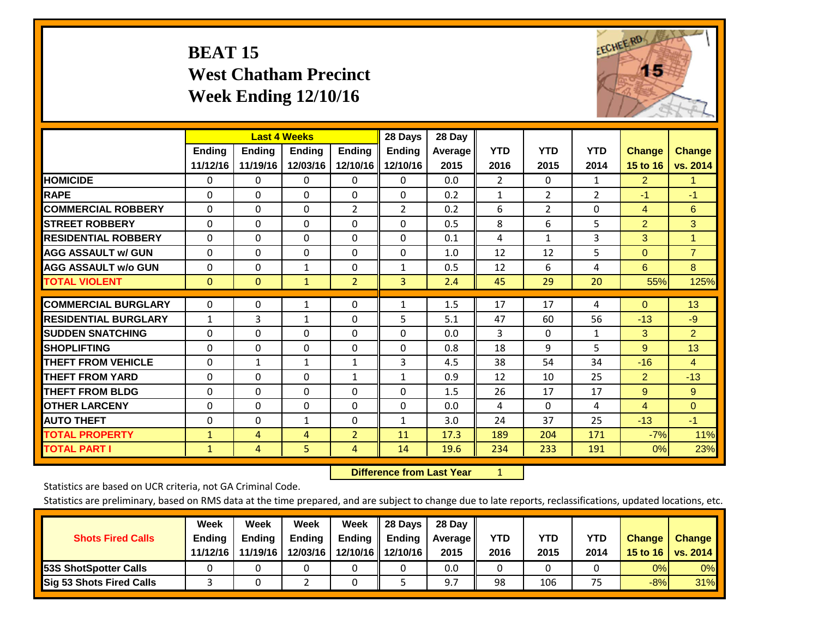# **BEAT 15 West Chatham Precinct Week Ending 12/10/16**



|                             |               | <b>Last 4 Weeks</b> |                |                | 28 Days        | 28 Day         |              |                |                |                |                |
|-----------------------------|---------------|---------------------|----------------|----------------|----------------|----------------|--------------|----------------|----------------|----------------|----------------|
|                             | <b>Ending</b> | <b>Ending</b>       | <b>Endina</b>  | <b>Endina</b>  | <b>Endina</b>  | <b>Average</b> | <b>YTD</b>   | <b>YTD</b>     | <b>YTD</b>     | <b>Change</b>  | <b>Change</b>  |
|                             | 11/12/16      | 11/19/16            | 12/03/16       | 12/10/16       | 12/10/16       | 2015           | 2016         | 2015           | 2014           | 15 to 16       | vs. 2014       |
| <b>HOMICIDE</b>             | 0             | 0                   | 0              | 0              | 0              | 0.0            | 2            | 0              | 1              | $\overline{2}$ | 1.             |
| <b>RAPE</b>                 | $\Omega$      | $\Omega$            | $\Omega$       | 0              | $\Omega$       | 0.2            | $\mathbf{1}$ | $\overline{2}$ | $\overline{2}$ | $-1$           | $-1$           |
| <b>COMMERCIAL ROBBERY</b>   | $\Omega$      | $\Omega$            | $\Omega$       | $\overline{2}$ | 2              | 0.2            | 6            | $\overline{2}$ | 0              | $\overline{4}$ | 6              |
| <b>STREET ROBBERY</b>       | $\Omega$      | $\Omega$            | $\Omega$       | 0              | $\Omega$       | 0.5            | 8            | 6              | 5              | $\overline{2}$ | 3              |
| <b>RESIDENTIAL ROBBERY</b>  | $\Omega$      | $\Omega$            | $\mathbf{0}$   | $\Omega$       | 0              | 0.1            | 4            | 1              | 3              | 3              | 1.             |
| <b>AGG ASSAULT w/ GUN</b>   | $\Omega$      | $\Omega$            | $\Omega$       | $\Omega$       | 0              | 1.0            | 12           | 12             | 5              | $\mathbf{0}$   | $\overline{7}$ |
| <b>AGG ASSAULT w/o GUN</b>  | $\Omega$      | $\Omega$            | $\mathbf{1}$   | $\Omega$       | $\mathbf{1}$   | 0.5            | 12           | 6              | 4              | 6              | 8              |
| <b>TOTAL VIOLENT</b>        | $\Omega$      | $\Omega$            | $\mathbf{1}$   | $\overline{2}$ | $\overline{3}$ | 2.4            | 45           | 29             | 20             | 55%            | 125%           |
| <b>COMMERCIAL BURGLARY</b>  |               |                     |                |                |                |                |              | 17             |                |                |                |
|                             | 0             | 0                   | 1              | 0              | $\mathbf{1}$   | 1.5            | 17           |                | 4              | $\overline{0}$ | 13             |
| <b>RESIDENTIAL BURGLARY</b> | $\mathbf{1}$  | 3                   | 1              | $\Omega$       | 5              | 5.1            | 47           | 60             | 56             | $-13$          | $-9$           |
| <b>SUDDEN SNATCHING</b>     | $\Omega$      | 0                   | $\Omega$       | 0              | 0              | 0.0            | 3            | 0              | 1              | 3              | $\overline{2}$ |
| <b>SHOPLIFTING</b>          | $\Omega$      | $\Omega$            | $\Omega$       | $\Omega$       | 0              | 0.8            | 18           | 9              | 5              | 9              | 13             |
| <b>THEFT FROM VEHICLE</b>   | $\Omega$      | $\mathbf{1}$        | 1              | $\mathbf{1}$   | 3              | 4.5            | 38           | 54             | 34             | $-16$          | $\overline{4}$ |
| <b>THEFT FROM YARD</b>      | $\Omega$      | $\Omega$            | $\mathbf{0}$   | $\mathbf{1}$   | $\mathbf{1}$   | 0.9            | 12           | 10             | 25             | 2              | $-13$          |
| <b>THEFT FROM BLDG</b>      | $\Omega$      | $\Omega$            | $\Omega$       | $\Omega$       | $\Omega$       | 1.5            | 26           | 17             | 17             | 9              | 9              |
| <b>OTHER LARCENY</b>        | 0             | $\Omega$            | $\Omega$       | $\Omega$       | $\Omega$       | 0.0            | 4            | 0              | 4              | $\overline{4}$ | $\Omega$       |
| <b>AUTO THEFT</b>           | $\Omega$      | $\Omega$            | 1              | $\Omega$       | $\mathbf{1}$   | 3.0            | 24           | 37             | 25             | $-13$          | $-1$           |
| <b>TOTAL PROPERTY</b>       | $\mathbf{1}$  | $\overline{4}$      | $\overline{4}$ | $\overline{2}$ | 11             | 17.3           | 189          | 204            | 171            | $-7%$          | 11%            |
| <b>TOTAL PART I</b>         | $\mathbf{1}$  | 4                   | 5              | 4              | 14             | 19.6           | 234          | 233            | 191            | 0%             | 23%            |

 **Difference from Last Year**r <u>1</u>

Statistics are based on UCR criteria, not GA Criminal Code.

| <b>Shots Fired Calls</b>        | Week<br><b>Ending</b><br>11/12/16 | Week<br><b>Endina</b><br>11/19/16 | Week<br>Ending<br>12/03/16 | Week<br>Ending | 28 Days<br><b>Ending</b><br>12/10/16   12/10/16 | 28 Day<br>Average II<br>2015 | YTD<br>2016 | YTD<br>2015 | YTD<br>2014 | <b>Change</b><br>15 to 16 $\vert$ | <b>Change</b><br>vs. 2014 |
|---------------------------------|-----------------------------------|-----------------------------------|----------------------------|----------------|-------------------------------------------------|------------------------------|-------------|-------------|-------------|-----------------------------------|---------------------------|
| <b>153S ShotSpotter Calls</b>   |                                   |                                   |                            |                |                                                 | 0.0                          |             |             |             | 0%                                | 0%                        |
| <b>Sig 53 Shots Fired Calls</b> |                                   |                                   |                            |                |                                                 |                              | 98          | 106         | 75          | $-8%$                             | <b>31%</b>                |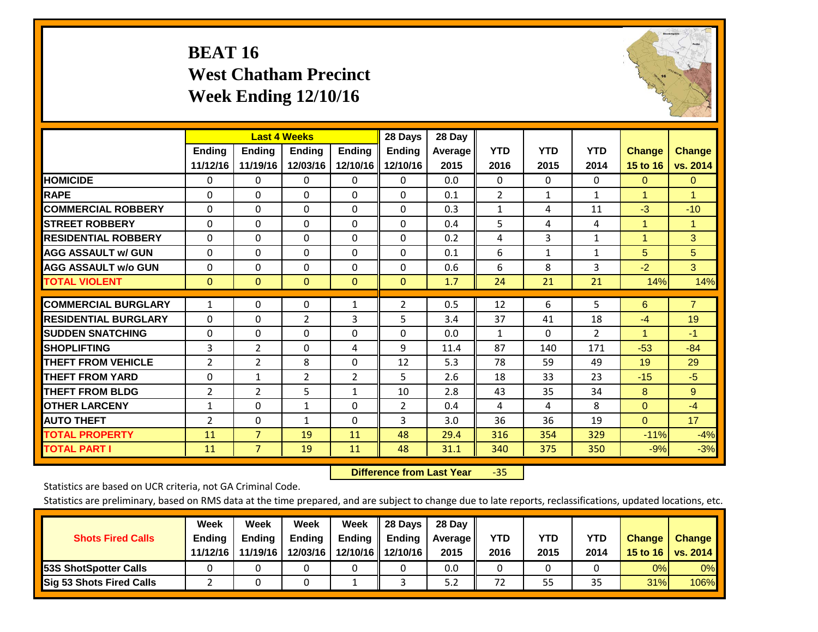# **BEAT 16 West Chatham Precinct Week Ending 12/10/16**



|                             |                           | <b>Last 4 Weeks</b>       |                           |                           | 28 Days                   | 28 Day            |                    |                    |                    |                           |                           |
|-----------------------------|---------------------------|---------------------------|---------------------------|---------------------------|---------------------------|-------------------|--------------------|--------------------|--------------------|---------------------------|---------------------------|
|                             | <b>Ending</b><br>11/12/16 | <b>Ending</b><br>11/19/16 | <b>Endina</b><br>12/03/16 | <b>Endina</b><br>12/10/16 | <b>Endina</b><br>12/10/16 | Average  <br>2015 | <b>YTD</b><br>2016 | <b>YTD</b><br>2015 | <b>YTD</b><br>2014 | <b>Change</b><br>15 to 16 | <b>Change</b><br>vs. 2014 |
| <b>HOMICIDE</b>             | 0                         | 0                         | $\Omega$                  | 0                         | 0                         | 0.0               | 0                  | $\Omega$           | 0                  | $\mathbf{0}$              | $\Omega$                  |
|                             |                           | $\Omega$                  | $\Omega$                  | $\Omega$                  | $\Omega$                  |                   |                    |                    | $\mathbf{1}$       |                           | 1                         |
| <b>RAPE</b>                 | 0                         |                           |                           |                           |                           | 0.1               | $\overline{2}$     | $\mathbf{1}$       |                    | 1                         |                           |
| <b>COMMERCIAL ROBBERY</b>   | $\Omega$                  | $\Omega$                  | $\Omega$                  | 0                         | $\Omega$                  | 0.3               | $\mathbf{1}$       | 4                  | 11                 | $-3$                      | $-10$                     |
| <b>STREET ROBBERY</b>       | $\Omega$                  | $\Omega$                  | $\Omega$                  | $\Omega$                  | $\Omega$                  | 0.4               | 5                  | 4                  | 4                  | $\blacktriangleleft$      | $\blacktriangleleft$      |
| <b>RESIDENTIAL ROBBERY</b>  | 0                         | $\Omega$                  | $\Omega$                  | $\mathbf{0}$              | $\Omega$                  | 0.2               | 4                  | 3                  | 1                  | 1                         | 3                         |
| <b>AGG ASSAULT w/ GUN</b>   | 0                         | $\Omega$                  | $\Omega$                  | $\mathbf{0}$              | $\Omega$                  | 0.1               | 6                  | $\mathbf{1}$       | 1                  | 5                         | 5                         |
| <b>AGG ASSAULT w/o GUN</b>  | $\Omega$                  | 0                         | $\Omega$                  | 0                         | $\Omega$                  | 0.6               | 6                  | 8                  | 3                  | $-2$                      | 3 <sup>1</sup>            |
| <b>TOTAL VIOLENT</b>        | $\mathbf{0}$              | $\mathbf{0}$              | $\mathbf{0}$              | $\mathbf{0}$              | $\mathbf{0}$              | 1.7               | 24                 | 21                 | 21                 | 14%                       | 14%                       |
|                             |                           |                           |                           |                           |                           |                   |                    |                    |                    |                           |                           |
| <b>COMMERCIAL BURGLARY</b>  | $\mathbf{1}$              | 0                         | $\mathbf{0}$              | 1                         | 2                         | 0.5               | 12                 | 6                  | 5                  | 6                         | $\overline{7}$            |
| <b>RESIDENTIAL BURGLARY</b> | $\Omega$                  | $\Omega$                  | 2                         | 3                         | 5                         | 3.4               | 37                 | 41                 | 18                 | $-4$                      | 19                        |
| <b>SUDDEN SNATCHING</b>     | 0                         | $\Omega$                  | $\Omega$                  | $\Omega$                  | $\Omega$                  | 0.0               | $\mathbf{1}$       | 0                  | $\overline{2}$     | 1                         | $-1$                      |
| <b>SHOPLIFTING</b>          | 3                         | $\overline{2}$            | $\mathbf{0}$              | 4                         | 9                         | 11.4              | 87                 | 140                | 171                | $-53$                     | $-84$                     |
| <b>THEFT FROM VEHICLE</b>   | 2                         | $\overline{2}$            | 8                         | $\mathbf{0}$              | 12                        | 5.3               | 78                 | 59                 | 49                 | 19                        | 29                        |
| <b>THEFT FROM YARD</b>      | $\Omega$                  | $\mathbf{1}$              | 2                         | 2                         | 5.                        | 2.6               | 18                 | 33                 | 23                 | $-15$                     | $-5$                      |
| <b>THEFT FROM BLDG</b>      | 2                         | 2                         | 5                         | 1                         | 10                        | 2.8               | 43                 | 35                 | 34                 | 8                         | 9                         |
| <b>IOTHER LARCENY</b>       | 1                         | 0                         | $\mathbf{1}$              | $\Omega$                  | $\overline{2}$            | 0.4               | 4                  | 4                  | 8                  | $\Omega$                  | $-4$                      |
| <b>AUTO THEFT</b>           | 2                         | 0                         | $\mathbf{1}$              | 0                         | 3                         | 3.0               | 36                 | 36                 | 19                 | $\Omega$                  | 17                        |
| <b>TOTAL PROPERTY</b>       | 11                        | $\overline{7}$            | 19                        | 11                        | 48                        | 29.4              | 316                | 354                | 329                | $-11%$                    | $-4%$                     |
| <b>TOTAL PART I</b>         | 11                        | $\overline{7}$            | 19                        | 11                        | 48                        | 31.1              | 340                | 375                | 350                | $-9%$                     | $-3%$                     |

 **Difference from Last Year**‐35

Statistics are based on UCR criteria, not GA Criminal Code.

| <b>Shots Fired Calls</b>        | Week<br><b>Ending</b><br>11/12/16 | Week<br><b>Endina</b><br>11/19/16 | Week<br>Ending<br>12/03/16 | Week<br>Ending | 28 Days<br><b>Ending</b><br>12/10/16   12/10/16 | 28 Day<br>Average II<br>2015 | YTD<br>2016 | YTD<br>2015 | <b>YTD</b><br>2014 | <b>Change</b><br>15 to 16 $\vert$ | <b>Change</b><br><b>vs. 2014</b> |
|---------------------------------|-----------------------------------|-----------------------------------|----------------------------|----------------|-------------------------------------------------|------------------------------|-------------|-------------|--------------------|-----------------------------------|----------------------------------|
| <b>153S ShotSpotter Calls</b>   |                                   |                                   |                            |                |                                                 | 0.0                          |             |             |                    | 0%                                | 0%                               |
| <b>Sig 53 Shots Fired Calls</b> |                                   |                                   |                            |                |                                                 | 5.2                          | 72          | 55          | 35                 | 31%                               | 106%                             |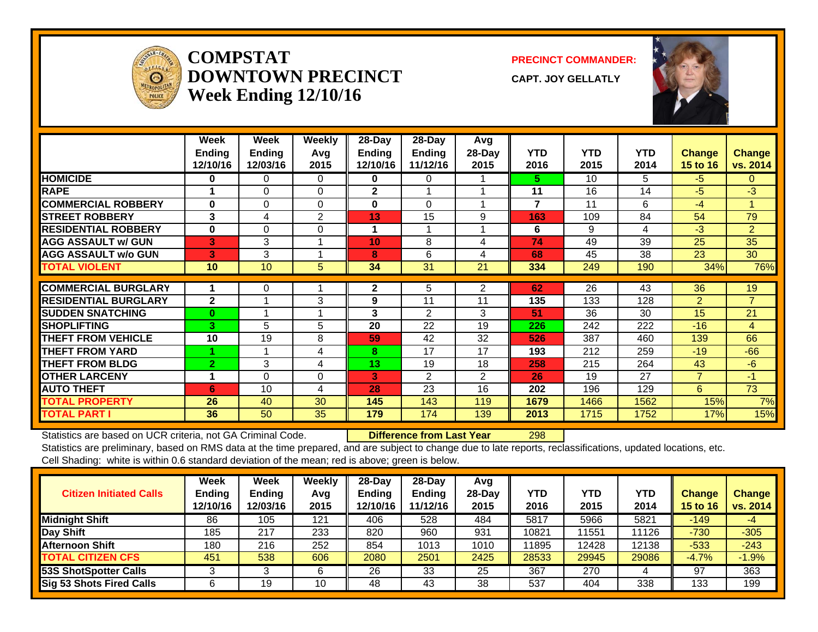

#### **COMPSTATDOWNTOWN PRECINCTWeek Ending 12/10/16**

**PRECINCT COMMANDER:**

**CAPT. JOY GELLATLY**



|                             | Week<br><b>Endina</b><br>12/10/16 | Week<br><b>Endina</b><br>12/03/16 | Weekly<br>Avg<br>2015 | 28-Day<br><b>Ending</b><br>12/10/16 | 28-Day<br>Ending<br>11/12/16 | Avg<br>28-Day<br>2015 | <b>YTD</b><br>2016 | <b>YTD</b><br>2015 | <b>YTD</b><br>2014 | <b>Change</b><br>15 to 16 | <b>Change</b><br>vs. 2014 |
|-----------------------------|-----------------------------------|-----------------------------------|-----------------------|-------------------------------------|------------------------------|-----------------------|--------------------|--------------------|--------------------|---------------------------|---------------------------|
| <b>HOMICIDE</b>             | 0                                 | 0                                 | $\Omega$              | 0                                   | 0                            |                       | 5.                 | 10                 | 5.                 | -5                        | $\Omega$                  |
| <b>RAPE</b>                 |                                   | $\Omega$                          | $\Omega$              | $\mathbf{2}$                        |                              |                       | 11                 | 16                 | 14                 | -5                        | $-3$                      |
| <b>COMMERCIAL ROBBERY</b>   | 0                                 | 0                                 | $\Omega$              | $\mathbf{0}$                        | $\Omega$                     |                       | 7                  | 11                 | 6                  | $-4$                      | 4                         |
| <b>STREET ROBBERY</b>       | 3                                 | 4                                 | $\overline{2}$        | 13                                  | 15                           | 9                     | 163                | 109                | 84                 | 54                        | 79                        |
| <b>RESIDENTIAL ROBBERY</b>  | $\bf{0}$                          | $\Omega$                          | $\Omega$              |                                     |                              |                       | 6                  | 9                  | 4                  | $-3$                      | $\overline{2}$            |
| <b>AGG ASSAULT w/ GUN</b>   | $\vert$ 3'                        | 3                                 |                       | 10                                  | 8                            | 4                     | 74                 | 49                 | 39                 | 25                        | 35                        |
| <b>AGG ASSAULT w/o GUN</b>  | 3                                 | 3                                 |                       | 8                                   | 6                            | 4                     | 68                 | 45                 | 38                 | 23                        | 30                        |
| <b>TOTAL VIOLENT</b>        | 10                                | 10                                | 5                     | 34                                  | 31                           | 21                    | 334                | 249                | 190                | 34%                       | 76%                       |
|                             |                                   |                                   |                       |                                     |                              |                       |                    |                    |                    |                           |                           |
| <b>COMMERCIAL BURGLARY</b>  |                                   | 0                                 |                       | $\mathbf{2}$                        | 5                            | $\overline{2}$        | 62                 | 26                 | 43                 | 36                        | 19                        |
| <b>RESIDENTIAL BURGLARY</b> | $\mathbf{2}$                      |                                   | 3                     | 9                                   | 11                           | 11                    | 135                | 133                | 128                | $\overline{2}$            | $\overline{7}$            |
| <b>SUDDEN SNATCHING</b>     | $\bf{0}$                          |                                   |                       | 3                                   | $\mathfrak{p}$               | 3                     | 51                 | 36                 | 30                 | 15                        | 21                        |
| <b>ISHOPLIFTING</b>         | 3                                 | 5                                 | 5                     | 20                                  | 22                           | 19                    | 226                | 242                | 222                | $-16$                     | 4                         |
| <b>THEFT FROM VEHICLE</b>   | 10                                | 19                                | 8                     | 59                                  | 42                           | 32                    | 526                | 387                | 460                | 139                       | 66                        |
| <b>THEFT FROM YARD</b>      |                                   |                                   | 4                     | 8                                   | 17                           | 17                    | 193                | 212                | 259                | $-19$                     | $-66$                     |
| <b>THEFT FROM BLDG</b>      | $\overline{2}$                    | 3                                 | 4                     | 13                                  | 19                           | 18                    | 258                | 215                | 264                | 43                        | -6                        |
| <b>OTHER LARCENY</b>        | 1                                 | $\Omega$                          | 0                     | 3                                   | 2                            | $\overline{2}$        | 26                 | 19                 | 27                 | $\overline{7}$            | $-1$                      |
| <b>AUTO THEFT</b>           | 6                                 | 10                                | 4                     | 28                                  | 23                           | 16                    | 202                | 196                | 129                | 6                         | 73                        |
| <b>TOTAL PROPERTY</b>       | 26                                | 40                                | 30                    | 145                                 | 143                          | 119                   | 1679               | 1466               | 1562               | 15%                       | 7%                        |
| <b>TOTAL PART I</b>         | 36                                | 50                                | 35                    | 179                                 | 174                          | 139                   | 2013               | 1715               | 1752               | 17%                       | 15%                       |

Statistics are based on UCR criteria, not GA Criminal Code. **Difference from Last Year** 298

| <b>Citizen Initiated Calls</b>  | Week<br><b>Ending</b><br>12/10/16 | <b>Week</b><br><b>Ending</b><br>12/03/16 | Weekly<br>Avg<br>2015 | $28$ -Day<br><b>Ending</b><br>12/10/16 | 28-Day<br><b>Ending</b><br>11/12/16 | Avg<br>28-Day<br>2015 | YTD<br>2016 | <b>YTD</b><br>2015 | YTD<br>2014 | <b>Change</b><br><b>15 to 16</b> | <b>Change</b><br>vs. 2014 |
|---------------------------------|-----------------------------------|------------------------------------------|-----------------------|----------------------------------------|-------------------------------------|-----------------------|-------------|--------------------|-------------|----------------------------------|---------------------------|
| <b>Midnight Shift</b>           | 86                                | 105                                      | 121                   | 406                                    | 528                                 | 484                   | 5817        | 5966               | 5821        | $-149$                           | $-4$                      |
| Day Shift                       | 185                               | 217                                      | 233                   | 820                                    | 960                                 | 931                   | 10821       | 1551               | 11126       | $-730$                           | $-305$                    |
| <b>Afternoon Shift</b>          | 180                               | 216                                      | 252                   | 854                                    | 1013                                | 1010                  | 11895       | 12428              | 12138       | $-533$                           | $-243$                    |
| <b>TOTAL CITIZEN CFS</b>        | 451                               | 538                                      | 606                   | 2080                                   | 2501                                | 2425                  | 28533       | 29945              | 29086       | $-4.7%$                          | $-1.9%$                   |
| 53S ShotSpotter Calls           |                                   |                                          | 6                     | 26                                     | 33                                  | 25                    | 367         | 270                | 4           | 97                               | 363                       |
| <b>Sig 53 Shots Fired Calls</b> |                                   | 19                                       | 10                    | 48                                     | 43                                  | 38                    | 537         | 404                | 338         | 133                              | 199                       |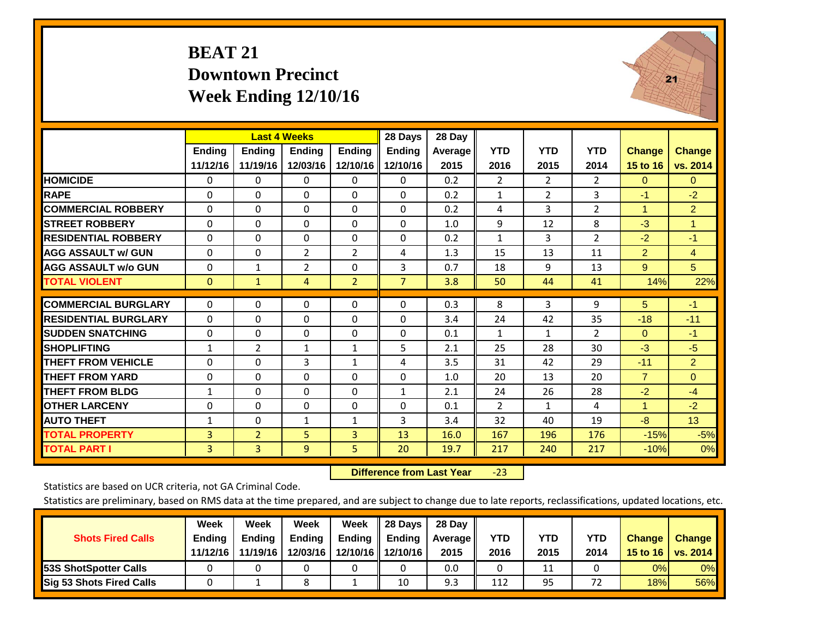#### **BEAT 21 Downtown Precinct Week Ending 12/10/16**



|                             |              | <b>Last 4 Weeks</b> |                |                | 28 Days        | 28 Day  |                |                |                |                      |                |
|-----------------------------|--------------|---------------------|----------------|----------------|----------------|---------|----------------|----------------|----------------|----------------------|----------------|
|                             | Ending       | <b>Ending</b>       | <b>Ending</b>  | <b>Ending</b>  | <b>Ending</b>  | Average | <b>YTD</b>     | <b>YTD</b>     | <b>YTD</b>     | <b>Change</b>        | <b>Change</b>  |
|                             | 11/12/16     | 11/19/16            | 12/03/16       | 12/10/16       | 12/10/16       | 2015    | 2016           | 2015           | 2014           | 15 to 16             | vs. 2014       |
| <b>HOMICIDE</b>             | $\mathbf{0}$ | 0                   | 0              | 0              | $\Omega$       | 0.2     | $\overline{2}$ | $\overline{2}$ | $\overline{2}$ | $\mathbf{0}$         | $\Omega$       |
| <b>RAPE</b>                 | $\Omega$     | $\Omega$            | $\Omega$       | 0              | $\Omega$       | 0.2     | $\mathbf{1}$   | $\overline{2}$ | 3              | $-1$                 | $-2$           |
| <b>COMMERCIAL ROBBERY</b>   | $\Omega$     | $\Omega$            | $\Omega$       | 0              | $\Omega$       | 0.2     | 4              | 3              | $\overline{2}$ | $\blacktriangleleft$ | $\overline{2}$ |
| <b>STREET ROBBERY</b>       | $\Omega$     | $\Omega$            | $\Omega$       | $\Omega$       | 0              | 1.0     | 9              | 12             | 8              | $-3$                 | $\mathbf{1}$   |
| <b>RESIDENTIAL ROBBERY</b>  | $\Omega$     | $\Omega$            | $\Omega$       | $\Omega$       | $\Omega$       | 0.2     | $\mathbf{1}$   | 3              | $\overline{2}$ | $-2$                 | $-1$           |
| <b>AGG ASSAULT w/ GUN</b>   | $\Omega$     | $\Omega$            | $\overline{2}$ | $\overline{2}$ | 4              | 1.3     | 15             | 13             | 11             | $\overline{2}$       | $\overline{4}$ |
| <b>AGG ASSAULT w/o GUN</b>  | $\Omega$     | 1                   | $\overline{2}$ | $\Omega$       | 3              | 0.7     | 18             | 9              | 13             | $9^{\circ}$          | 5              |
| <b>TOTAL VIOLENT</b>        | $\mathbf{0}$ | $\mathbf{1}$        | 4              | $\overline{2}$ | $\overline{7}$ | 3.8     | 50             | 44             | 41             | 14%                  | 22%            |
| <b>COMMERCIAL BURGLARY</b>  | $\Omega$     | $\Omega$            | $\Omega$       | $\Omega$       | $\Omega$       | 0.3     | 8              | 3              | 9              | 5                    | $-1$           |
| <b>RESIDENTIAL BURGLARY</b> | $\Omega$     | $\Omega$            | $\Omega$       | $\Omega$       | $\Omega$       | 3.4     | 24             | 42             | 35             | $-18$                | $-11$          |
| <b>ISUDDEN SNATCHING</b>    | $\mathbf 0$  | $\Omega$            | 0              | $\Omega$       | $\Omega$       | 0.1     | $\mathbf{1}$   | $\mathbf{1}$   | $\overline{2}$ | $\Omega$             | $-1$           |
| <b>SHOPLIFTING</b>          | $\mathbf{1}$ | $\overline{2}$      | 1              | $\mathbf{1}$   | 5              | 2.1     | 25             | 28             | 30             | $-3$                 | $-5$           |
| <b>THEFT FROM VEHICLE</b>   | $\Omega$     | $\Omega$            | 3              | $\mathbf{1}$   | 4              | 3.5     | 31             | 42             | 29             | $-11$                | $\overline{2}$ |
| <b>THEFT FROM YARD</b>      | 0            | $\Omega$            | $\Omega$       | $\Omega$       | $\Omega$       | 1.0     | 20             | 13             | 20             | $\overline{7}$       | $\Omega$       |
| <b>THEFT FROM BLDG</b>      | $\mathbf{1}$ | $\Omega$            | $\Omega$       | $\Omega$       | $\mathbf{1}$   | 2.1     | 24             | 26             | 28             | $-2$                 | $-4$           |
| <b>OTHER LARCENY</b>        | $\Omega$     | $\Omega$            | $\Omega$       | $\Omega$       | 0              | 0.1     | $\overline{2}$ | $\mathbf{1}$   | 4              | 1                    | $-2$           |
| <b>AUTO THEFT</b>           | 1            | $\Omega$            | $\mathbf{1}$   | $\mathbf{1}$   | 3              | 3.4     | 32             | 40             | 19             | $-8$                 | 13             |
| <b>TOTAL PROPERTY</b>       | 3            | $\overline{2}$      | 5              | 3              | 13             | 16.0    | 167            | 196            | 176            | $-15%$               | $-5%$          |
| <b>TOTAL PART I</b>         | 3            | $\overline{3}$      | 9              | 5              | 20             | 19.7    | 217            | 240            | 217            | $-10%$               | 0%             |

 **Difference from Last Year**‐23

Statistics are based on UCR criteria, not GA Criminal Code.

| <b>Shots Fired Calls</b>        | Week<br><b>Ending</b><br>11/12/16 | Week<br><b>Endina</b><br>11/19/16 | Week<br>Ending<br>12/03/16 | Week<br>Ending | 28 Days<br><b>Ending</b><br>12/10/16 12/10/16 | 28 Day<br>Average II<br>2015 | YTD<br>2016 | YTD<br>2015 | YTD<br>2014 | <b>Change</b><br>15 to 16 | <b>Change</b><br><b>vs. 2014</b> |
|---------------------------------|-----------------------------------|-----------------------------------|----------------------------|----------------|-----------------------------------------------|------------------------------|-------------|-------------|-------------|---------------------------|----------------------------------|
| <b>153S ShotSpotter Calls</b>   |                                   |                                   |                            |                |                                               | 0.0                          |             | 11          |             | 0%                        | 0%                               |
| <b>Sig 53 Shots Fired Calls</b> |                                   |                                   | Ω                          |                | 10                                            | 9.3                          | 112         | 95          | רד          | 18%                       | 56%                              |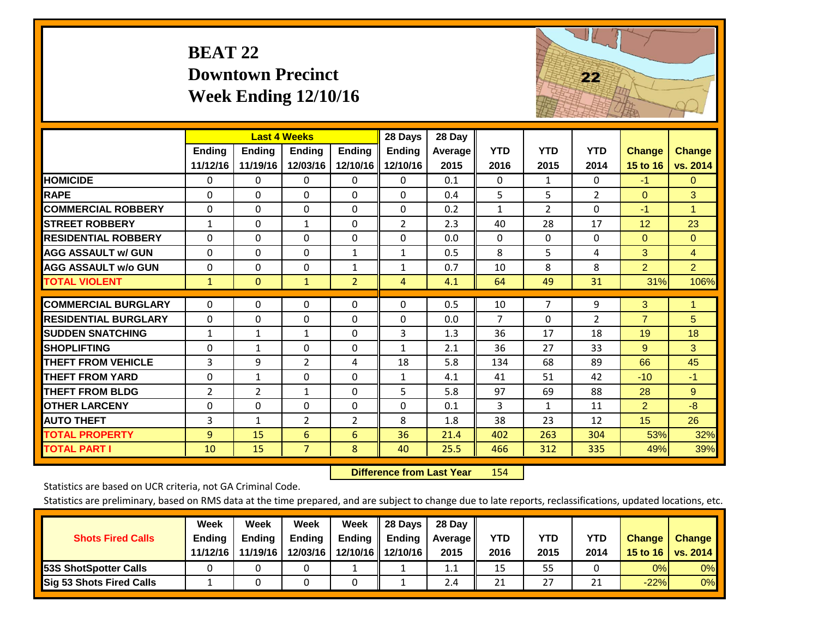| <b>BEAT 22</b>           |
|--------------------------|
| <b>Downtown Precinct</b> |
| Week Ending $12/10/16$   |



|                             |                | <b>Last 4 Weeks</b> |                |                | 28 Days        | 28 Day  |                |                |                |                |                |
|-----------------------------|----------------|---------------------|----------------|----------------|----------------|---------|----------------|----------------|----------------|----------------|----------------|
|                             | <b>Ending</b>  | <b>Ending</b>       | <b>Ending</b>  | <b>Ending</b>  | <b>Ending</b>  | Average | <b>YTD</b>     | <b>YTD</b>     | <b>YTD</b>     | <b>Change</b>  | <b>Change</b>  |
|                             | 11/12/16       | 11/19/16            | 12/03/16       | 12/10/16       | 12/10/16       | 2015    | 2016           | 2015           | 2014           | 15 to 16       | vs. 2014       |
| <b>HOMICIDE</b>             | $\mathbf{0}$   | 0                   | 0              | 0              | $\Omega$       | 0.1     | $\Omega$       | 1              | $\Omega$       | $-1$           | $\mathbf{0}$   |
| <b>RAPE</b>                 | $\Omega$       | $\Omega$            | $\Omega$       | $\Omega$       | $\Omega$       | 0.4     | 5              | 5              | $\overline{2}$ | $\Omega$       | 3              |
| <b>COMMERCIAL ROBBERY</b>   | $\Omega$       | 0                   | $\Omega$       | $\Omega$       | $\Omega$       | 0.2     | $\mathbf{1}$   | 2              | $\Omega$       | $-1$           | 1.             |
| <b>STREET ROBBERY</b>       | $\mathbf{1}$   | $\Omega$            | $\mathbf{1}$   | $\Omega$       | $\overline{2}$ | 2.3     | 40             | 28             | 17             | 12             | 23             |
| <b>RESIDENTIAL ROBBERY</b>  | $\Omega$       | $\Omega$            | $\Omega$       | $\Omega$       | $\Omega$       | 0.0     | $\Omega$       | 0              | $\Omega$       | $\mathbf{0}$   | $\Omega$       |
| <b>AGG ASSAULT w/ GUN</b>   | $\Omega$       | $\Omega$            | $\Omega$       | $\mathbf{1}$   | $\mathbf{1}$   | 0.5     | 8              | 5              | 4              | 3              | $\overline{4}$ |
| <b>AGG ASSAULT w/o GUN</b>  | $\Omega$       | 0                   | $\Omega$       | 1              | $\mathbf{1}$   | 0.7     | 10             | 8              | 8              | $\overline{2}$ | $\overline{2}$ |
| <b>TOTAL VIOLENT</b>        | $\mathbf{1}$   | $\Omega$            | $\mathbf{1}$   | $\overline{2}$ | 4              | 4.1     | 64             | 49             | 31             | 31%            | 106%           |
| <b>COMMERCIAL BURGLARY</b>  | $\mathbf{0}$   | 0                   | $\Omega$       | $\Omega$       | $\Omega$       | 0.5     | 10             | $\overline{7}$ | 9              | 3              | 1              |
|                             |                |                     |                |                |                |         |                |                |                |                |                |
| <b>RESIDENTIAL BURGLARY</b> | $\Omega$       | 0                   | $\Omega$       | $\Omega$       | $\Omega$       | 0.0     | $\overline{7}$ | $\Omega$       | $\overline{2}$ | $\overline{7}$ | 5              |
| <b>SUDDEN SNATCHING</b>     | $\mathbf{1}$   | $\mathbf{1}$        | $\mathbf{1}$   | $\Omega$       | 3              | 1.3     | 36             | 17             | 18             | 19             | 18             |
| <b>SHOPLIFTING</b>          | $\Omega$       | $\mathbf{1}$        | $\Omega$       | $\Omega$       | $\mathbf{1}$   | 2.1     | 36             | 27             | 33             | 9              | 3              |
| <b>THEFT FROM VEHICLE</b>   | 3              | 9                   | $\overline{2}$ | 4              | 18             | 5.8     | 134            | 68             | 89             | 66             | 45             |
| <b>THEFT FROM YARD</b>      | $\Omega$       | $\mathbf{1}$        | $\Omega$       | $\Omega$       | $\mathbf{1}$   | 4.1     | 41             | 51             | 42             | $-10$          | $-1$           |
| <b>THEFT FROM BLDG</b>      | $\overline{2}$ | $\overline{2}$      | $\mathbf{1}$   | $\Omega$       | 5              | 5.8     | 97             | 69             | 88             | 28             | 9              |
| <b>OTHER LARCENY</b>        | $\Omega$       | 0                   | $\Omega$       | $\Omega$       | 0              | 0.1     | 3              | $\mathbf{1}$   | 11             | $\overline{2}$ | $-8$           |
| <b>AUTO THEFT</b>           | 3              | $\mathbf{1}$        | 2              | $\overline{2}$ | 8              | 1.8     | 38             | 23             | 12             | 15             | 26             |
| <b>TOTAL PROPERTY</b>       | 9              | 15                  | 6              | 6              | 36             | 21.4    | 402            | 263            | 304            | 53%            | 32%            |
| <b>TOTAL PART I</b>         | 10             | 15                  | $\overline{7}$ | 8              | 40             | 25.5    | 466            | 312            | 335            | 49%            | 39%            |

 **Difference from Last Year**r 154

Statistics are based on UCR criteria, not GA Criminal Code.

|                                 | Week          | Week          | Week          | Week | 28 Days                   | 28 Day     |            |            |            |               |               |
|---------------------------------|---------------|---------------|---------------|------|---------------------------|------------|------------|------------|------------|---------------|---------------|
| <b>Shots Fired Calls</b>        | <b>Ending</b> | <b>Endina</b> | <b>Ending</b> |      | Ending $\parallel$ Ending | Average II | <b>YTD</b> | <b>YTD</b> | <b>YTD</b> | <b>Change</b> | <b>Change</b> |
|                                 | 11/12/16      | 11/19/16      | 12/03/16      |      | 12/10/16 12/10/16         | 2015       | 2016       | 2015       | 2014       | 15 to 16      | vs. 2014      |
| <b>153S ShotSpotter Calls</b>   |               |               |               |      |                           | 1.1        | 15         | 55         |            | 0%            | $0\%$         |
| <b>Sig 53 Shots Fired Calls</b> |               |               |               |      |                           | 2.4        | 21         | 27         | <b>O</b> 4 | $-22%$        | 0%            |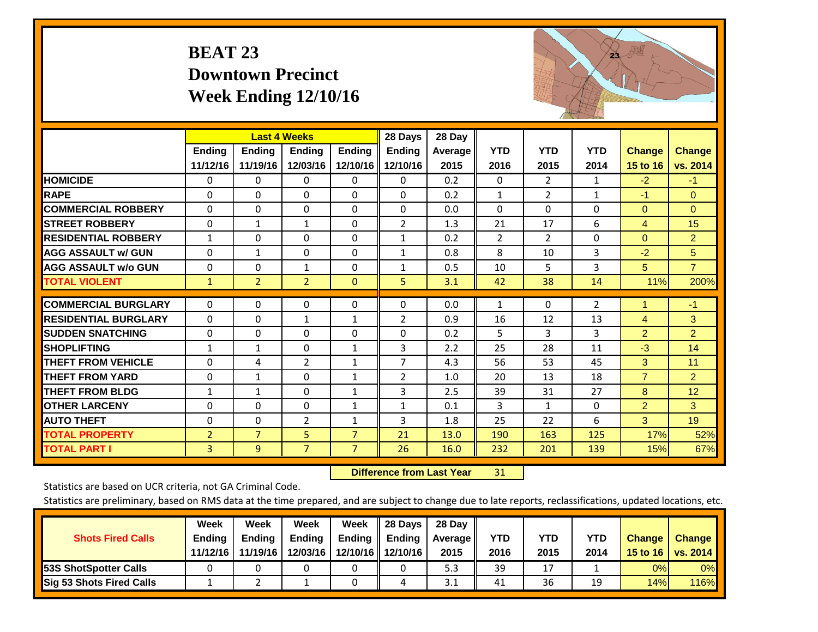# **BEAT 23 Downtown Precinct Week Ending 12/10/16**



|                             |                | <b>Last 4 Weeks</b> |                |                | 28 Days        | 28 Day  |                |                |                |                |                |
|-----------------------------|----------------|---------------------|----------------|----------------|----------------|---------|----------------|----------------|----------------|----------------|----------------|
|                             | Ending         | <b>Ending</b>       | <b>Endina</b>  | <b>Ending</b>  | <b>Ending</b>  | Average | <b>YTD</b>     | <b>YTD</b>     | <b>YTD</b>     | <b>Change</b>  | <b>Change</b>  |
|                             | 11/12/16       | 11/19/16            | 12/03/16       | 12/10/16       | 12/10/16       | 2015    | 2016           | 2015           | 2014           | 15 to 16       | vs. 2014       |
| <b>HOMICIDE</b>             | $\Omega$       | 0                   | 0              | 0              | $\Omega$       | 0.2     | $\mathbf{0}$   | $\overline{2}$ | $\mathbf{1}$   | $-2$           | $-1$           |
| <b>RAPE</b>                 | $\Omega$       | 0                   | $\Omega$       | $\Omega$       | 0              | 0.2     | 1              | 2              | 1              | $-1$           | $\mathbf{0}$   |
| <b>COMMERCIAL ROBBERY</b>   | $\Omega$       | $\Omega$            | $\Omega$       | 0              | $\Omega$       | 0.0     | $\Omega$       | $\Omega$       | $\Omega$       | $\Omega$       | $\Omega$       |
| <b>STREET ROBBERY</b>       | $\mathbf 0$    | $\mathbf 1$         | 1              | 0              | $\overline{2}$ | 1.3     | 21             | 17             | 6              | $\overline{4}$ | 15             |
| <b>RESIDENTIAL ROBBERY</b>  | $\mathbf{1}$   | $\Omega$            | $\Omega$       | 0              | $\mathbf{1}$   | 0.2     | $\overline{2}$ | 2              | $\Omega$       | $\Omega$       | 2 <sup>1</sup> |
| <b>AGG ASSAULT w/ GUN</b>   | $\Omega$       | $\mathbf{1}$        | $\Omega$       | $\Omega$       | $\mathbf{1}$   | 0.8     | 8              | 10             | 3              | $-2$           | 5              |
| <b>AGG ASSAULT w/o GUN</b>  | $\Omega$       | $\Omega$            | $\mathbf{1}$   | 0              | $\mathbf{1}$   | 0.5     | 10             | 5.             | 3              | 5              | $\overline{7}$ |
| <b>TOTAL VIOLENT</b>        | $\mathbf{1}$   | $\overline{2}$      | $\overline{2}$ | $\mathbf{0}$   | 5              | 3.1     | 42             | 38             | 14             | 11%            | 200%           |
| <b>COMMERCIAL BURGLARY</b>  | $\Omega$       | $\Omega$            | 0              | 0              | 0              | 0.0     | 1              | $\Omega$       | $\overline{2}$ |                | $-1$           |
| <b>RESIDENTIAL BURGLARY</b> |                |                     |                |                |                |         |                |                | 13             |                | 3              |
|                             | $\Omega$       | $\Omega$            | $\mathbf{1}$   | $\mathbf{1}$   | 2              | 0.9     | 16             | 12             |                | $\overline{4}$ |                |
| <b>SUDDEN SNATCHING</b>     | $\Omega$       | $\Omega$            | $\Omega$       | $\Omega$       | 0              | 0.2     | 5              | 3              | 3              | $\overline{2}$ | $\overline{2}$ |
| <b>SHOPLIFTING</b>          | $\mathbf{1}$   | $\mathbf{1}$        | $\Omega$       | $\mathbf{1}$   | 3              | 2.2     | 25             | 28             | 11             | $-3$           | 14             |
| <b>THEFT FROM VEHICLE</b>   | $\Omega$       | 4                   | 2              | $\mathbf{1}$   | $\overline{7}$ | 4.3     | 56             | 53             | 45             | 3              | 11             |
| <b>THEFT FROM YARD</b>      | $\mathbf 0$    | $\mathbf{1}$        | $\Omega$       | $\mathbf{1}$   | 2              | 1.0     | 20             | 13             | 18             | $\overline{7}$ | $\overline{2}$ |
| <b>THEFT FROM BLDG</b>      | $\mathbf{1}$   | $\mathbf{1}$        | $\Omega$       | 1              | 3              | 2.5     | 39             | 31             | 27             | 8              | 12             |
| <b>OTHER LARCENY</b>        | $\Omega$       | $\Omega$            | 0              | $\mathbf{1}$   | $\mathbf{1}$   | 0.1     | 3              | $\mathbf{1}$   | 0              | $\overline{2}$ | 3              |
| <b>AUTO THEFT</b>           | $\Omega$       | $\Omega$            | 2              | $\mathbf{1}$   | 3              | 1.8     | 25             | 22             | 6              | 3              | 19             |
| <b>TOTAL PROPERTY</b>       | $\overline{2}$ | $\overline{7}$      | 5              | $\overline{7}$ | 21             | 13.0    | 190            | 163            | 125            | 17%            | 52%            |
| <b>TOTAL PART I</b>         | 3              | 9                   | $\overline{7}$ | $\overline{7}$ | 26             | 16.0    | 232            | 201            | 139            | 15%            | 67%            |

 **Difference from Last Year**r 31

Statistics are based on UCR criteria, not GA Criminal Code.

|                              | Week          | Week          | Week          | Week          | 28 Days             | 28 Day  |      |      |            |                  |                 |
|------------------------------|---------------|---------------|---------------|---------------|---------------------|---------|------|------|------------|------------------|-----------------|
| <b>Shots Fired Calls</b>     | <b>Ending</b> | <b>Ending</b> | <b>Ending</b> | <b>Ending</b> | <b>Ending</b>       | Average | YTD  | YTD  | <b>YTD</b> | <b>Change</b>    | <b>Change</b>   |
|                              | 11/12/16      | 11/19/16      | 12/03/16      |               | 12/10/16   12/10/16 | 2015    | 2016 | 2015 | 2014       | 15 to 16 $\vert$ | <b>VS. 2014</b> |
| <b>53S ShotSpotter Calls</b> |               |               |               |               |                     | 5.3     | 39   | 17   |            | 0%               | 0%              |
| Sig 53 Shots Fired Calls     |               |               |               |               |                     | 3.1     | 41   | 36   | 19         | 14%              | <b>116%</b>     |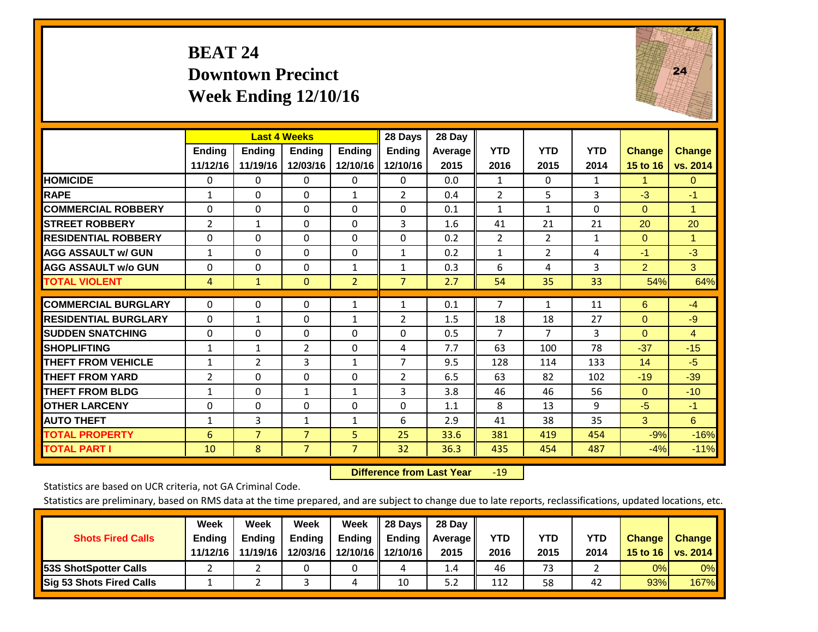### **BEAT 24 Downtown Precinct Week Ending 12/10/16**



|                             |                | <b>Last 4 Weeks</b> |                |                | 28 Days        | 28 Day         |                |                |              |                 |               |
|-----------------------------|----------------|---------------------|----------------|----------------|----------------|----------------|----------------|----------------|--------------|-----------------|---------------|
|                             | <b>Ending</b>  | <b>Endina</b>       | <b>Endina</b>  | <b>Endina</b>  | <b>Endina</b>  | <b>Average</b> | <b>YTD</b>     | <b>YTD</b>     | <b>YTD</b>   | <b>Change</b>   | <b>Change</b> |
|                             | 11/12/16       | 11/19/16            | 12/03/16       | 12/10/16       | 12/10/16       | 2015           | 2016           | 2015           | 2014         | <b>15 to 16</b> | vs. 2014      |
| <b>HOMICIDE</b>             | 0              | $\mathbf{0}$        | $\Omega$       | 0              | 0              | 0.0            | 1              | 0              | $\mathbf{1}$ | 1               | $\mathbf{0}$  |
| <b>RAPE</b>                 | 1              | $\Omega$            | $\Omega$       | 1              | $\overline{2}$ | 0.4            | $\overline{2}$ | 5              | 3            | $-3$            | $-1$          |
| <b>COMMERCIAL ROBBERY</b>   | 0              | 0                   | $\mathbf{0}$   | 0              | $\Omega$       | 0.1            | $\mathbf{1}$   | $\mathbf{1}$   | $\Omega$     | $\Omega$        | 1             |
| <b>STREET ROBBERY</b>       | 2              | 1                   | $\mathbf 0$    | $\Omega$       | 3              | 1.6            | 41             | 21             | 21           | 20              | 20            |
| <b>RESIDENTIAL ROBBERY</b>  | $\Omega$       | 0                   | $\mathbf{0}$   | 0              | 0              | 0.2            | 2              | $\overline{2}$ | $\mathbf{1}$ | $\Omega$        | 1             |
| <b>AGG ASSAULT w/ GUN</b>   | 1              | 0                   | $\mathbf{0}$   | $\Omega$       | $\mathbf{1}$   | 0.2            | 1              | $\overline{2}$ | 4            | $-1$            | $-3$          |
| <b>AGG ASSAULT w/o GUN</b>  | $\Omega$       | $\Omega$            | $\Omega$       | 1              | 1              | 0.3            | 6              | 4              | 3            | $\overline{2}$  | 3             |
| <b>TOTAL VIOLENT</b>        | 4              | $\mathbf{1}$        | $\mathbf{0}$   | $\overline{2}$ | $\overline{7}$ | 2.7            | 54             | 35             | 33           | 54%             | 64%           |
|                             |                |                     |                |                |                |                |                |                |              |                 |               |
| <b>COMMERCIAL BURGLARY</b>  | $\Omega$       | 0                   | $\mathbf{0}$   | 1              | 1              | 0.1            | 7              | $\mathbf{1}$   | 11           | 6               | $-4$          |
| <b>RESIDENTIAL BURGLARY</b> | $\Omega$       | 1                   | $\mathbf{0}$   | 1              | $\overline{2}$ | 1.5            | 18             | 18             | 27           | $\Omega$        | $-9$          |
| <b>ISUDDEN SNATCHING</b>    | $\Omega$       | 0                   | $\mathbf{0}$   | $\Omega$       | $\Omega$       | 0.5            | $\overline{7}$ | 7              | 3            | $\Omega$        | 4             |
| <b>SHOPLIFTING</b>          | 1              | 1                   | 2              | 0              | 4              | 7.7            | 63             | 100            | 78           | $-37$           | $-15$         |
| <b>THEFT FROM VEHICLE</b>   | $\mathbf{1}$   | $\overline{2}$      | 3              | $\mathbf{1}$   | $\overline{7}$ | 9.5            | 128            | 114            | 133          | 14              | $-5$          |
| <b>THEFT FROM YARD</b>      | $\overline{2}$ | $\Omega$            | $\Omega$       | $\Omega$       | $\overline{2}$ | 6.5            | 63             | 82             | 102          | $-19$           | $-39$         |
| <b>THEFT FROM BLDG</b>      | 1              | 0                   | $\mathbf{1}$   | 1              | 3              | 3.8            | 46             | 46             | 56           | $\Omega$        | $-10$         |
| <b>OTHER LARCENY</b>        | $\Omega$       | $\Omega$            | $\Omega$       | $\Omega$       | 0              | 1.1            | 8              | 13             | 9            | $-5$            | $-1$          |
| <b>AUTO THEFT</b>           | $\mathbf{1}$   | 3                   | 1              | 1              | 6              | 2.9            | 41             | 38             | 35           | 3               | 6             |
| <b>TOTAL PROPERTY</b>       | 6              | $\overline{7}$      | $\overline{7}$ | 5              | 25             | 33.6           | 381            | 419            | 454          | $-9%$           | $-16%$        |
| <b>TOTAL PART I</b>         | 10             | 8                   | $\overline{7}$ | $\overline{7}$ | 32             | 36.3           | 435            | 454            | 487          | $-4%$           | $-11%$        |

 **Difference from Last Year**r -19

Statistics are based on UCR criteria, not GA Criminal Code.

|                                 | Week          | Week          | Week          | Week | II 28 Davs                | 28 Day  |            |            |      |               |               |
|---------------------------------|---------------|---------------|---------------|------|---------------------------|---------|------------|------------|------|---------------|---------------|
| <b>Shots Fired Calls</b>        | <b>Ending</b> | <b>Endina</b> | <b>Ending</b> |      | Ending $\parallel$ Ending | Average | <b>YTD</b> | <b>YTD</b> | YTD  | <b>Change</b> | <b>Change</b> |
|                                 | 11/12/16      | 11/19/16      | 12/03/16      |      | 12/10/16 12/10/16         | 2015    | 2016       | 2015       | 2014 | 15 to 16      | vs. 2014      |
| <b>153S ShotSpotter Calls</b>   |               |               |               |      |                           | 1.4     | 46         | 73         |      | 0%            | $0\%$         |
| <b>Sig 53 Shots Fired Calls</b> |               |               |               | 4    | 10                        | 5.2     | 112        | 58         | 42   | 93%           | <b>167%</b>   |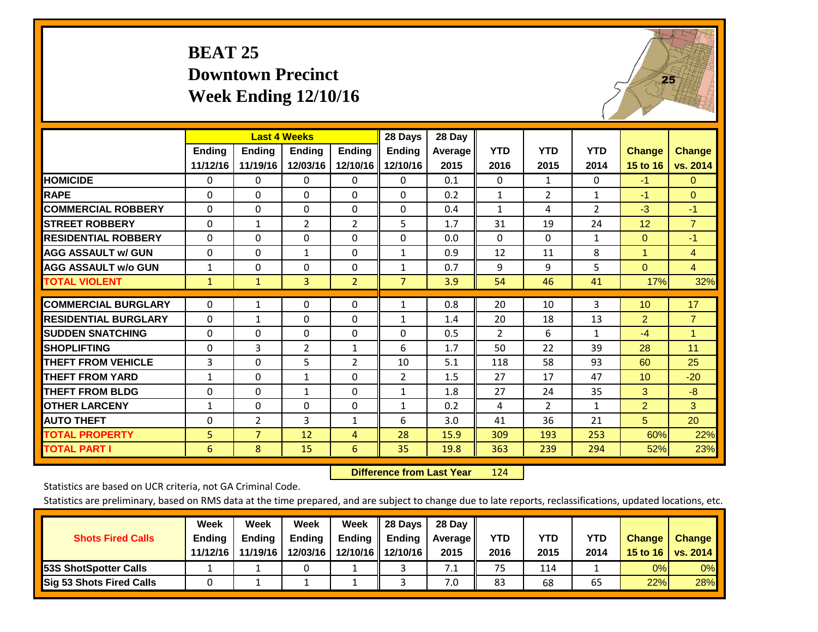# **BEAT 25 Downtown Precinct Week Ending 12/10/16**



|                             |                | <b>Last 4 Weeks</b> |                |                | 28 Days        | 28 Day  |              |                |                |                 |                |
|-----------------------------|----------------|---------------------|----------------|----------------|----------------|---------|--------------|----------------|----------------|-----------------|----------------|
|                             | <b>Ending</b>  | <b>Ending</b>       | Ending         | <b>Endina</b>  | <b>Ending</b>  | Average | <b>YTD</b>   | <b>YTD</b>     | <b>YTD</b>     | <b>Change</b>   | <b>Change</b>  |
|                             | 11/12/16       | 11/19/16            | 12/03/16       | 12/10/16       | 12/10/16       | 2015    | 2016         | 2015           | 2014           | 15 to 16        | vs. 2014       |
| <b>HOMICIDE</b>             | 0              | 0                   | $\mathbf 0$    | 0              | 0              | 0.1     | $\Omega$     | $\mathbf{1}$   | 0              | $-1$            | $\mathbf{0}$   |
| <b>RAPE</b>                 | 0              | $\Omega$            | $\Omega$       | $\Omega$       | 0              | 0.2     | 1            | $\overline{2}$ | $\mathbf{1}$   | $-1$            | $\Omega$       |
| <b>COMMERCIAL ROBBERY</b>   | 0              | 0                   | $\mathbf{0}$   | 0              | 0              | 0.4     | 1            | 4              | $\overline{2}$ | $-3$            | $-1$           |
| <b>ISTREET ROBBERY</b>      | $\Omega$       | $\mathbf{1}$        | $\overline{2}$ | $\overline{2}$ | 5              | 1.7     | 31           | 19             | 24             | 12              | $\overline{7}$ |
| <b>RESIDENTIAL ROBBERY</b>  | $\Omega$       | 0                   | $\mathbf{0}$   | 0              | $\Omega$       | 0.0     | $\mathbf{0}$ | $\Omega$       | $\mathbf{1}$   | $\Omega$        | $-1$           |
| <b>AGG ASSAULT w/ GUN</b>   | $\Omega$       | 0                   | $\mathbf{1}$   | $\Omega$       | $\mathbf{1}$   | 0.9     | 12           | 11             | 8              | 1               | 4              |
| <b>AGG ASSAULT w/o GUN</b>  | $\mathbf{1}$   | $\Omega$            | $\Omega$       | $\Omega$       | $\mathbf{1}$   | 0.7     | 9            | 9              | 5              | $\Omega$        | $\overline{4}$ |
| <b>TOTAL VIOLENT</b>        | $\mathbf{1}$   | 1                   | 3              | $\overline{2}$ | $\overline{7}$ | 3.9     | 54           | 46             | 41             | 17%             | 32%            |
| <b>COMMERCIAL BURGLARY</b>  | $\Omega$       | 1                   | $\mathbf{0}$   | $\Omega$       | $\mathbf{1}$   | 0.8     | 20           | 10             | 3              | 10              | 17             |
|                             |                |                     |                |                |                |         |              |                |                |                 |                |
| <b>RESIDENTIAL BURGLARY</b> | $\Omega$       | 1                   | $\mathbf{0}$   | $\Omega$       | 1              | 1.4     | 20           | 18             | 13             | $\overline{2}$  | $\overline{7}$ |
| <b>SUDDEN SNATCHING</b>     | $\Omega$       | 0                   | $\mathbf{0}$   | $\Omega$       | 0              | 0.5     | 2            | 6              | $\mathbf{1}$   | $-4$            | 1              |
| <b>SHOPLIFTING</b>          | $\Omega$       | 3                   | $\overline{2}$ | $\mathbf{1}$   | 6              | 1.7     | 50           | 22             | 39             | 28              | 11             |
| <b>THEFT FROM VEHICLE</b>   | 3              | 0                   | 5              | $\overline{2}$ | 10             | 5.1     | 118          | 58             | 93             | 60              | 25             |
| <b>THEFT FROM YARD</b>      | $\mathbf{1}$   | 0                   | $\mathbf{1}$   | $\Omega$       | $\overline{2}$ | 1.5     | 27           | 17             | 47             | 10 <sup>°</sup> | $-20$          |
| <b>THEFT FROM BLDG</b>      | 0              | 0                   | $\mathbf{1}$   | $\Omega$       | $\mathbf{1}$   | 1.8     | 27           | 24             | 35             | 3               | $-8$           |
| <b>OTHER LARCENY</b>        | 1              | 0                   | $\mathbf{0}$   | 0              | $\mathbf{1}$   | 0.2     | 4            | $\overline{2}$ | $\mathbf{1}$   | $\overline{2}$  | 3              |
| <b>AUTO THEFT</b>           | 0              | 2                   | 3              | 1              | 6              | 3.0     | 41           | 36             | 21             | 5               | 20             |
| <b>TOTAL PROPERTY</b>       | 5 <sup>1</sup> | $\overline{7}$      | 12             | 4              | 28             | 15.9    | 309          | 193            | 253            | 60%             | 22%            |
| <b>TOTAL PART I</b>         | 6              | 8                   | 15             | 6              | 35             | 19.8    | 363          | 239            | 294            | 52%             | 23%            |

 **Difference from Last Year**r 124

Statistics are based on UCR criteria, not GA Criminal Code.

| <b>Shots Fired Calls</b>        | Week<br><b>Ending</b><br>11/12/16 | Week<br><b>Endina</b><br>11/19/16 | Week<br>Ending<br>12/03/16 | Week<br>Ending | 28 Days<br><b>Ending</b><br>12/10/16   12/10/16 | 28 Day<br>Average II<br>2015 | YTD<br>2016 | YTD<br>2015 | <b>YTD</b><br>2014 | <b>Change</b><br>15 to 16 | <b>Change</b><br><b>vs. 2014</b> |
|---------------------------------|-----------------------------------|-----------------------------------|----------------------------|----------------|-------------------------------------------------|------------------------------|-------------|-------------|--------------------|---------------------------|----------------------------------|
| <b>153S ShotSpotter Calls</b>   |                                   |                                   |                            |                |                                                 | 7.1                          | 75          | 114         |                    | 0%                        | 0%                               |
| <b>Sig 53 Shots Fired Calls</b> |                                   |                                   |                            |                |                                                 | 7.0                          | 83          | 68          | 65                 | 22%                       | 28%                              |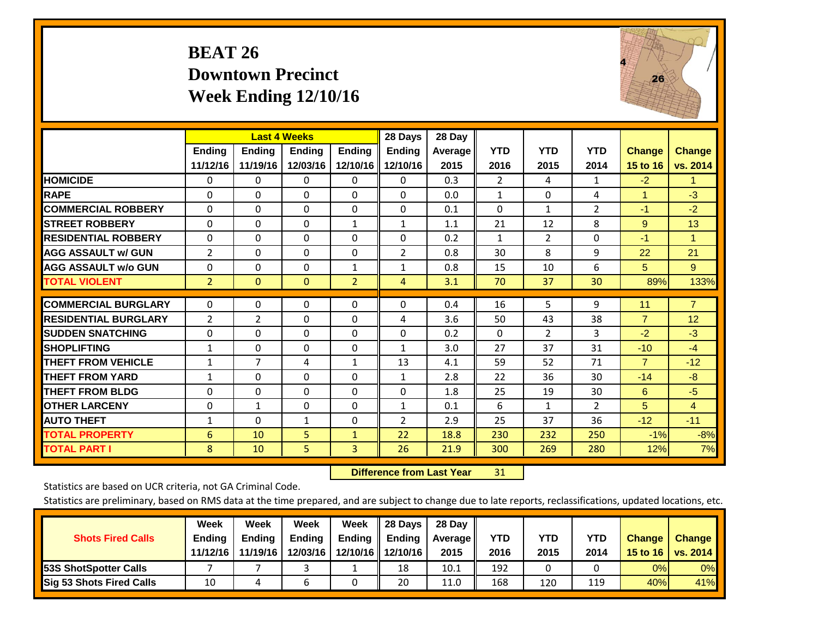# **BEAT 26 Downtown Precinct Week Ending 12/10/16**



|                             |                    | <b>Last 4 Weeks</b>       |                           |                           | 28 Days                   | 28 Day          |                    |                    |                    |                           |                           |
|-----------------------------|--------------------|---------------------------|---------------------------|---------------------------|---------------------------|-----------------|--------------------|--------------------|--------------------|---------------------------|---------------------------|
|                             | Ending<br>11/12/16 | <b>Ending</b><br>11/19/16 | <b>Endina</b><br>12/03/16 | <b>Ending</b><br>12/10/16 | <b>Endina</b><br>12/10/16 | Average<br>2015 | <b>YTD</b><br>2016 | <b>YTD</b><br>2015 | <b>YTD</b><br>2014 | <b>Change</b><br>15 to 16 | <b>Change</b><br>vs. 2014 |
| <b>HOMICIDE</b>             | 0                  | 0                         | 0                         | 0                         | 0                         | 0.3             | $\overline{2}$     | 4                  | 1                  | $-2$                      | $\blacktriangleleft$      |
| <b>RAPE</b>                 | 0                  | 0                         | $\Omega$                  | $\Omega$                  | 0                         | 0.0             | $\mathbf{1}$       | $\Omega$           | 4                  | 1                         | $-3$                      |
| <b>COMMERCIAL ROBBERY</b>   | $\Omega$           | $\Omega$                  | $\Omega$                  | $\Omega$                  | $\Omega$                  | 0.1             | $\Omega$           | $\mathbf{1}$       | $\overline{2}$     | $-1$                      | $-2$                      |
| <b>STREET ROBBERY</b>       | $\Omega$           | $\Omega$                  | $\Omega$                  | $\mathbf{1}$              | $\mathbf{1}$              | 1.1             | 21                 | 12                 | 8                  | 9                         | 13                        |
| <b>RESIDENTIAL ROBBERY</b>  | $\Omega$           | 0                         | 0                         | $\Omega$                  | $\Omega$                  | 0.2             | 1                  | 2                  | 0                  | $-1$                      | 1                         |
| <b>AGG ASSAULT w/ GUN</b>   | $\overline{2}$     | 0                         | $\Omega$                  | $\Omega$                  | $\overline{2}$            | 0.8             | 30                 | 8                  | 9                  | 22                        | 21                        |
| <b>AGG ASSAULT w/o GUN</b>  | $\Omega$           | 0                         | $\Omega$                  | 1                         | $\mathbf{1}$              | 0.8             | 15                 | 10                 | 6                  | 5                         | 9                         |
| <b>TOTAL VIOLENT</b>        | $\overline{2}$     | $\mathbf{0}$              | $\Omega$                  | $\overline{2}$            | 4                         | 3.1             | 70                 | 37                 | 30                 | 89%                       | 133%                      |
| <b>COMMERCIAL BURGLARY</b>  | $\Omega$           | $\Omega$                  | 0                         | $\Omega$                  | $\Omega$                  | 0.4             | 16                 | 5                  | 9                  | 11                        | $\overline{7}$            |
| <b>RESIDENTIAL BURGLARY</b> | 2                  | $\overline{2}$            | $\Omega$                  | $\Omega$                  | 4                         | 3.6             | 50                 | 43                 | 38                 | $\overline{7}$            | 12                        |
| <b>SUDDEN SNATCHING</b>     | $\Omega$           | 0                         | $\Omega$                  | $\Omega$                  | 0                         | 0.2             | 0                  | $\overline{2}$     | 3                  | $-2$                      | $-3$                      |
| <b>SHOPLIFTING</b>          | $\mathbf{1}$       | $\Omega$                  | $\Omega$                  | 0                         | $\mathbf{1}$              | 3.0             | 27                 | 37                 | 31                 | $-10$                     | $-4$                      |
| <b>THEFT FROM VEHICLE</b>   | $\mathbf{1}$       | $\overline{7}$            | 4                         | $\mathbf{1}$              | 13                        | 4.1             | 59                 | 52                 | 71                 | $\overline{7}$            | $-12$                     |
| <b>THEFT FROM YARD</b>      | $\mathbf{1}$       | $\Omega$                  | $\Omega$                  | $\Omega$                  | $\mathbf{1}$              | 2.8             | 22                 | 36                 | 30                 | $-14$                     | $-8$                      |
| <b>THEFT FROM BLDG</b>      | 0                  | 0                         | $\Omega$                  | $\Omega$                  | 0                         | 1.8             | 25                 | 19                 | 30                 | 6                         | $-5$                      |
| <b>OTHER LARCENY</b>        | 0                  | $\mathbf{1}$              | $\Omega$                  | $\Omega$                  | $\mathbf{1}$              | 0.1             | 6                  | $\mathbf{1}$       | $\overline{2}$     | 5                         | 4                         |
| <b>AUTO THEFT</b>           | $\mathbf{1}$       | $\Omega$                  | 1                         | 0                         | 2                         | 2.9             | 25                 | 37                 | 36                 | $-12$                     | $-11$                     |
| <b>TOTAL PROPERTY</b>       | 6                  | 10                        | 5                         | $\mathbf{1}$              | 22                        | 18.8            | 230                | 232                | 250                | $-1\%$                    | $-8%$                     |
| <b>TOTAL PART I</b>         | 8                  | 10                        | 5                         | 3                         | 26                        | 21.9            | 300                | 269                | 280                | 12%                       | 7%                        |

 **Difference from Last Year**r 31

Statistics are based on UCR criteria, not GA Criminal Code.

|                                 | Week          | Week          | <b>Week</b> | Week     | 28 Days       | 28 Day     |      |      |            |               |                 |
|---------------------------------|---------------|---------------|-------------|----------|---------------|------------|------|------|------------|---------------|-----------------|
| <b>Shots Fired Calls</b>        | <b>Ending</b> | <b>Endina</b> | Ending      | Ending   | <b>Ending</b> | Average II | YTD  | YTD  | <b>YTD</b> | <b>Change</b> | <b>Change</b>   |
|                                 | 11/12/16      | 11/19/16      | 12/03/16    | 12/10/16 | 12/10/16      | 2015       | 2016 | 2015 | 2014       | 15 to 16      | <b>VS. 2014</b> |
| <b>153S ShotSpotter Calls</b>   |               |               |             |          | 18            | 10.1       | 192  |      |            | 0%            | 0%              |
| <b>Sig 53 Shots Fired Calls</b> | 10            |               | b           |          | 20            | 11.0       | 168  | 120  | 119        | 40%           | 41%             |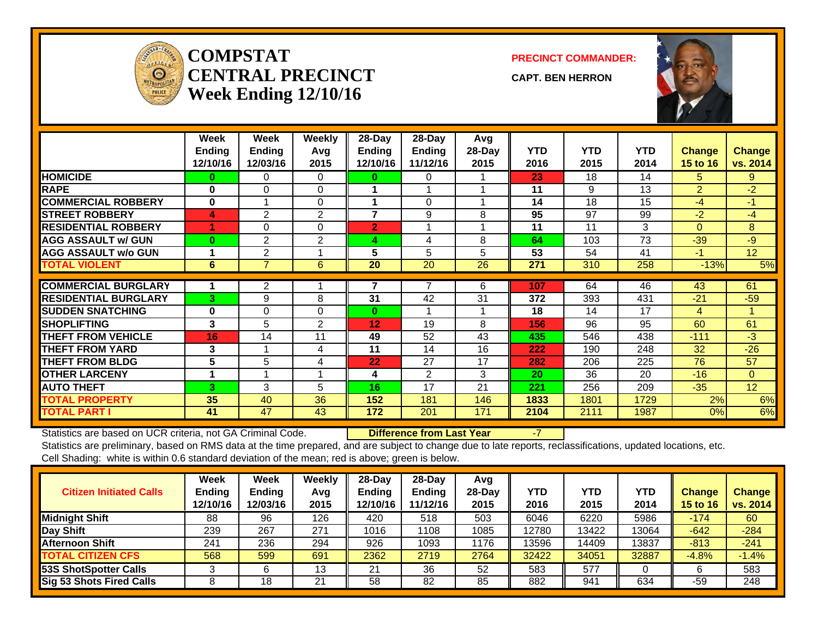

#### **COMPSTATCENTRAL PRECINCTWeek Ending 12/10/16**

**PRECINCT COMMANDER:**

**CAPT. BEN HERRON**



|                             | Week<br><b>Endina</b> | Week<br><b>Endina</b>      | Weekly<br>Avg  | 28-Day<br>Ending  | $28$ -Day<br><b>Ending</b> | Avg<br>28-Day | <b>YTD</b> | <b>YTD</b> | <b>YTD</b> | <b>Change</b>  | <b>Change</b>   |
|-----------------------------|-----------------------|----------------------------|----------------|-------------------|----------------------------|---------------|------------|------------|------------|----------------|-----------------|
|                             | 12/10/16              | 12/03/16                   | 2015           | 12/10/16          | 11/12/16                   | 2015          | 2016       | 2015       | 2014       | 15 to 16       | vs. 2014        |
| <b>HOMICIDE</b>             | 0                     | 0                          | $\Omega$       | 0                 | 0                          |               | 23         | 18         | 14         | 5.             | 9               |
| <b>RAPE</b>                 | $\bf{0}$              | $\Omega$                   | $\Omega$       |                   |                            |               | 11         | 9          | 13         | $\overline{2}$ | $-2$            |
| <b>COMMERCIAL ROBBERY</b>   | 0                     | $\boldsymbol{\mathcal{A}}$ | 0              | 4                 | 0                          |               | 14         | 18         | 15         | $-4$           | $-1$            |
| <b>STREET ROBBERY</b>       | 4                     | $\mathbf{2}$               | $\overline{2}$ | 7                 | 9                          | 8             | 95         | 97         | 99         | $-2$           | $-4$            |
| <b>RESIDENTIAL ROBBERY</b>  |                       | 0                          | $\Omega$       | $\overline{2}$    | 1                          |               | 11         | 11         | 3          | $\Omega$       | 8               |
| <b>AGG ASSAULT w/ GUN</b>   | $\bf{0}$              | $\overline{2}$             | 2              | 4                 | 4                          | 8             | 64         | 103        | 73         | $-39$          | $-9$            |
| <b>AGG ASSAULT w/o GUN</b>  |                       | 2                          |                | 5                 | 5                          | 5             | 53         | 54         | 41         | -1             | 12 <sup>2</sup> |
| <b>TOTAL VIOLENT</b>        | 6                     | $\overline{7}$             | 6              | 20                | 20                         | 26            | 271        | 310        | 258        | $-13%$         | 5%              |
| <b>COMMERCIAL BURGLARY</b>  |                       |                            |                |                   |                            |               |            |            |            |                |                 |
|                             |                       | 2                          |                |                   |                            | 6             | 107        | 64         | 46         | 43             | 61              |
| <b>RESIDENTIAL BURGLARY</b> | 3                     | 9                          | 8              | 31                | 42                         | 31            | 372        | 393        | 431        | $-21$          | $-59$           |
| <b>SUDDEN SNATCHING</b>     | $\bf{0}$              | $\Omega$                   | $\Omega$       | $\bf{0}$          | 1                          |               | 18         | 14         | 17         | 4              | 1               |
| <b>SHOPLIFTING</b>          | 3                     | 5                          | 2              | $12 \overline{ }$ | 19                         | 8             | 156        | 96         | 95         | 60             | 61              |
| <b>THEFT FROM VEHICLE</b>   | 16                    | 14                         | 11             | 49                | 52                         | 43            | 435        | 546        | 438        | $-111$         | $-3$            |
| <b>THEFT FROM YARD</b>      | 3                     |                            | 4              | 11                | 14                         | 16            | 222        | 190        | 248        | 32             | $-26$           |
| <b>THEFT FROM BLDG</b>      | 5                     | 5                          | 4              | 22                | 27                         | 17            | 282        | 206        | 225        | 76             | 57              |
| <b>OTHER LARCENY</b>        | 1                     |                            |                | 4                 | $\mathfrak{p}$             | 3             | 20         | 36         | 20         | $-16$          | $\Omega$        |
| <b>AUTO THEFT</b>           | 3                     | 3                          | 5              | 16                | 17                         | 21            | 221        | 256        | 209        | $-35$          | 12 <sup>2</sup> |
| <b>TOTAL PROPERTY</b>       | 35                    | 40                         | 36             | 152               | 181                        | 146           | 1833       | 1801       | 1729       | 2%             | 6%              |
| <b>TOTAL PART I</b>         | 41                    | 47                         | 43             | 172               | 201                        | 171           | 2104       | 2111       | 1987       | 0%             | 6%              |

Statistics are based on UCR criteria, not GA Criminal Code. **Difference from Last Year** -7

| <b>Citizen Initiated Calls</b>  | Week<br><b>Ending</b><br>12/10/16 | <b>Week</b><br><b>Ending</b><br>12/03/16 | Weekly<br>Avg<br>2015 | $28$ -Day<br><b>Ending</b><br>12/10/16 | 28-Dav<br><b>Ending</b><br>11/12/16 | Avg<br>28-Dav<br>2015 | YTD<br>2016 | <b>YTD</b><br>2015 | <b>YTD</b><br>2014 | <b>Change</b><br><b>15 to 16</b> | <b>Change</b><br>vs. 2014 |
|---------------------------------|-----------------------------------|------------------------------------------|-----------------------|----------------------------------------|-------------------------------------|-----------------------|-------------|--------------------|--------------------|----------------------------------|---------------------------|
| <b>Midnight Shift</b>           | 88                                | 96                                       | 126                   | 420                                    | 518                                 | 503                   | 6046        | 6220               | 5986               | $-174$                           | 60                        |
| Day Shift                       | 239                               | 267                                      | 271                   | 1016                                   | 108                                 | 1085                  | 12780       | 13422              | 13064              | $-642$                           | $-284$                    |
| <b>Afternoon Shift</b>          | 241                               | 236                                      | 294                   | 926                                    | 1093                                | 1176                  | 13596       | 14409              | 13837              | $-813$                           | $-241$                    |
| <b>TOTAL CITIZEN CFS</b>        | 568                               | 599                                      | 691                   | 2362                                   | 2719                                | 2764                  | 32422       | 34051              | 32887              | $-4.8%$                          | $-1.4%$                   |
| <b>53S ShotSpotter Calls</b>    | J                                 |                                          | 13                    | 21                                     | 36                                  | 52                    | 583         | 577                |                    |                                  | 583                       |
| <b>Sig 53 Shots Fired Calls</b> |                                   | 18                                       | 21                    | 58                                     | 82                                  | 85                    | 882         | 94 <sup>′</sup>    | 634                | -59                              | 248                       |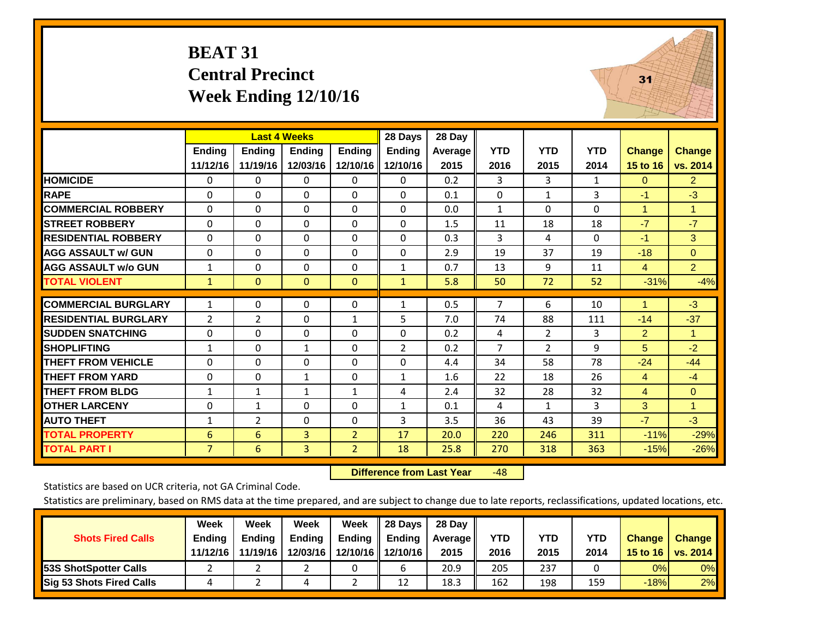#### **BEAT 31 Central Precinct Week Ending 12/10/16**



|                             |                |                | <b>Last 4 Weeks</b> |                | 28 Days        | 28 Day  |                |                |            |                |                      |
|-----------------------------|----------------|----------------|---------------------|----------------|----------------|---------|----------------|----------------|------------|----------------|----------------------|
|                             | Ending         | <b>Ending</b>  | Ending              | Ending         | <b>Ending</b>  | Average | <b>YTD</b>     | <b>YTD</b>     | <b>YTD</b> | <b>Change</b>  | <b>Change</b>        |
|                             | 11/12/16       | 11/19/16       | 12/03/16            | 12/10/16       | 12/10/16       | 2015    | 2016           | 2015           | 2014       | 15 to 16       | vs. 2014             |
| <b>HOMICIDE</b>             | $\mathbf{0}$   | 0              | 0                   | $\Omega$       | $\Omega$       | 0.2     | 3              | 3              | 1          | $\Omega$       | $\overline{2}$       |
| <b>RAPE</b>                 | $\Omega$       | $\Omega$       | $\Omega$            | $\Omega$       | $\Omega$       | 0.1     | $\Omega$       | 1              | 3          | $-1$           | $-3$                 |
| <b>COMMERCIAL ROBBERY</b>   | $\Omega$       | $\Omega$       | 0                   | $\mathbf{0}$   | $\Omega$       | 0.0     | 1              | $\Omega$       | $\Omega$   | 1              | $\blacktriangleleft$ |
| <b>STREET ROBBERY</b>       | $\Omega$       | $\Omega$       | $\Omega$            | $\Omega$       | $\Omega$       | 1.5     | 11             | 18             | 18         | $-7$           | $-7$                 |
| <b>RESIDENTIAL ROBBERY</b>  | $\Omega$       | 0              | 0                   | $\mathbf{0}$   | $\Omega$       | 0.3     | 3              | 4              | 0          | $-1$           | 3 <sup>°</sup>       |
| <b>AGG ASSAULT w/ GUN</b>   | $\Omega$       | $\Omega$       | $\Omega$            | $\Omega$       | $\Omega$       | 2.9     | 19             | 37             | 19         | $-18$          | $\Omega$             |
| <b>AGG ASSAULT w/o GUN</b>  | 1              | 0              | 0                   | $\mathbf{0}$   | $\mathbf{1}$   | 0.7     | 13             | 9              | 11         | $\overline{4}$ | 2 <sup>1</sup>       |
| <b>TOTAL VIOLENT</b>        | 1              | $\Omega$       | $\mathbf{0}$        | $\mathbf{0}$   | $\mathbf{1}$   | 5.8     | 50             | 72             | 52         | $-31%$         | $-4%$                |
|                             |                |                |                     |                |                |         |                |                |            |                |                      |
| <b>COMMERCIAL BURGLARY</b>  | $\mathbf{1}$   | $\Omega$       | 0                   | $\mathbf{0}$   | $\mathbf{1}$   | 0.5     | 7              | 6              | 10         | 1              | $-3$                 |
| <b>RESIDENTIAL BURGLARY</b> | 2              | $\overline{2}$ | 0                   | 1              | 5              | 7.0     | 74             | 88             | 111        | $-14$          | $-37$                |
| <b>SUDDEN SNATCHING</b>     | $\Omega$       | $\Omega$       | 0                   | $\Omega$       | $\Omega$       | 0.2     | 4              | $\overline{2}$ | 3          | $\overline{2}$ | $\blacktriangleleft$ |
| <b>SHOPLIFTING</b>          | $\mathbf{1}$   | $\Omega$       | $\mathbf{1}$        | $\mathbf{0}$   | $\overline{2}$ | 0.2     | $\overline{7}$ | $\overline{2}$ | 9          | 5              | $-2$                 |
| <b>THEFT FROM VEHICLE</b>   | $\mathbf 0$    | $\Omega$       | 0                   | $\mathbf{0}$   | $\Omega$       | 4.4     | 34             | 58             | 78         | $-24$          | $-44$                |
| <b>THEFT FROM YARD</b>      | $\Omega$       | 0              | $\mathbf{1}$        | $\mathbf{0}$   | $\mathbf{1}$   | 1.6     | 22             | 18             | 26         | 4              | $-4$                 |
| <b>THEFT FROM BLDG</b>      | $\mathbf{1}$   | $\mathbf{1}$   | $\mathbf{1}$        | $\mathbf{1}$   | 4              | 2.4     | 32             | 28             | 32         | $\overline{4}$ | $\Omega$             |
| <b>OTHER LARCENY</b>        | 0              | 1              | $\Omega$            | $\Omega$       | $\mathbf{1}$   | 0.1     | 4              | $\mathbf{1}$   | 3          | 3              | $\blacktriangleleft$ |
| <b>AUTO THEFT</b>           | $\mathbf{1}$   | $\overline{2}$ | 0                   | $\mathbf{0}$   | 3              | 3.5     | 36             | 43             | 39         | $-7$           | $-3$                 |
| <b>TOTAL PROPERTY</b>       | 6              | 6              | 3                   | $\overline{2}$ | 17             | 20.0    | 220            | 246            | 311        | $-11%$         | $-29%$               |
| <b>TOTAL PART I</b>         | $\overline{7}$ | 6              | 3                   | $\overline{2}$ | 18             | 25.8    | 270            | 318            | 363        | $-15%$         | $-26%$               |

 **Difference from Last Year**r -48

Statistics are based on UCR criteria, not GA Criminal Code.

|                                 | Week          | Week          | <b>Week</b>   | Week          | 28 Days             | 28 Dav     |            |      |            |               |                                    |
|---------------------------------|---------------|---------------|---------------|---------------|---------------------|------------|------------|------|------------|---------------|------------------------------------|
| <b>Shots Fired Calls</b>        | <b>Ending</b> | <b>Endina</b> | <b>Ending</b> | <b>Ending</b> | <b>Ending</b>       | Average II | <b>YTD</b> | YTD  | <b>YTD</b> | <b>Change</b> | <b>Change</b>                      |
|                                 | 11/12/16      | 11/19/16      | 12/03/16      |               | 12/10/16   12/10/16 | 2015       | 2016       | 2015 | 2014       |               | 15 to 16   vs. 2014 $\blacksquare$ |
| <b>153S ShotSpotter Calls</b>   |               |               |               |               |                     | 20.9       | 205        | 237  |            | 0%            | 0%                                 |
| <b>Sig 53 Shots Fired Calls</b> | 4             |               | 4             |               | 12                  | 18.3       | 162        | 198  | 159        | $-18%$        | 2%                                 |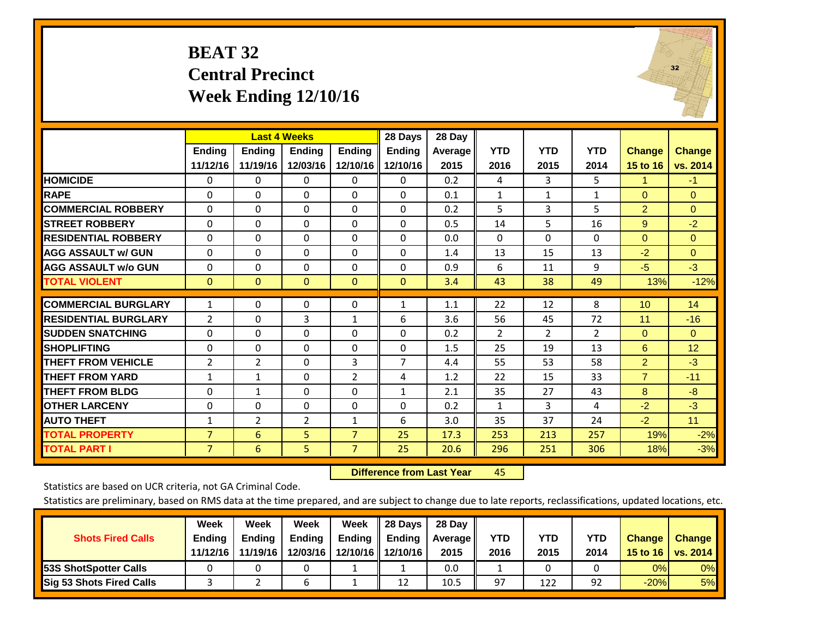#### **BEAT 32 Central Precinct Week Ending 12/10/16**



|                             |                |                | <b>Last 4 Weeks</b> |                | 28 Days        | 28 Day  |              |                |                |                |               |
|-----------------------------|----------------|----------------|---------------------|----------------|----------------|---------|--------------|----------------|----------------|----------------|---------------|
|                             | <b>Ending</b>  | <b>Endina</b>  | <b>Endina</b>       | <b>Endina</b>  | <b>Endina</b>  | Average | <b>YTD</b>   | <b>YTD</b>     | <b>YTD</b>     | Change         | <b>Change</b> |
|                             | 11/12/16       | 11/19/16       | 12/03/16            | 12/10/16       | 12/10/16       | 2015    | 2016         | 2015           | 2014           | 15 to 16       | vs. 2014      |
| <b>HOMICIDE</b>             | $\mathbf{0}$   | $\Omega$       | 0                   | $\Omega$       | $\Omega$       | 0.2     | 4            | 3              | 5.             | 1              | $-1$          |
| <b>RAPE</b>                 | 0              | $\Omega$       | $\Omega$            | $\mathbf{0}$   | $\Omega$       | 0.1     | $\mathbf{1}$ | $\mathbf{1}$   | $\mathbf{1}$   | $\mathbf{0}$   | $\mathbf{0}$  |
| <b>COMMERCIAL ROBBERY</b>   | $\Omega$       | $\Omega$       | 0                   | $\mathbf{0}$   | $\Omega$       | 0.2     | 5            | 3              | 5              | $\overline{2}$ | $\Omega$      |
| <b>STREET ROBBERY</b>       | 0              | 0              | 0                   | $\mathbf{0}$   | $\Omega$       | 0.5     | 14           | 5              | 16             | 9              | $-2$          |
| <b>RESIDENTIAL ROBBERY</b>  | $\Omega$       | $\Omega$       | 0                   | $\Omega$       | $\Omega$       | 0.0     | $\Omega$     | $\Omega$       | $\Omega$       | $\Omega$       | $\Omega$      |
| <b>AGG ASSAULT w/ GUN</b>   | $\Omega$       | 0              | 0                   | $\mathbf{0}$   | $\Omega$       | 1.4     | 13           | 15             | 13             | $-2$           | $\mathbf{0}$  |
| <b>AGG ASSAULT w/o GUN</b>  | $\mathbf 0$    | $\Omega$       | $\Omega$            | $\Omega$       | $\Omega$       | 0.9     | 6            | 11             | 9              | $-5$           | $-3$          |
| <b>TOTAL VIOLENT</b>        | $\mathbf{0}$   | $\Omega$       | $\Omega$            | $\mathbf{0}$   | $\mathbf{0}$   | 3.4     | 43           | 38             | 49             | 13%            | $-12%$        |
|                             |                |                |                     |                |                |         |              |                |                |                |               |
| <b>COMMERCIAL BURGLARY</b>  | 1              | 0              | 0                   | $\Omega$       | $\mathbf{1}$   | 1.1     | 22           | 12             | 8              | 10             | 14            |
| <b>RESIDENTIAL BURGLARY</b> | 2              | $\Omega$       | 3                   | 1              | 6              | 3.6     | 56           | 45             | 72             | 11             | $-16$         |
| <b>SUDDEN SNATCHING</b>     | 0              | $\Omega$       | 0                   | $\mathbf{0}$   | $\Omega$       | 0.2     | 2            | $\overline{2}$ | $\overline{2}$ | $\Omega$       | $\Omega$      |
| <b>SHOPLIFTING</b>          | 0              | $\Omega$       | $\Omega$            | $\mathbf 0$    | $\Omega$       | 1.5     | 25           | 19             | 13             | 6              | 12            |
| <b>THEFT FROM VEHICLE</b>   | $\overline{2}$ | $\overline{2}$ | 0                   | 3              | $\overline{7}$ | 4.4     | 55           | 53             | 58             | $\overline{2}$ | $-3$          |
| <b>THEFT FROM YARD</b>      | $\mathbf{1}$   | 1              | $\Omega$            | $\overline{2}$ | 4              | 1.2     | 22           | 15             | 33             | $\overline{7}$ | $-11$         |
| <b>THEFT FROM BLDG</b>      | 0              | 1              | 0                   | $\mathbf{0}$   | 1              | 2.1     | 35           | 27             | 43             | 8              | -8            |
| <b>OTHER LARCENY</b>        | 0              | $\Omega$       | $\Omega$            | $\Omega$       | $\Omega$       | 0.2     | $\mathbf{1}$ | 3              | 4              | $-2$           | $-3$          |
| <b>AUTO THEFT</b>           | $\mathbf{1}$   | $\overline{2}$ | $\overline{2}$      | $\mathbf{1}$   | 6              | 3.0     | 35           | 37             | 24             | $-2$           | 11            |
| <b>TOTAL PROPERTY</b>       | 7              | 6              | 5                   | $\overline{7}$ | 25             | 17.3    | 253          | 213            | 257            | 19%            | $-2%$         |
| <b>TOTAL PART I</b>         | $\overline{7}$ | 6              | 5                   | $\overline{7}$ | 25             | 20.6    | 296          | 251            | 306            | 18%            | $-3%$         |

 **Difference from Last Yearr** 45

Statistics are based on UCR criteria, not GA Criminal Code.

|                                 | Week          | Week          | Week          | Week          | 28 Days               | 28 Day         |      |      |      |               |               |
|---------------------------------|---------------|---------------|---------------|---------------|-----------------------|----------------|------|------|------|---------------|---------------|
| <b>Shots Fired Calls</b>        | <b>Ending</b> | <b>Endina</b> | <b>Ending</b> | <b>Ending</b> | $\blacksquare$ Ending | <b>Average</b> | YTD  | YTD  | YTD  | <b>Change</b> | <b>Change</b> |
|                                 | 11/12/16      | 11/19/16      | 12/03/16      |               | 12/10/16   12/10/16   | 2015           | 2016 | 2015 | 2014 | 15 to 16      | vs. $2014$    |
| <b>153S ShotSpotter Calls</b>   |               |               |               |               |                       | 0.0            |      |      |      | 0%            | $0\%$         |
| <b>Sig 53 Shots Fired Calls</b> |               |               | ь             |               | 12                    | 10.5           | 97   | 122  | 92   | $-20%$        | 5%            |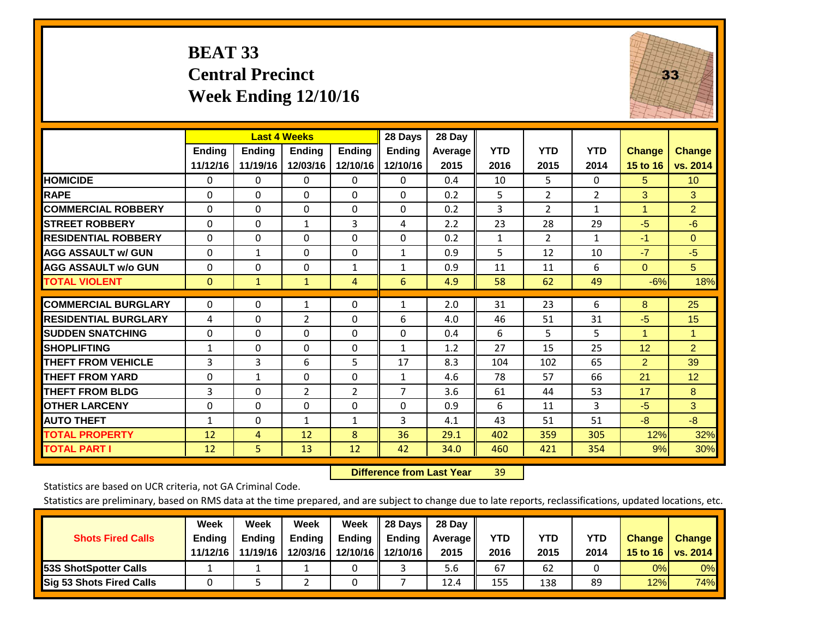#### **BEAT 33 Central Precinct Week Ending 12/10/16**



|                             |               | <b>Last 4 Weeks</b> |              |                | 28 Days      | 28 Day     |              |                |                |                      |                 |
|-----------------------------|---------------|---------------------|--------------|----------------|--------------|------------|--------------|----------------|----------------|----------------------|-----------------|
|                             | <b>Ending</b> | <b>Ending</b>       | Ending       | <b>Endina</b>  | Ending       | Average II | <b>YTD</b>   | <b>YTD</b>     | <b>YTD</b>     | <b>Change</b>        | <b>Change</b>   |
|                             | 11/12/16      | 11/19/16            | 12/03/16     | 12/10/16       | 12/10/16     | 2015       | 2016         | 2015           | 2014           | 15 to 16             | vs. 2014        |
| <b>HOMICIDE</b>             | 0             | $\mathbf{0}$        | $\Omega$     | $\Omega$       | $\mathbf{0}$ | 0.4        | 10           | 5.             | 0              | 5                    | 10 <sup>°</sup> |
| <b>RAPE</b>                 | 0             | $\Omega$            | $\Omega$     | $\Omega$       | $\Omega$     | 0.2        | 5            | 2              | $\overline{2}$ | 3                    | 3               |
| <b>COMMERCIAL ROBBERY</b>   | $\Omega$      | 0                   | $\Omega$     | $\Omega$       | $\Omega$     | 0.2        | 3            | $\overline{2}$ | $\mathbf{1}$   | $\blacktriangleleft$ | $\overline{2}$  |
| <b>STREET ROBBERY</b>       | $\Omega$      | $\Omega$            | 1            | 3              | 4            | 2.2        | 23           | 28             | 29             | $-5$                 | $-6$            |
| <b>RESIDENTIAL ROBBERY</b>  | $\Omega$      | $\Omega$            | $\mathbf{0}$ | $\Omega$       | $\Omega$     | 0.2        | $\mathbf{1}$ | $\overline{2}$ | $\mathbf{1}$   | $-1$                 | $\Omega$        |
| <b>AGG ASSAULT w/ GUN</b>   | $\Omega$      | $\mathbf{1}$        | $\Omega$     | $\mathbf{0}$   | 1            | 0.9        | 5            | 12             | 10             | $-7$                 | $-5$            |
| <b>AGG ASSAULT w/o GUN</b>  | $\Omega$      | 0                   | $\Omega$     | $\mathbf{1}$   | $\mathbf{1}$ | 0.9        | 11           | 11             | 6              | $\mathbf{0}$         | 5               |
| <b>TOTAL VIOLENT</b>        | $\mathbf{0}$  | $\mathbf{1}$        | $\mathbf{1}$ | 4              | 6            | 4.9        | 58           | 62             | 49             | $-6%$                | 18%             |
| <b>COMMERCIAL BURGLARY</b>  |               |                     |              |                |              | 2.0        | 31           | 23             | 6              |                      | 25              |
|                             | 0             | 0                   | $\mathbf{1}$ | $\mathbf{0}$   | $\mathbf{1}$ |            |              |                |                | 8                    |                 |
| <b>RESIDENTIAL BURGLARY</b> | 4             | $\Omega$            | 2            | $\mathbf{0}$   | 6            | 4.0        | 46           | 51             | 31             | $-5$                 | 15              |
| <b>SUDDEN SNATCHING</b>     | 0             | 0                   | $\Omega$     | $\mathbf{0}$   | 0            | 0.4        | 6            | 5.             | 5              | 1                    | 1               |
| <b>SHOPLIFTING</b>          | 1             | 0                   | $\Omega$     | $\Omega$       | $\mathbf{1}$ | 1.2        | 27           | 15             | 25             | 12                   | $\overline{2}$  |
| <b>THEFT FROM VEHICLE</b>   | 3             | 3                   | 6            | 5              | 17           | 8.3        | 104          | 102            | 65             | $\overline{2}$       | 39              |
| <b>THEFT FROM YARD</b>      | $\Omega$      | $\mathbf{1}$        | $\mathbf{0}$ | $\Omega$       | $\mathbf{1}$ | 4.6        | 78           | 57             | 66             | 21                   | 12              |
| <b>THEFT FROM BLDG</b>      | 3             | 0                   | 2            | $\overline{2}$ | 7            | 3.6        | 61           | 44             | 53             | 17                   | 8               |
| <b>OTHER LARCENY</b>        | $\Omega$      | 0                   | $\Omega$     | $\Omega$       | $\Omega$     | 0.9        | 6            | 11             | 3              | $-5$                 | 3               |
| <b>AUTO THEFT</b>           | $\mathbf{1}$  | $\Omega$            | $\mathbf{1}$ | 1              | 3            | 4.1        | 43           | 51             | 51             | -8                   | $-8$            |
| <b>TOTAL PROPERTY</b>       | 12            | $\overline{4}$      | 12           | 8              | 36           | 29.1       | 402          | 359            | 305            | 12%                  | 32%             |
| <b>TOTAL PART I</b>         | 12            | 5.                  | 13           | 12             | 42           | 34.0       | 460          | 421            | 354            | 9%                   | 30%             |

 **Difference from Last Year**r 39

Statistics are based on UCR criteria, not GA Criminal Code.

| <b>Shots Fired Calls</b>        | Week<br><b>Ending</b><br>11/12/16 | Week<br><b>Endina</b><br>11/19/16 | Week<br>Ending<br>12/03/16 | Week<br>Ending | 28 Days<br><b>Ending</b><br>12/10/16   12/10/16 | 28 Day<br>Average II<br>2015 | YTD<br>2016 | YTD<br>2015 | <b>YTD</b><br>2014 | <b>Change</b><br>15 to $16$ | <b>Change</b><br><b>vs. 2014</b> |
|---------------------------------|-----------------------------------|-----------------------------------|----------------------------|----------------|-------------------------------------------------|------------------------------|-------------|-------------|--------------------|-----------------------------|----------------------------------|
| <b>153S ShotSpotter Calls</b>   |                                   |                                   |                            |                |                                                 | 5.6                          | 67          | 62          |                    | 0%                          | 0%                               |
| <b>Sig 53 Shots Fired Calls</b> |                                   |                                   |                            |                |                                                 | 12.4                         | 155         | 138         | 89                 | 12%                         | 74%                              |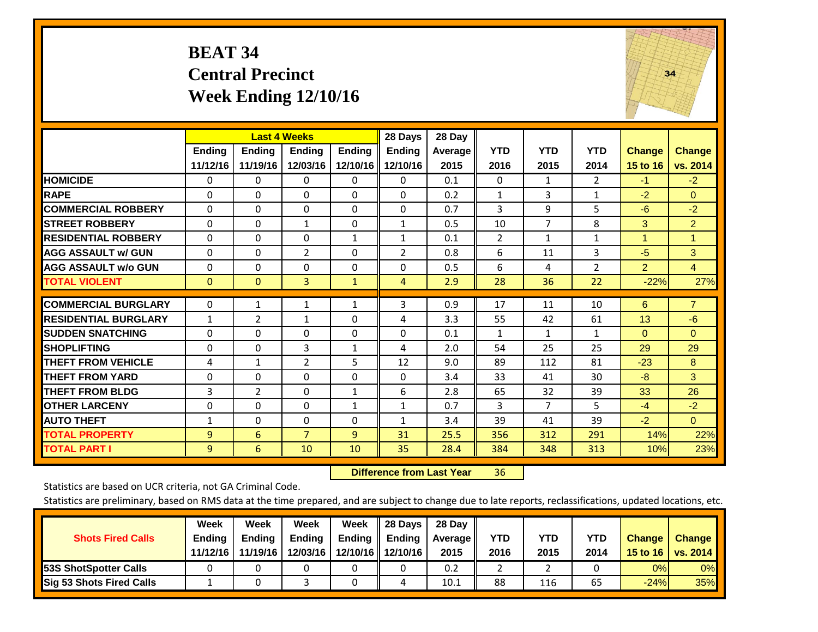#### **BEAT 34 Central Precinct Week Ending 12/10/16**



|                             |                | <b>Last 4 Weeks</b> |                |               | 28 Days        | 28 Day  |                |                |                |                 |                |
|-----------------------------|----------------|---------------------|----------------|---------------|----------------|---------|----------------|----------------|----------------|-----------------|----------------|
|                             | <b>Ending</b>  | <b>Ending</b>       | <b>Ending</b>  | <b>Ending</b> | <b>Ending</b>  | Average | <b>YTD</b>     | <b>YTD</b>     | <b>YTD</b>     | <b>Change</b>   | <b>Change</b>  |
|                             | 11/12/16       | 11/19/16            | 12/03/16       | 12/10/16 II   | 12/10/16       | 2015    | 2016           | 2015           | 2014           | <b>15 to 16</b> | vs. 2014       |
| <b>HOMICIDE</b>             | 0              | $\Omega$            | $\Omega$       | $\Omega$      | 0              | 0.1     | 0              | 1              | $\overline{2}$ | $-1$            | $-2$           |
| <b>RAPE</b>                 | $\Omega$       | 0                   | $\Omega$       | $\Omega$      | 0              | 0.2     | $\mathbf{1}$   | 3              | 1              | $-2$            | $\Omega$       |
| <b>COMMERCIAL ROBBERY</b>   | $\Omega$       | $\Omega$            | $\mathbf{0}$   | $\Omega$      | $\Omega$       | 0.7     | 3              | 9              | 5              | $-6$            | $-2$           |
| <b>STREET ROBBERY</b>       | $\Omega$       | $\Omega$            | $\mathbf{1}$   | $\Omega$      | $\mathbf{1}$   | 0.5     | 10             | $\overline{7}$ | 8              | 3               | $\overline{2}$ |
| <b>RESIDENTIAL ROBBERY</b>  | $\Omega$       | $\Omega$            | $\Omega$       | 1             | 1              | 0.1     | $\overline{2}$ | $\mathbf{1}$   | 1              | 1               | 1              |
| <b>AGG ASSAULT w/ GUN</b>   | $\Omega$       | $\Omega$            | $\overline{2}$ | $\mathbf{0}$  | $\overline{2}$ | 0.8     | 6              | 11             | 3              | $-5$            | 3              |
| <b>AGG ASSAULT w/o GUN</b>  | $\Omega$       | $\Omega$            | $\mathbf{0}$   | $\Omega$      | $\Omega$       | 0.5     | 6              | 4              | $\overline{2}$ | $\overline{2}$  | $\overline{4}$ |
| <b>TOTAL VIOLENT</b>        | $\overline{0}$ | $\mathbf{0}$        | $\overline{3}$ | $\mathbf{1}$  | 4              | 2.9     | 28             | 36             | 22             | $-22%$          | 27%            |
|                             |                |                     |                |               |                |         |                |                |                |                 |                |
| <b>COMMERCIAL BURGLARY</b>  | $\mathbf 0$    | 1                   | $\mathbf{1}$   | 1             | 3              | 0.9     | 17             | 11             | 10             | 6               | $\overline{7}$ |
| <b>RESIDENTIAL BURGLARY</b> | $\mathbf{1}$   | $\overline{2}$      | $\mathbf{1}$   | $\mathbf{0}$  | 4              | 3.3     | 55             | 42             | 61             | 13              | $-6$           |
| <b>ISUDDEN SNATCHING</b>    | $\Omega$       | $\Omega$            | $\Omega$       | $\mathbf{0}$  | 0              | 0.1     | $\mathbf{1}$   | 1              | 1              | $\Omega$        | $\Omega$       |
| <b>SHOPLIFTING</b>          | 0              | $\Omega$            | 3              | 1             | 4              | 2.0     | 54             | 25             | 25             | 29              | 29             |
| <b>THEFT FROM VEHICLE</b>   | 4              | $\mathbf{1}$        | $\overline{2}$ | 5             | 12             | 9.0     | 89             | 112            | 81             | $-23$           | 8              |
| <b>THEFT FROM YARD</b>      | $\mathbf 0$    | $\Omega$            | $\Omega$       | $\mathbf 0$   | $\Omega$       | 3.4     | 33             | 41             | 30             | $-8$            | 3              |
| <b>THEFT FROM BLDG</b>      | 3              | 2                   | $\mathbf{0}$   | 1             | 6              | 2.8     | 65             | 32             | 39             | 33              | 26             |
| <b>OTHER LARCENY</b>        | $\Omega$       | $\Omega$            | $\mathbf{0}$   | 1             | $\mathbf{1}$   | 0.7     | 3              | 7              | 5              | $-4$            | $-2$           |
| <b>AUTO THEFT</b>           | $\mathbf{1}$   | $\Omega$            | $\Omega$       | 0             | 1              | 3.4     | 39             | 41             | 39             | $-2$            | $\overline{0}$ |
| <b>TOTAL PROPERTY</b>       | 9              | 6                   | $\overline{7}$ | 9             | 31             | 25.5    | 356            | 312            | 291            | 14%             | 22%            |
| <b>TOTAL PART I</b>         | 9              | 6                   | 10             | 10            | 35             | 28.4    | 384            | 348            | 313            | 10%             | 23%            |

 **Difference from Last Year**r 36

Statistics are based on UCR criteria, not GA Criminal Code.

| <b>Shots Fired Calls</b>        | Week<br><b>Ending</b> | Week<br><b>Endina</b> | <b>Week</b><br>Ending | Week<br>Ending | 28 Days<br><b>Ending</b> | 28 Day<br>Average II | YTD  | YTD  | <b>YTD</b> | <b>Change</b> | <b>Change</b>   |
|---------------------------------|-----------------------|-----------------------|-----------------------|----------------|--------------------------|----------------------|------|------|------------|---------------|-----------------|
|                                 | 11/12/16              | 11/19/16              | 12/03/16              |                | 12/10/16 12/10/16        | 2015                 | 2016 | 2015 | 2014       | 15 to 16      | <b>vs. 2014</b> |
| <b>153S ShotSpotter Calls</b>   |                       |                       |                       |                |                          | 0.2                  |      |      |            | 0%            | 0%              |
| <b>Sig 53 Shots Fired Calls</b> |                       |                       |                       |                |                          | 10.1                 | 88   | 116  | 65         | $-24%$        | 35%             |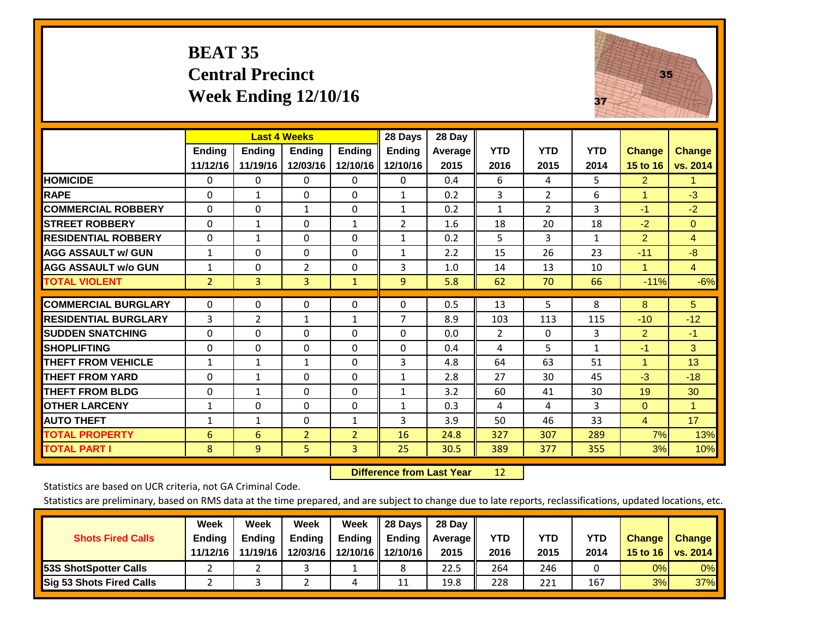#### **BEAT 35 Central Precinct Week Ending 12/10/16**



|                             |                | <b>Last 4 Weeks</b> |                |                | 28 Days       | 28 Day  |              |                |              |                |                      |
|-----------------------------|----------------|---------------------|----------------|----------------|---------------|---------|--------------|----------------|--------------|----------------|----------------------|
|                             | <b>Ending</b>  | <b>Endina</b>       | <b>Endina</b>  | <b>Endina</b>  | <b>Ending</b> | Average | <b>YTD</b>   | <b>YTD</b>     | <b>YTD</b>   | <b>Change</b>  | <b>Change</b>        |
|                             | 11/12/16       | 11/19/16            | 12/03/16       | 12/10/16       | 12/10/16      | 2015    | 2016         | 2015           | 2014         | 15 to 16       | vs. 2014             |
| <b>HOMICIDE</b>             | 0              | 0                   | 0              | 0              | 0             | 0.4     | 6            | 4              | 5.           | $\overline{2}$ | 1.                   |
| <b>RAPE</b>                 | 0              | 1                   | $\Omega$       | $\Omega$       | 1             | 0.2     | 3            | $\overline{2}$ | 6            | 1              | $-3$                 |
| <b>COMMERCIAL ROBBERY</b>   | 0              | 0                   | 1              | $\Omega$       | 1             | 0.2     | $\mathbf{1}$ | $\overline{2}$ | 3            | $-1$           | $-2$                 |
| <b>ISTREET ROBBERY</b>      | 0              | $\mathbf{1}$        | $\Omega$       | 1              | 2             | 1.6     | 18           | 20             | 18           | $-2$           | $\Omega$             |
| <b>RESIDENTIAL ROBBERY</b>  | $\Omega$       | 1                   | $\mathbf{0}$   | 0              | 1             | 0.2     | 5            | 3              | $\mathbf{1}$ | $\overline{2}$ | $\overline{4}$       |
| <b>AGG ASSAULT w/ GUN</b>   | $\mathbf{1}$   | $\Omega$            | 0              | 0              | 1             | 2.2     | 15           | 26             | 23           | $-11$          | $-8$                 |
| <b>AGG ASSAULT w/o GUN</b>  | 1              | $\Omega$            | $\overline{2}$ | $\mathbf{0}$   | 3             | 1.0     | 14           | 13             | 10           | 1              | $\overline{4}$       |
| <b>TOTAL VIOLENT</b>        | $\overline{2}$ | 3                   | 3              | $\mathbf{1}$   | 9             | 5.8     | 62           | 70             | 66           | $-11%$         | $-6%$                |
| <b>COMMERCIAL BURGLARY</b>  | $\mathbf 0$    | 0                   | 0              | 0              | $\Omega$      | 0.5     | 13           | 5              | 8            | 8              | 5                    |
| <b>RESIDENTIAL BURGLARY</b> | 3              | $\overline{2}$      | $\mathbf{1}$   | 1              | 7             | 8.9     | 103          | 113            | 115          | $-10$          | $-12$                |
| <b>ISUDDEN SNATCHING</b>    | $\Omega$       | 0                   | $\Omega$       | $\mathbf{0}$   | $\Omega$      | 0.0     | 2            | $\Omega$       |              | $\overline{2}$ |                      |
|                             |                |                     |                |                |               |         |              |                | 3            |                | $-1$                 |
| <b>SHOPLIFTING</b>          | 0              | 0                   | $\Omega$       | $\Omega$       | 0             | 0.4     | 4            | 5.             | $\mathbf{1}$ | $-1$           | 3                    |
| <b>THEFT FROM VEHICLE</b>   | $\mathbf{1}$   | $\mathbf{1}$        | $\mathbf{1}$   | 0              | 3             | 4.8     | 64           | 63             | 51           | $\mathbf{1}$   | 13                   |
| <b>THEFT FROM YARD</b>      | $\Omega$       | 1                   | $\Omega$       | 0              | 1             | 2.8     | 27           | 30             | 45           | $-3$           | $-18$                |
| <b>THEFT FROM BLDG</b>      | $\Omega$       | 1                   | $\Omega$       | $\mathbf{0}$   | $\mathbf{1}$  | 3.2     | 60           | 41             | 30           | 19             | 30                   |
| <b>OTHER LARCENY</b>        | 1              | 0                   | $\Omega$       | $\Omega$       | 1             | 0.3     | 4            | 4              | 3            | $\Omega$       | $\blacktriangleleft$ |
| <b>AUTO THEFT</b>           | 1              | $\mathbf{1}$        | $\Omega$       | 1              | 3             | 3.9     | 50           | 46             | 33           | $\overline{4}$ | 17                   |
| <b>TOTAL PROPERTY</b>       | 6              | 6                   | $\overline{2}$ | $\overline{2}$ | 16            | 24.8    | 327          | 307            | 289          | 7%             | 13%                  |
| <b>TOTAL PART I</b>         | 8              | 9                   | 5              | $\overline{3}$ | 25            | 30.5    | 389          | 377            | 355          | 3%             | 10%                  |

 **Difference from Last Year**r 12

Statistics are based on UCR criteria, not GA Criminal Code.

|                                 | Week          | Week          | <b>Week</b>   | Week     | 28 Days       | 28 Dav     |      |      |      |               |               |
|---------------------------------|---------------|---------------|---------------|----------|---------------|------------|------|------|------|---------------|---------------|
| <b>Shots Fired Calls</b>        | <b>Ending</b> | <b>Endina</b> | <b>Ending</b> | Ending   | <b>Ending</b> | Average II | YTD  | YTD  | YTD  | <b>Change</b> | <b>Change</b> |
|                                 | 11/12/16      | 11/19/16      | 12/03/16      | 12/10/16 | 12/10/16      | 2015       | 2016 | 2015 | 2014 | 15 to 16      | vs. $2014$    |
| 53S ShotSpotter Calls           |               |               |               |          |               | 22.5       | 264  | 246  |      | 0%            | $0\%$         |
| <b>Sig 53 Shots Fired Calls</b> |               |               |               | ப        | 11            | 19.8       | 228  | 221  | 167  | 3%            | <b>37%</b>    |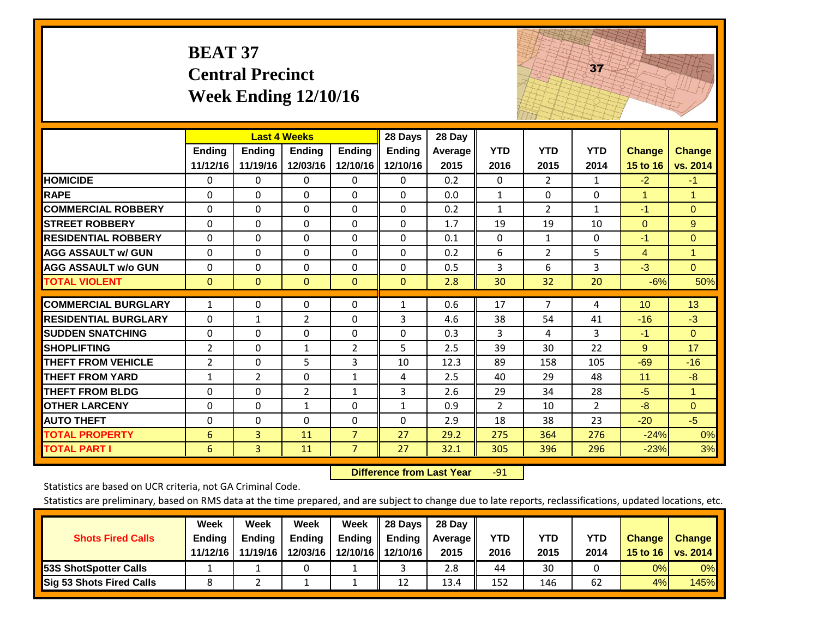|                             | <b>BEAT 37</b>            | <b>Central Precinct</b><br><b>Week Ending 12/10/16</b> |                           |                           |                                      |                           |                    |                    | 37                 |                           |                           |
|-----------------------------|---------------------------|--------------------------------------------------------|---------------------------|---------------------------|--------------------------------------|---------------------------|--------------------|--------------------|--------------------|---------------------------|---------------------------|
|                             | <b>Ending</b><br>11/12/16 | <b>Last 4 Weeks</b><br><b>Ending</b><br>11/19/16       | <b>Ending</b><br>12/03/16 | <b>Ending</b><br>12/10/16 | 28 Days<br><b>Ending</b><br>12/10/16 | 28 Day<br>Average<br>2015 | <b>YTD</b><br>2016 | <b>YTD</b><br>2015 | <b>YTD</b><br>2014 | <b>Change</b><br>15 to 16 | <b>Change</b><br>vs. 2014 |
| <b>HOMICIDE</b>             | $\Omega$                  | $\Omega$                                               | $\Omega$                  | $\mathbf{0}$              | 0                                    | 0.2                       | $\mathbf{0}$       | $\overline{2}$     | $\mathbf{1}$       | $-2$                      | $-1$                      |
| <b>RAPE</b>                 | $\Omega$                  | $\Omega$                                               | $\Omega$                  | $\Omega$                  | $\Omega$                             | 0.0                       | $\mathbf{1}$       | $\Omega$           | $\Omega$           | $\mathbf{1}$              | $\mathbf{1}$              |
| <b>COMMERCIAL ROBBERY</b>   | $\Omega$                  | $\Omega$                                               | $\Omega$                  | 0                         | $\mathbf 0$                          | 0.2                       | $\mathbf{1}$       | 2                  | $\mathbf{1}$       | $-1$                      | $\Omega$                  |
| <b>STREET ROBBERY</b>       | $\Omega$                  | $\mathbf 0$                                            | $\mathbf 0$               | $\Omega$                  | $\mathbf 0$                          | 1.7                       | 19                 | 19                 | 10                 | $\Omega$                  | 9                         |
| <b>RESIDENTIAL ROBBERY</b>  | $\Omega$                  | $\Omega$                                               | $\Omega$                  | $\Omega$                  | $\Omega$                             | 0.1                       | $\Omega$           | $\mathbf{1}$       | $\Omega$           | $-1$                      | $\mathbf{0}$              |
| <b>AGG ASSAULT w/ GUN</b>   | $\Omega$                  | $\mathbf 0$                                            | $\Omega$                  | $\Omega$                  | $\mathbf 0$                          | 0.2                       | 6                  | $\overline{2}$     | 5                  | $\overline{4}$            | $\mathbf{1}$              |
| <b>AGG ASSAULT w/o GUN</b>  | $\Omega$                  | $\mathbf 0$                                            | $\Omega$                  | $\Omega$                  | $\mathbf 0$                          | 0.5                       | $\overline{3}$     | 6                  | 3                  | $-3$                      | $\overline{0}$            |
| <b>TOTAL VIOLENT</b>        | $\mathbf{0}$              | $\Omega$                                               | $\mathbf{0}$              | $\mathbf{0}$              | $\mathbf{0}$                         | 2.8                       | 30                 | 32                 | 20                 | $-6%$                     | 50%                       |
| <b>COMMERCIAL BURGLARY</b>  | $\mathbf{1}$              | $\Omega$                                               | 0                         | 0                         | $\mathbf{1}$                         | 0.6                       | 17                 | 7                  | 4                  | 10                        | 13                        |
| <b>RESIDENTIAL BURGLARY</b> | $\Omega$                  | 1                                                      | $\overline{2}$            | $\Omega$                  | 3                                    | 4.6                       | 38                 | 54                 | 41                 | $-16$                     | $-3$                      |
| <b>SUDDEN SNATCHING</b>     | 0                         | 0                                                      | 0                         | 0                         | 0                                    | 0.3                       | 3                  | 4                  | 3                  | $-1$                      | $\overline{0}$            |
| <b>SHOPLIFTING</b>          | $\overline{2}$            | 0                                                      | $\mathbf{1}$              | $\overline{2}$            | 5                                    | 2.5                       | 39                 | 30                 | 22                 | 9                         | 17                        |
| <b>THEFT FROM VEHICLE</b>   | 2                         | $\Omega$                                               | 5                         | 3                         | 10                                   | 12.3                      | 89                 | 158                | 105                | $-69$                     | $-16$                     |
| <b>THEFT FROM YARD</b>      | $\mathbf{1}$              | $\overline{2}$                                         | $\Omega$                  | $\mathbf{1}$              | 4                                    | 2.5                       | 40                 | 29                 | 48                 | 11                        | $-8$                      |
| <b>THEFT FROM BLDG</b>      | 0                         | 0                                                      | $\overline{2}$            | $\mathbf{1}$              | 3                                    | 2.6                       | 29                 | 34                 | 28                 | $-5$                      | $\mathbf{1}$              |
| <b>OTHER LARCENY</b>        | $\Omega$                  | $\Omega$                                               | $\mathbf{1}$              | $\Omega$                  | $\mathbf{1}$                         | 0.9                       | $\overline{2}$     | 10                 | $\overline{2}$     | $-8$                      | $\Omega$                  |
| <b>AUTO THEFT</b>           | $\Omega$                  | 0                                                      | $\mathbf 0$               | 0                         | $\Omega$                             | 2.9                       | 18                 | 38                 | 23                 | $-20$                     | $-5$                      |
| <b>TOTAL PROPERTY</b>       | 6                         | $\overline{3}$                                         | 11                        | $\overline{7}$            | 27                                   | 29.2                      | 275                | 364                | 276                | $-24%$                    | 0%                        |
| <b>TOTAL PART I</b>         | $6\phantom{1}6$           | $\overline{3}$                                         | 11                        | $\overline{7}$            | 27                                   | 32.1                      | 305                | 396                | 296                | $-23%$                    | 3%                        |

 **Difference from Last Year**r -91 The state of the state of the state

Statistics are based on UCR criteria, not GA Criminal Code.

| <b>Shots Fired Calls</b>        | Week<br><b>Ending</b><br>11/12/16 | Week<br><b>Endina</b><br>11/19/16 | <b>Week</b><br>Ending<br>12/03/16 | Week<br>Ending | 28 Days<br><b>Ending</b><br>12/10/16 12/10/16 | 28 Day<br>Average II<br>2015 | YTD<br>2016 | YTD<br>2015 | <b>YTD</b><br>2014 | <b>Change</b><br>15 to 16 | <b>Change</b><br><b>vs. 2014</b> |
|---------------------------------|-----------------------------------|-----------------------------------|-----------------------------------|----------------|-----------------------------------------------|------------------------------|-------------|-------------|--------------------|---------------------------|----------------------------------|
| <b>153S ShotSpotter Calls</b>   |                                   |                                   |                                   |                |                                               | 2.8                          | 44          | 30          |                    | 0%                        | 0%                               |
| <b>Sig 53 Shots Fired Calls</b> |                                   |                                   |                                   |                | 12                                            | 13.4                         | 152         | 146         | 62                 | 4%                        | 145%                             |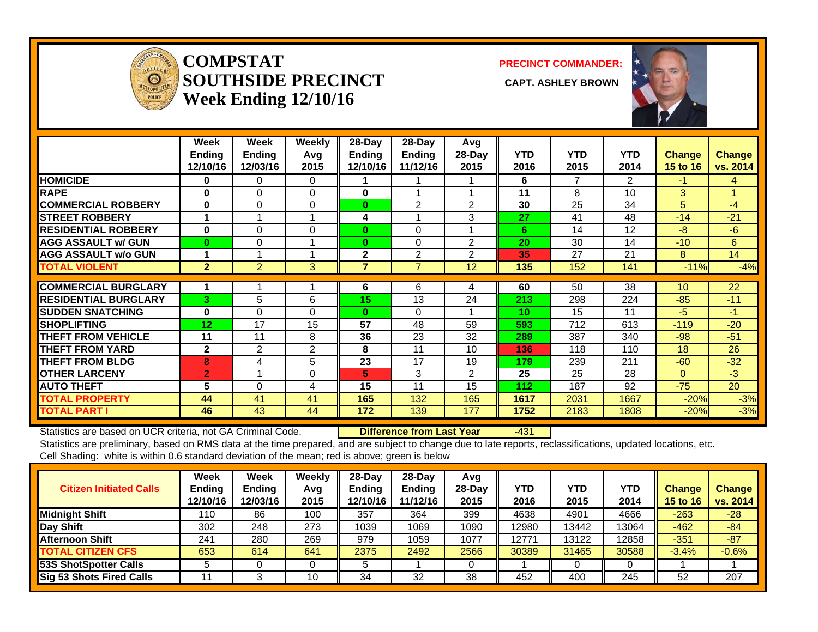

#### **COMPSTATSOUTHSIDE PRECINCT** CAPT. ASHLEY BROWN **Week Ending 12/10/16**

**PRECINCT COMMANDER:**



|                             | Week<br><b>Ending</b><br>12/10/16 | Week<br><b>Ending</b><br>12/03/16 | <b>Weekly</b><br>Avq<br>2015 | $28$ -Day<br>Ending<br>12/10/16 | $28$ -Day<br>Ending<br>11/12/16 | Avg<br>$28$ -Day<br>2015 | <b>YTD</b><br>2016 | <b>YTD</b><br>2015 | <b>YTD</b><br>2014 | <b>Change</b><br><b>15 to 16</b> | <b>Change</b><br>vs. 2014 |
|-----------------------------|-----------------------------------|-----------------------------------|------------------------------|---------------------------------|---------------------------------|--------------------------|--------------------|--------------------|--------------------|----------------------------------|---------------------------|
| <b>HOMICIDE</b>             | 0                                 | 0                                 | 0                            |                                 |                                 |                          | 6                  |                    | 2                  | -1.                              | 4                         |
| <b>RAPE</b>                 | $\bf{0}$                          | $\Omega$                          | $\Omega$                     | $\bf{0}$                        |                                 |                          | 11                 | 8                  | 10                 | 3                                |                           |
| <b>COMMERCIAL ROBBERY</b>   | 0                                 | 0                                 | $\Omega$                     | $\bf{0}$                        | 2                               | 2                        | 30                 | 25                 | 34                 | 5                                | $-4$                      |
| <b>STREET ROBBERY</b>       | 1                                 |                                   |                              | 4                               | 1                               | 3                        | 27                 | 41                 | 48                 | $-14$                            | $-21$                     |
| <b>RESIDENTIAL ROBBERY</b>  | 0                                 | $\Omega$                          | $\Omega$                     | $\bf{0}$                        | $\Omega$                        |                          | 6                  | 14                 | 12                 | -8                               | $-6$                      |
| <b>AGG ASSAULT w/ GUN</b>   | $\bf{0}$                          | 0                                 |                              | $\bf{0}$                        | $\mathbf 0$                     | $\overline{2}$           | 20                 | 30                 | 14                 | $-10$                            | 6                         |
| <b>AGG ASSAULT w/o GUN</b>  |                                   |                                   |                              | $\mathbf{2}$                    | 2                               | 2                        | 35                 | 27                 | 21                 | 8                                | 14                        |
| <b>TOTAL VIOLENT</b>        | $\overline{2}$                    | $\overline{2}$                    | 3                            | $\overline{7}$                  | $\overline{7}$                  | 12                       | 135                | 152                | 141                | $-11%$                           | $-4%$                     |
|                             |                                   |                                   |                              |                                 |                                 |                          |                    |                    |                    |                                  |                           |
| <b>COMMERCIAL BURGLARY</b>  |                                   |                                   |                              | 6                               | 6                               | 4                        | 60                 | 50                 | 38                 | 10                               | 22                        |
| <b>RESIDENTIAL BURGLARY</b> | 3                                 | 5                                 | 6                            | 15                              | 13                              | 24                       | 213                | 298                | 224                | $-85$                            | $-11$                     |
| <b>ISUDDEN SNATCHING</b>    | 0                                 | $\Omega$                          | $\Omega$                     | $\bf{0}$                        | $\Omega$                        |                          | 10                 | 15                 | 11                 | $-5$                             | $-1$                      |
| <b>SHOPLIFTING</b>          | 12                                | 17                                | 15                           | 57                              | 48                              | 59                       | 593                | 712                | 613                | $-119$                           | $-20$                     |
| <b>THEFT FROM VEHICLE</b>   | 11                                | 11                                | 8                            | 36                              | 23                              | 32                       | 289                | 387                | 340                | $-98$                            | $-51$                     |
| <b>THEFT FROM YARD</b>      | $\mathbf{2}$                      | $\overline{2}$                    | $\overline{2}$               | 8                               | 11                              | 10 <sup>1</sup>          | 136                | 118                | 110                | 18                               | 26                        |
| <b>THEFT FROM BLDG</b>      | 8                                 | 4                                 | 5                            | 23                              | 17                              | 19                       | 179                | 239                | 211                | $-60$                            | $-32$                     |
| <b>OTHER LARCENY</b>        | $\overline{2}$                    |                                   | 0                            | 5                               | 3                               | $\overline{2}$           | 25                 | 25                 | 28                 | $\Omega$                         | $-3$                      |
| <b>AUTO THEFT</b>           | 5                                 | $\Omega$                          | 4                            | 15                              | 11                              | 15                       | 112                | 187                | 92                 | $-75$                            | 20                        |
| <b>TOTAL PROPERTY</b>       | 44                                | 41                                | 41                           | 165                             | 132                             | 165                      | 1617               | 2031               | 1667               | $-20%$                           | $-3%$                     |
| <b>TOTAL PART I</b>         | 46                                | 43                                | 44                           | 172                             | 139                             | 177                      | 1752               | 2183               | 1808               | $-20%$                           | $-3%$                     |

Statistics are based on UCR criteria, not GA Criminal Code. **Difference from Last Year** -431 Statistics are preliminary, based on RMS data at the time prepared, and are subject to change due to late reports, reclassifications, updated locations, etc.

Cell Shading: white is within 0.6 standard deviation of the mean; red is above; green is below

| <b>Citizen Initiated Calls</b>  | <b>Week</b><br><b>Ending</b><br>12/10/16 | <b>Week</b><br><b>Ending</b><br>12/03/16 | Weekly<br>Avg<br>2015 | $28 - Day$<br><b>Endina</b><br>12/10/16 | 28-Dav<br><b>Ending</b><br>11/12/16 | Avg<br>$28-Day$<br>2015 | YTD<br>2016 | YTD<br>2015 | YTD<br>2014 | <b>Change</b><br>15 to 16 | <b>Change</b><br>vs. 2014 |
|---------------------------------|------------------------------------------|------------------------------------------|-----------------------|-----------------------------------------|-------------------------------------|-------------------------|-------------|-------------|-------------|---------------------------|---------------------------|
| <b>Midnight Shift</b>           | 110                                      | 86                                       | 100                   | 357                                     | 364                                 | 399                     | 4638        | 4901        | 4666        | $-263$                    | $-28$                     |
| Day Shift                       | 302                                      | 248                                      | 273                   | 1039                                    | 1069                                | 1090                    | 12980       | 13442       | 13064       | $-462$                    | $-84$                     |
| <b>Afternoon Shift</b>          | 241                                      | 280                                      | 269                   | 979                                     | 1059                                | 1077                    | 12771       | 13122       | 12858       | $-351$                    | $-87$                     |
| <b>TOTAL CITIZEN CFS</b>        | 653                                      | 614                                      | 641                   | 2375                                    | 2492                                | 2566                    | 30389       | 31465       | 30588       | $-3.4%$                   | $-0.6%$                   |
| <b>53S ShotSpotter Calls</b>    |                                          |                                          |                       |                                         |                                     |                         |             |             |             |                           |                           |
| <b>Sig 53 Shots Fired Calls</b> |                                          |                                          | 10                    | 34                                      | 32                                  | 38                      | 452         | 400         | 245         | 52                        | 207                       |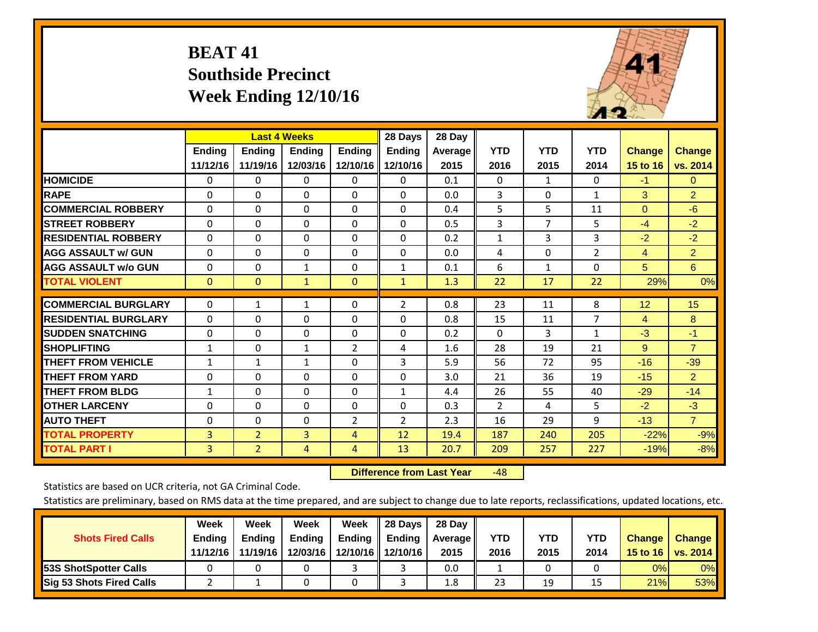# **BEAT 41 Southside Precinct Week Ending 12/10/16**



|                             |               | <b>Last 4 Weeks</b> |                |                | 28 Days        | 28 Day  |                |            |                |                |                |
|-----------------------------|---------------|---------------------|----------------|----------------|----------------|---------|----------------|------------|----------------|----------------|----------------|
|                             | <b>Ending</b> | Ending              | <b>Ending</b>  | <b>Ending</b>  | <b>Ending</b>  | Average | <b>YTD</b>     | <b>YTD</b> | <b>YTD</b>     | <b>Change</b>  | <b>Change</b>  |
|                             | 11/12/16      | 11/19/16            | 12/03/16       | 12/10/16       | 12/10/16       | 2015    | 2016           | 2015       | 2014           | 15 to 16       | vs. 2014       |
| <b>HOMICIDE</b>             | 0             | 0                   | $\mathbf 0$    | $\Omega$       | 0              | 0.1     | $\Omega$       | 1          | $\Omega$       | $-1$           | $\overline{0}$ |
| <b>RAPE</b>                 | $\Omega$      | 0                   | $\Omega$       | $\Omega$       | $\Omega$       | 0.0     | 3              | $\Omega$   | $\mathbf{1}$   | 3              | $\overline{2}$ |
| <b>COMMERCIAL ROBBERY</b>   | $\Omega$      | $\Omega$            | $\Omega$       | $\Omega$       | $\Omega$       | 0.4     | 5              | 5          | 11             | $\Omega$       | $-6$           |
| <b>STREET ROBBERY</b>       | $\mathbf 0$   | $\Omega$            | $\Omega$       | $\Omega$       | $\Omega$       | 0.5     | 3              | 7          | 5              | $-4$           | $-2$           |
| <b>IRESIDENTIAL ROBBERY</b> | $\Omega$      | $\Omega$            | $\mathbf{0}$   | $\Omega$       | $\Omega$       | 0.2     | $\mathbf{1}$   | 3          | 3              | $-2$           | $-2$           |
| <b>AGG ASSAULT w/ GUN</b>   | $\Omega$      | $\Omega$            | $\mathbf{0}$   | $\Omega$       | 0              | 0.0     | 4              | 0          | 2              | $\overline{4}$ | $\overline{2}$ |
| <b>AGG ASSAULT w/o GUN</b>  | 0             | $\Omega$            | $\mathbf{1}$   | 0              | $\mathbf{1}$   | 0.1     | 6              | 1          | 0              | 5 <sup>5</sup> | 6              |
| <b>TOTAL VIOLENT</b>        | $\mathbf{0}$  | $\mathbf{0}$        | 1              | $\mathbf{0}$   | $\mathbf{1}$   | 1.3     | 22             | 17         | 22             | 29%            | 0%             |
|                             |               |                     |                |                |                |         |                |            |                |                |                |
| <b>COMMERCIAL BURGLARY</b>  | $\Omega$      | 1                   | $\mathbf{1}$   | $\Omega$       | $\overline{2}$ | 0.8     | 23             | 11         | 8              | 12             | 15             |
| <b>RESIDENTIAL BURGLARY</b> | $\Omega$      | $\Omega$            | $\mathbf{0}$   | $\Omega$       | $\Omega$       | 0.8     | 15             | 11         | $\overline{7}$ | 4              | 8              |
| <b>SUDDEN SNATCHING</b>     | $\Omega$      | $\Omega$            | $\mathbf{0}$   | $\Omega$       | 0              | 0.2     | $\mathbf{0}$   | 3          | 1              | $-3$           | $-1$           |
| <b>SHOPLIFTING</b>          | 1             | $\Omega$            | $\mathbf{1}$   | $\overline{2}$ | 4              | 1.6     | 28             | 19         | 21             | 9              | $\overline{7}$ |
| <b>THEFT FROM VEHICLE</b>   | $\mathbf{1}$  | $\mathbf{1}$        | $\mathbf{1}$   | $\Omega$       | 3              | 5.9     | 56             | 72         | 95             | $-16$          | $-39$          |
| <b>THEFT FROM YARD</b>      | $\Omega$      | $\Omega$            | $\Omega$       | $\Omega$       | $\Omega$       | 3.0     | 21             | 36         | 19             | $-15$          | $\overline{2}$ |
| <b>THEFT FROM BLDG</b>      | 1             | $\Omega$            | $\mathbf{0}$   | $\Omega$       | $\mathbf{1}$   | 4.4     | 26             | 55         | 40             | $-29$          | $-14$          |
| <b>OTHER LARCENY</b>        | $\Omega$      | $\Omega$            | $\Omega$       | $\Omega$       | 0              | 0.3     | $\overline{2}$ | 4          | 5              | $-2$           | $-3$           |
| <b>AUTO THEFT</b>           | $\Omega$      | $\Omega$            | $\Omega$       | $\overline{2}$ | $\overline{2}$ | 2.3     | 16             | 29         | 9              | $-13$          | $\overline{7}$ |
| <b>TOTAL PROPERTY</b>       | 3             | $\overline{2}$      | 3              | 4              | 12             | 19.4    | 187            | 240        | 205            | $-22%$         | $-9%$          |
| <b>TOTAL PART I</b>         | 3             | $\overline{2}$      | $\overline{4}$ | 4              | 13             | 20.7    | 209            | 257        | 227            | $-19%$         | $-8%$          |

 **Difference from Last Year**r -48

Statistics are based on UCR criteria, not GA Criminal Code.

| <b>Shots Fired Calls</b>        | Week<br><b>Ending</b><br>11/12/16 | Week<br><b>Endina</b><br>11/19/16 | Week<br>Ending<br>12/03/16 | Week<br>Ending | 28 Days<br><b>Ending</b><br>12/10/16   12/10/16 | 28 Day<br>Average II<br>2015 | YTD<br>2016 | YTD<br>2015 | <b>YTD</b><br>2014 | <b>Change</b><br>15 to 16 $\vert$ | <b>Change</b><br><b>vs. 2014</b> |
|---------------------------------|-----------------------------------|-----------------------------------|----------------------------|----------------|-------------------------------------------------|------------------------------|-------------|-------------|--------------------|-----------------------------------|----------------------------------|
| <b>153S ShotSpotter Calls</b>   |                                   |                                   |                            |                |                                                 | 0.0                          |             |             |                    | 0%                                | 0%                               |
| <b>Sig 53 Shots Fired Calls</b> |                                   |                                   |                            |                |                                                 | 1.8                          | 23          | 19          |                    | 21%                               | 53%                              |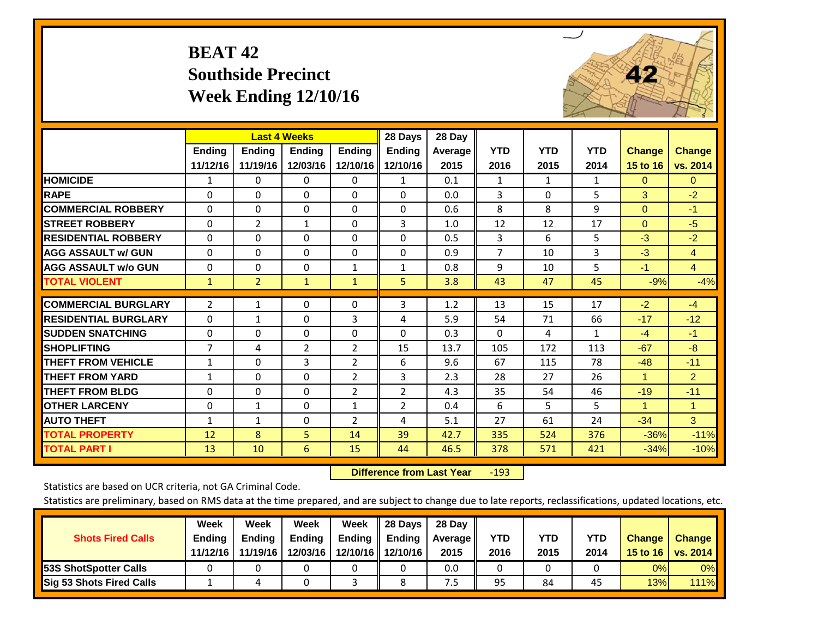# **BEAT 42 Southside Precinct Week Ending 12/10/16**



|                             |                | <b>Last 4 Weeks</b> |                |                | 28 Days        | 28 Day  |                |              |              |                      |                      |
|-----------------------------|----------------|---------------------|----------------|----------------|----------------|---------|----------------|--------------|--------------|----------------------|----------------------|
|                             | <b>Ending</b>  | <b>Endina</b>       | <b>Endina</b>  | <b>Endina</b>  | <b>Ending</b>  | Average | <b>YTD</b>     | <b>YTD</b>   | <b>YTD</b>   | <b>Change</b>        | <b>Change</b>        |
|                             | 11/12/16       | 11/19/16            | 12/03/16       | 12/10/16       | 12/10/16       | 2015    | 2016           | 2015         | 2014         | 15 to 16             | vs. 2014             |
| <b>HOMICIDE</b>             | 1              | $\mathbf{0}$        | 0              | 0              | $\mathbf{1}$   | 0.1     | 1              | $\mathbf{1}$ | $\mathbf{1}$ | $\mathbf{0}$         | $\mathbf{0}$         |
| <b>RAPE</b>                 | 0              | 0                   | $\Omega$       | $\Omega$       | $\Omega$       | 0.0     | 3              | $\Omega$     | 5            | 3                    | $-2$                 |
| <b>COMMERCIAL ROBBERY</b>   | 0              | 0                   | $\Omega$       | $\Omega$       | $\Omega$       | 0.6     | 8              | 8            | 9            | $\mathbf{0}$         | $-1$                 |
| <b>ISTREET ROBBERY</b>      | 0              | $\overline{2}$      | $\mathbf{1}$   | 0              | 3              | 1.0     | 12             | 12           | 17           | $\mathbf{0}$         | $-5$                 |
| <b>RESIDENTIAL ROBBERY</b>  | $\Omega$       | 0                   | $\mathbf{0}$   | 0              | $\Omega$       | 0.5     | 3              | 6            | 5            | $-3$                 | $-2$                 |
| <b>AGG ASSAULT w/ GUN</b>   | $\Omega$       | $\Omega$            | $\Omega$       | 0              | $\Omega$       | 0.9     | $\overline{7}$ | 10           | 3            | $-3$                 | $\overline{4}$       |
| <b>AGG ASSAULT w/o GUN</b>  | 0              | $\Omega$            | $\Omega$       | 1              | 1              | 0.8     | 9              | 10           | 5            | $-1$                 | $\overline{4}$       |
| <b>TOTAL VIOLENT</b>        | 1              | $\overline{2}$      | $\mathbf{1}$   | $\mathbf{1}$   | 5              | 3.8     | 43             | 47           | 45           | $-9%$                | $-4%$                |
| <b>COMMERCIAL BURGLARY</b>  | $\overline{2}$ | 1                   | 0              | 0              | 3              | 1.2     | 13             | 15           | 17           | $-2$                 | $-4$                 |
| <b>RESIDENTIAL BURGLARY</b> | $\Omega$       | $\mathbf{1}$        | $\mathbf{0}$   | 3              | 4              | 5.9     | 54             | 71           | 66           | $-17$                |                      |
|                             |                |                     |                |                |                |         |                |              |              |                      | $-12$                |
| <b>ISUDDEN SNATCHING</b>    | $\Omega$       | 0                   | $\Omega$       | $\mathbf{0}$   | $\Omega$       | 0.3     | $\Omega$       | 4            | 1            | $-4$                 | $-1$                 |
| <b>SHOPLIFTING</b>          | 7              | 4                   | $\overline{2}$ | $\overline{2}$ | 15             | 13.7    | 105            | 172          | 113          | $-67$                | $-8$                 |
| <b>THEFT FROM VEHICLE</b>   | $\mathbf{1}$   | 0                   | 3              | $\overline{2}$ | 6              | 9.6     | 67             | 115          | 78           | $-48$                | $-11$                |
| <b>THEFT FROM YARD</b>      | $\mathbf{1}$   | $\Omega$            | $\Omega$       | $\overline{2}$ | 3              | 2.3     | 28             | 27           | 26           | $\mathbf{1}$         | $\overline{2}$       |
| <b>THEFT FROM BLDG</b>      | $\Omega$       | $\Omega$            | $\Omega$       | $\overline{2}$ | $\overline{2}$ | 4.3     | 35             | 54           | 46           | $-19$                | $-11$                |
| <b>OTHER LARCENY</b>        | 0              | 1                   | $\Omega$       | 1              | $\overline{2}$ | 0.4     | 6              | 5.           | 5            | $\blacktriangleleft$ | $\blacktriangleleft$ |
| <b>AUTO THEFT</b>           | $\mathbf{1}$   | $\mathbf{1}$        | $\Omega$       | $\overline{2}$ | 4              | 5.1     | 27             | 61           | 24           | $-34$                | 3 <sup>1</sup>       |
| <b>TOTAL PROPERTY</b>       | 12             | 8                   | 5              | 14             | 39             | 42.7    | 335            | 524          | 376          | $-36%$               | $-11%$               |
| <b>TOTAL PART I</b>         | 13             | 10                  | 6              | 15             | 44             | 46.5    | 378            | 571          | 421          | $-34%$               | $-10%$               |

 **Difference from Last Year**r -193

Statistics are based on UCR criteria, not GA Criminal Code.

| <b>Shots Fired Calls</b>        | Week<br><b>Ending</b><br>11/12/16 | Week<br><b>Endina</b><br>11/19/16 | Week<br>Ending<br>12/03/16 | Week<br>Ending | 28 Days<br><b>Ending</b><br>12/10/16 12/10/16 | 28 Day<br>Average II<br>2015 | YTD<br>2016 | YTD<br>2015 | <b>YTD</b><br>2014 | <b>Change</b><br>15 to $16$ | <b>Change</b><br><b>vs. 2014</b> |
|---------------------------------|-----------------------------------|-----------------------------------|----------------------------|----------------|-----------------------------------------------|------------------------------|-------------|-------------|--------------------|-----------------------------|----------------------------------|
| <b>153S ShotSpotter Calls</b>   |                                   |                                   |                            |                |                                               | 0.0                          |             |             |                    | 0%                          | 0%                               |
| <b>Sig 53 Shots Fired Calls</b> |                                   |                                   |                            |                |                                               | ט.                           | 95          | 84          | 45                 | 13%                         | 111%                             |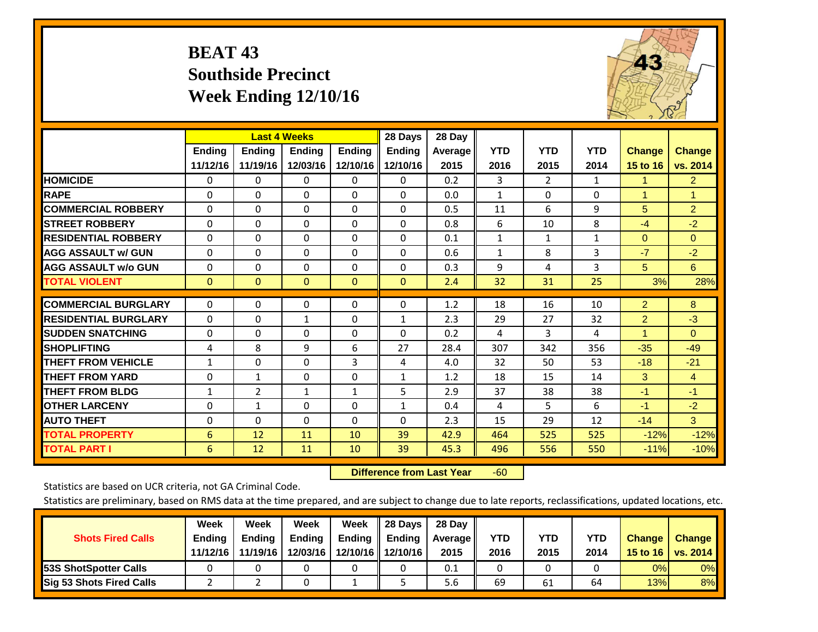# **BEAT 43 Southside Precinct Week Ending 12/10/16**



|                             |              | <b>Last 4 Weeks</b> |               |               | 28 Days       | 28 Day         |              |                |              |                |                |
|-----------------------------|--------------|---------------------|---------------|---------------|---------------|----------------|--------------|----------------|--------------|----------------|----------------|
|                             | Ending       | Ending              | <b>Ending</b> | <b>Ending</b> | <b>Ending</b> | <b>Average</b> | <b>YTD</b>   | <b>YTD</b>     | <b>YTD</b>   | <b>Change</b>  | <b>Change</b>  |
|                             | 11/12/16     | 11/19/16            | 12/03/16      | 12/10/16      | 12/10/16      | 2015           | 2016         | 2015           | 2014         | 15 to 16       | vs. 2014       |
| <b>HOMICIDE</b>             | 0            | 0                   | 0             | $\Omega$      | 0             | 0.2            | 3            | $\overline{2}$ | 1            | 1              | $\overline{2}$ |
| <b>RAPE</b>                 | $\Omega$     | 0                   | $\mathbf{0}$  | 0             | $\Omega$      | 0.0            | 1            | 0              | $\Omega$     | 1              | 1              |
| <b>COMMERCIAL ROBBERY</b>   | $\Omega$     | $\Omega$            | 0             | $\Omega$      | $\Omega$      | 0.5            | 11           | 6              | 9            | 5              | $\overline{2}$ |
| <b>STREET ROBBERY</b>       | 0            | $\Omega$            | 0             | $\Omega$      | $\Omega$      | 0.8            | 6            | 10             | 8            | $-4$           | $-2$           |
| <b>RESIDENTIAL ROBBERY</b>  | $\Omega$     | $\Omega$            | $\mathbf{0}$  | $\Omega$      | $\Omega$      | 0.1            | $\mathbf{1}$ | $\mathbf{1}$   | $\mathbf{1}$ | $\mathbf{0}$   | $\Omega$       |
| <b>AGG ASSAULT w/ GUN</b>   | $\Omega$     | $\Omega$            | $\mathbf{0}$  | $\Omega$      | $\Omega$      | 0.6            | $\mathbf{1}$ | 8              | 3            | $-7$           | $-2$           |
| <b>AGG ASSAULT w/o GUN</b>  | $\Omega$     | 0                   | $\Omega$      | $\Omega$      | $\Omega$      | 0.3            | 9            | 4              | 3            | 5              | 6              |
| <b>TOTAL VIOLENT</b>        | $\mathbf{0}$ | $\mathbf{0}$        | $\mathbf{0}$  | $\mathbf{0}$  | $\mathbf{0}$  | 2.4            | 32           | 31             | 25           | 3%             | 28%            |
|                             |              |                     |               |               |               |                |              |                |              |                |                |
| <b>COMMERCIAL BURGLARY</b>  | $\Omega$     | $\Omega$            | 0             | $\Omega$      | $\Omega$      | 1.2            | 18           | 16             | 10           | $\overline{2}$ | 8              |
| <b>RESIDENTIAL BURGLARY</b> | $\Omega$     | 0                   | 1             | 0             | $\mathbf{1}$  | 2.3            | 29           | 27             | 32           | $\overline{2}$ | $-3$           |
| <b>SUDDEN SNATCHING</b>     | $\Omega$     | 0                   | $\mathbf{0}$  | $\Omega$      | 0             | 0.2            | 4            | 3              | 4            | 1              | $\Omega$       |
| <b>SHOPLIFTING</b>          | 4            | 8                   | 9             | 6             | 27            | 28.4           | 307          | 342            | 356          | $-35$          | $-49$          |
| <b>THEFT FROM VEHICLE</b>   | $\mathbf{1}$ | $\Omega$            | $\Omega$      | 3             | 4             | 4.0            | 32           | 50             | 53           | $-18$          | $-21$          |
| <b>THEFT FROM YARD</b>      | $\Omega$     | $\mathbf{1}$        | $\Omega$      | $\Omega$      | $\mathbf{1}$  | 1.2            | 18           | 15             | 14           | 3              | $\overline{4}$ |
| <b>THEFT FROM BLDG</b>      | $\mathbf{1}$ | 2                   | $\mathbf{1}$  | 1             | 5             | 2.9            | 37           | 38             | 38           | $-1$           | $-1$           |
| <b>OTHER LARCENY</b>        | $\Omega$     | $\mathbf{1}$        | $\mathbf{0}$  | $\Omega$      | $\mathbf{1}$  | 0.4            | 4            | 5              | 6            | $-1$           | $-2$           |
| <b>AUTO THEFT</b>           | $\Omega$     | $\Omega$            | $\Omega$      | $\Omega$      | $\Omega$      | 2.3            | 15           | 29             | 12           | $-14$          | 3              |
| <b>TOTAL PROPERTY</b>       | 6            | 12                  | 11            | 10            | 39            | 42.9           | 464          | 525            | 525          | $-12%$         | $-12%$         |
| <b>TOTAL PART I</b>         | 6            | 12                  | 11            | 10            | 39            | 45.3           | 496          | 556            | 550          | $-11%$         | $-10%$         |

 **Difference from Last Year**r -60

Statistics are based on UCR criteria, not GA Criminal Code.

| <b>Shots Fired Calls</b>        | Week<br><b>Ending</b> | Week<br><b>Endina</b> | Week<br>Ending | Week<br>Ending | 28 Days<br><b>Ending</b> | 28 Day<br>Average II | YTD  | YTD  | <b>YTD</b> | <b>Change</b>    | <b>Change</b>   |
|---------------------------------|-----------------------|-----------------------|----------------|----------------|--------------------------|----------------------|------|------|------------|------------------|-----------------|
|                                 | 11/12/16              | 11/19/16              | 12/03/16       |                | 12/10/16   12/10/16      | 2015                 | 2016 | 2015 | 2014       | 15 to 16 $\vert$ | <b>vs. 2014</b> |
| <b>153S ShotSpotter Calls</b>   |                       |                       |                |                |                          | 0.1                  |      |      |            | 0%               | 0%              |
| <b>Sig 53 Shots Fired Calls</b> |                       |                       |                |                |                          | 5.6                  | 69   | 61   | 64         | 13%              | 8%              |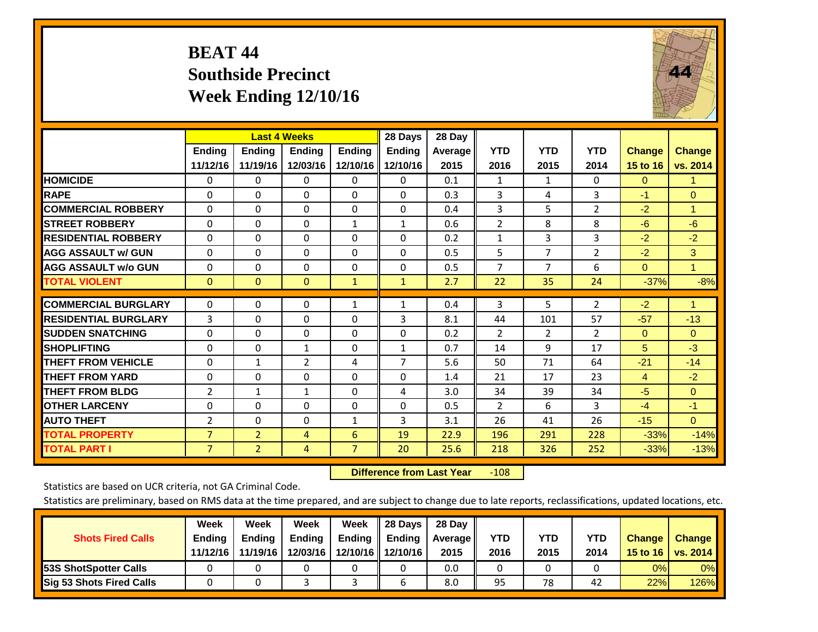# **BEAT 44 Southside Precinct Week Ending 12/10/16**



|                             |                           |                           | <b>Last 4 Weeks</b> |                           | 28 Days                   | 28 Day          |                    |                    |                    |                           |                           |
|-----------------------------|---------------------------|---------------------------|---------------------|---------------------------|---------------------------|-----------------|--------------------|--------------------|--------------------|---------------------------|---------------------------|
|                             | <b>Ending</b><br>11/12/16 | <b>Ending</b><br>11/19/16 | Ending<br>12/03/16  | <b>Ending</b><br>12/10/16 | <b>Ending</b><br>12/10/16 | Average<br>2015 | <b>YTD</b><br>2016 | <b>YTD</b><br>2015 | <b>YTD</b><br>2014 | <b>Change</b><br>15 to 16 | <b>Change</b><br>vs. 2014 |
| <b>HOMICIDE</b>             | 0                         | 0                         | $\Omega$            | $\Omega$                  | $\Omega$                  | 0.1             | 1                  | 1                  | 0                  | $\Omega$                  | -1                        |
| <b>RAPE</b>                 | $\Omega$                  | $\Omega$                  | $\Omega$            | $\Omega$                  | $\Omega$                  | 0.3             | 3                  | 4                  | 3                  | $-1$                      | $\Omega$                  |
| <b>COMMERCIAL ROBBERY</b>   | $\Omega$                  | $\Omega$                  | $\Omega$            | $\mathbf{0}$              | $\Omega$                  | 0.4             | 3                  | 5                  | $\overline{2}$     | $-2$                      | 1                         |
| <b>STREET ROBBERY</b>       | $\Omega$                  | $\Omega$                  | 0                   | $\mathbf{1}$              | $\mathbf{1}$              | 0.6             | 2                  | 8                  | 8                  | $-6$                      | $-6$                      |
| <b>RESIDENTIAL ROBBERY</b>  | $\Omega$                  | $\Omega$                  | 0                   | $\mathbf{0}$              | 0                         | 0.2             | $\mathbf{1}$       | 3                  | 3                  | $-2$                      | $-2$                      |
| <b>AGG ASSAULT w/ GUN</b>   | $\Omega$                  | $\Omega$                  | 0                   | $\mathbf{0}$              | $\Omega$                  | 0.5             | 5                  | 7                  | $\overline{2}$     | $-2$                      | 3                         |
| <b>AGG ASSAULT w/o GUN</b>  | 0                         | $\Omega$                  | $\Omega$            | $\mathbf 0$               | $\Omega$                  | 0.5             | $\overline{7}$     | 7                  | 6                  | $\Omega$                  | $\mathbf{1}$              |
| <b>TOTAL VIOLENT</b>        | $\mathbf{0}$              | $\mathbf{0}$              | $\mathbf{0}$        | $\mathbf{1}$              | $\mathbf{1}$              | 2.7             | 22                 | 35                 | 24                 | $-37%$                    | $-8%$                     |
|                             |                           |                           |                     |                           |                           |                 |                    |                    |                    |                           |                           |
| <b>COMMERCIAL BURGLARY</b>  | $\Omega$                  | 0                         | 0                   | $\mathbf{1}$              | $\mathbf{1}$              | 0.4             | 3                  | 5                  | $\overline{2}$     | $-2$                      | $\blacktriangleleft$      |
| <b>RESIDENTIAL BURGLARY</b> | 3                         | 0                         | 0                   | $\Omega$                  | 3                         | 8.1             | 44                 | 101                | 57                 | $-57$                     | $-13$                     |
| <b>SUDDEN SNATCHING</b>     | 0                         | $\Omega$                  | 0                   | $\mathbf{0}$              | $\Omega$                  | 0.2             | 2                  | $\overline{2}$     | $\overline{2}$     | $\Omega$                  | $\mathbf{0}$              |
| <b>SHOPLIFTING</b>          | 0                         | 0                         | $\mathbf{1}$        | $\mathbf 0$               | $\mathbf{1}$              | 0.7             | 14                 | 9                  | 17                 | 5                         | $-3$                      |
| <b>THEFT FROM VEHICLE</b>   | $\mathbf 0$               | 1                         | $\overline{2}$      | 4                         | 7                         | 5.6             | 50                 | 71                 | 64                 | $-21$                     | $-14$                     |
| <b>THEFT FROM YARD</b>      | $\Omega$                  | $\Omega$                  | $\Omega$            | $\Omega$                  | $\Omega$                  | 1.4             | 21                 | 17                 | 23                 | 4                         | $-2$                      |
| <b>THEFT FROM BLDG</b>      | 2                         | 1                         | $\mathbf{1}$        | $\mathbf{0}$              | 4                         | 3.0             | 34                 | 39                 | 34                 | $-5$                      | $\Omega$                  |
| <b>OTHER LARCENY</b>        | $\Omega$                  | 0                         | $\Omega$            | $\Omega$                  | $\Omega$                  | 0.5             | 2                  | 6                  | 3                  | $-4$                      | $-1$                      |
| <b>AUTO THEFT</b>           | 2                         | $\Omega$                  | $\Omega$            | 1                         | 3                         | 3.1             | 26                 | 41                 | 26                 | $-15$                     | $\Omega$                  |
| <b>TOTAL PROPERTY</b>       | $\overline{7}$            | $\overline{2}$            | 4                   | 6                         | 19                        | 22.9            | 196                | 291                | 228                | $-33%$                    | $-14%$                    |
| <b>TOTAL PART I</b>         | $\overline{7}$            | $\overline{2}$            | 4                   | $\overline{7}$            | 20                        | 25.6            | 218                | 326                | 252                | $-33%$                    | $-13%$                    |

 **Difference from Last Year**r -108

Statistics are based on UCR criteria, not GA Criminal Code.

| <b>Shots Fired Calls</b>        | Week<br><b>Ending</b><br>11/12/16 | Week<br><b>Endina</b><br>11/19/16 | Week<br>Ending<br>12/03/16 | Week<br>Ending | 28 Days<br><b>Ending</b><br>12/10/16 12/10/16 | 28 Day<br>Average II<br>2015 | YTD<br>2016 | YTD<br>2015 | YTD<br>2014 | <b>Change</b><br>15 to $16$ | <b>Change</b><br><b>vs. 2014</b> |
|---------------------------------|-----------------------------------|-----------------------------------|----------------------------|----------------|-----------------------------------------------|------------------------------|-------------|-------------|-------------|-----------------------------|----------------------------------|
| <b>153S ShotSpotter Calls</b>   |                                   |                                   |                            |                |                                               | 0.0                          |             |             |             | 0%                          | 0%                               |
| <b>Sig 53 Shots Fired Calls</b> |                                   |                                   |                            |                |                                               | 8.0                          | 95          | 78          | 42          | 22%                         | 126%                             |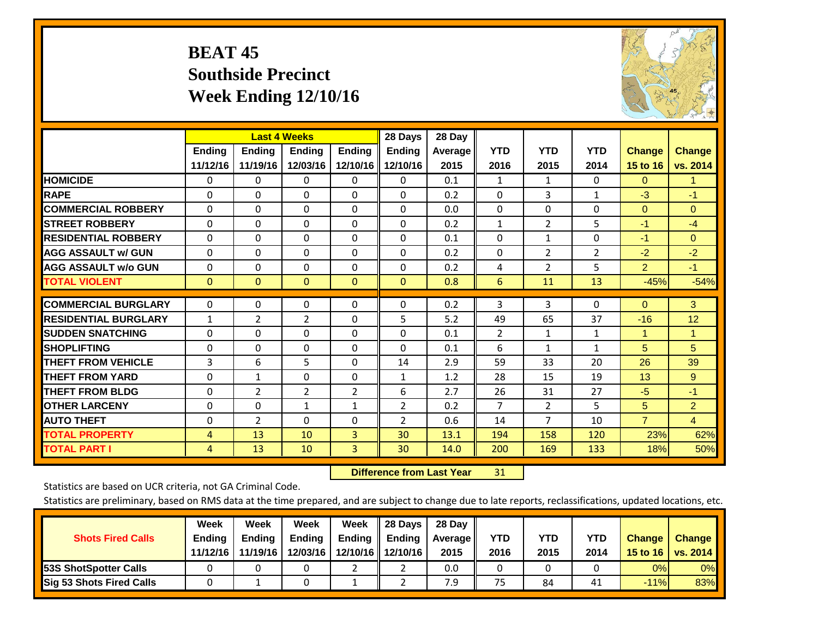# **BEAT 45 Southside Precinct Week Ending 12/10/16**



|                             |               | <b>Last 4 Weeks</b> |                |                | 28 Days        | 28 Day  |                |                |                |                |                |
|-----------------------------|---------------|---------------------|----------------|----------------|----------------|---------|----------------|----------------|----------------|----------------|----------------|
|                             | <b>Ending</b> | <b>Ending</b>       | Ending         | <b>Ending</b>  | <b>Ending</b>  | Average | <b>YTD</b>     | <b>YTD</b>     | <b>YTD</b>     | <b>Change</b>  | <b>Change</b>  |
|                             | 11/12/16      | 11/19/16            | 12/03/16       | 12/10/16       | 12/10/16       | 2015    | 2016           | 2015           | 2014           | 15 to 16       | vs. 2014       |
| <b>HOMICIDE</b>             | 0             | 0                   | $\Omega$       | $\Omega$       | 0              | 0.1     | 1              | $\mathbf{1}$   | 0              | $\Omega$       | 1.             |
| <b>RAPE</b>                 | $\Omega$      | 0                   | $\mathbf{0}$   | $\Omega$       | 0              | 0.2     | $\mathbf{0}$   | 3              | $\mathbf{1}$   | $-3$           | $-1$           |
| <b>COMMERCIAL ROBBERY</b>   | $\Omega$      | 0                   | $\Omega$       | $\Omega$       | $\Omega$       | 0.0     | $\mathbf{0}$   | $\Omega$       | 0              | $\Omega$       | $\mathbf{0}$   |
| <b>STREET ROBBERY</b>       | $\Omega$      | $\Omega$            | $\Omega$       | $\Omega$       | $\Omega$       | 0.2     | $\mathbf{1}$   | 2              | 5              | $-1$           | $-4$           |
| <b>RESIDENTIAL ROBBERY</b>  | $\Omega$      | $\Omega$            | $\mathbf{0}$   | $\mathbf{0}$   | $\Omega$       | 0.1     | $\mathbf{0}$   | $\mathbf{1}$   | 0              | $-1$           | $\mathbf{0}$   |
| <b>AGG ASSAULT w/ GUN</b>   | $\Omega$      | 0                   | $\mathbf{0}$   | $\Omega$       | 0              | 0.2     | $\mathbf{0}$   | $\overline{2}$ | $\overline{2}$ | $-2$           | $-2$           |
| <b>AGG ASSAULT w/o GUN</b>  | $\Omega$      | $\Omega$            | $\Omega$       | $\Omega$       | $\Omega$       | 0.2     | 4              | $\overline{2}$ | 5              | $\overline{2}$ | $-1$           |
| <b>TOTAL VIOLENT</b>        | $\mathbf{0}$  | $\mathbf{0}$        | $\mathbf{0}$   | $\mathbf{0}$   | $\mathbf{0}$   | 0.8     | 6              | 11             | 13             | $-45%$         | $-54%$         |
|                             |               |                     |                |                |                |         |                |                |                |                |                |
| <b>COMMERCIAL BURGLARY</b>  | $\Omega$      | $\Omega$            | 0              | 0              | $\Omega$       | 0.2     | 3              | 3              | 0              | $\Omega$       | 3              |
| <b>RESIDENTIAL BURGLARY</b> | 1             | 2                   | 2              | $\Omega$       | 5              | 5.2     | 49             | 65             | 37             | $-16$          | 12             |
| <b>SUDDEN SNATCHING</b>     | $\Omega$      | $\Omega$            | $\Omega$       | $\Omega$       | $\Omega$       | 0.1     | $\overline{2}$ | 1              | 1              | 1              | 1              |
| <b>SHOPLIFTING</b>          | $\Omega$      | $\Omega$            | $\Omega$       | $\Omega$       | 0              | 0.1     | 6              | $\mathbf{1}$   | $\mathbf{1}$   | 5              | 5              |
| <b>THEFT FROM VEHICLE</b>   | 3             | 6                   | 5              | $\Omega$       | 14             | 2.9     | 59             | 33             | 20             | 26             | 39             |
| <b>THEFT FROM YARD</b>      | $\Omega$      | $\mathbf{1}$        | $\mathbf{0}$   | $\Omega$       | $\mathbf{1}$   | 1.2     | 28             | 15             | 19             | 13             | 9              |
| <b>THEFT FROM BLDG</b>      | 0             | 2                   | $\overline{2}$ | 2              | 6              | 2.7     | 26             | 31             | 27             | $-5$           | $-1$           |
| <b>OTHER LARCENY</b>        | $\Omega$      | 0                   | $\mathbf{1}$   | $\mathbf{1}$   | $\overline{2}$ | 0.2     | 7              | 2              | 5              | 5              | $\overline{2}$ |
| <b>AUTO THEFT</b>           | $\Omega$      | $\overline{2}$      | $\Omega$       | $\Omega$       | $\overline{2}$ | 0.6     | 14             | 7              | 10             | $\overline{7}$ | $\overline{4}$ |
| <b>TOTAL PROPERTY</b>       | 4             | 13                  | 10             | $\overline{3}$ | 30             | 13.1    | 194            | 158            | 120            | 23%            | 62%            |
| <b>TOTAL PART I</b>         | 4             | 13                  | 10             | 3              | 30             | 14.0    | 200            | 169            | 133            | 18%            | 50%            |

 **Difference from Last Year**r 31

Statistics are based on UCR criteria, not GA Criminal Code.

| <b>Shots Fired Calls</b>        | Week<br><b>Ending</b><br>11/12/16 | Week<br><b>Endina</b><br>11/19/16 | Week<br>Ending<br>12/03/16 | Week<br>Ending | 28 Days<br><b>Ending</b><br>12/10/16 12/10/16 | 28 Day<br>Average II<br>2015 | YTD<br>2016 | YTD<br>2015 | <b>YTD</b><br>2014 | <b>Change</b><br>15 to 16 $\vert$ | <b>Change</b><br><b>vs. 2014</b> |
|---------------------------------|-----------------------------------|-----------------------------------|----------------------------|----------------|-----------------------------------------------|------------------------------|-------------|-------------|--------------------|-----------------------------------|----------------------------------|
| <b>153S ShotSpotter Calls</b>   |                                   |                                   |                            |                |                                               | 0.0                          |             |             |                    | 0%                                | 0%                               |
| <b>Sig 53 Shots Fired Calls</b> |                                   |                                   |                            |                |                                               | 7.9                          | 75          | 84          | 41                 | $-11%$                            | 83%                              |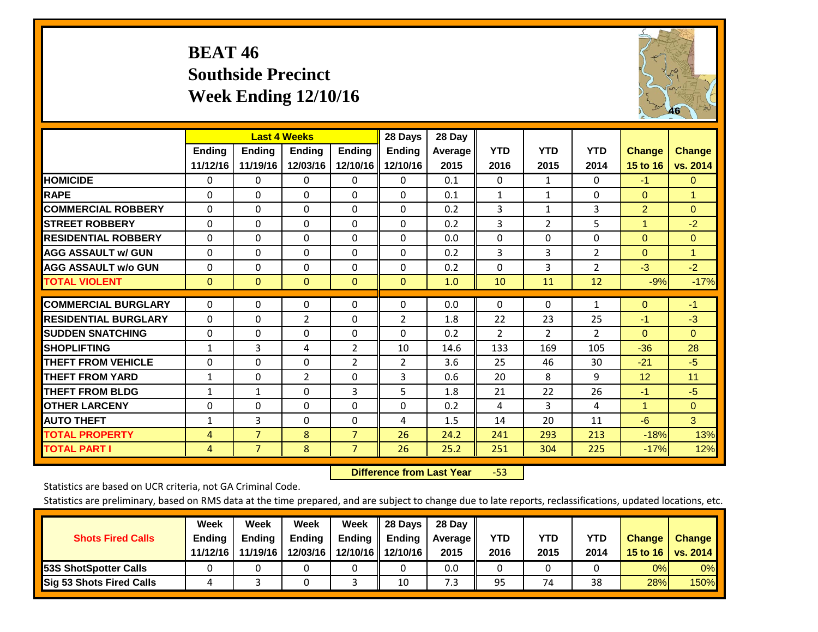# **BEAT 46 Southside Precinct Week Ending 12/10/16**



|                             |               | <b>Last 4 Weeks</b> |                |               | 28 Days        | 28 Day  |                |                |                |                      |               |
|-----------------------------|---------------|---------------------|----------------|---------------|----------------|---------|----------------|----------------|----------------|----------------------|---------------|
|                             | <b>Ending</b> | <b>Ending</b>       | Ending         | <b>Endina</b> | <b>Endina</b>  | Average | <b>YTD</b>     | <b>YTD</b>     | <b>YTD</b>     | <b>Change</b>        | <b>Change</b> |
|                             | 11/12/16      | 11/19/16            | 12/03/16       | 12/10/16      | 12/10/16       | 2015    | 2016           | 2015           | 2014           | <b>15 to 16</b>      | vs. 2014      |
| <b>HOMICIDE</b>             | $\Omega$      | $\mathbf{0}$        | 0              | $\Omega$      | $\mathbf{0}$   | 0.1     | $\Omega$       | $\mathbf{1}$   | 0              | $-1$                 | $\mathbf{0}$  |
| <b>RAPE</b>                 | $\Omega$      | $\Omega$            | $\Omega$       | $\Omega$      | $\Omega$       | 0.1     | $\mathbf{1}$   | $\mathbf{1}$   | 0              | $\Omega$             | 1             |
| <b>COMMERCIAL ROBBERY</b>   | $\Omega$      | $\Omega$            | $\Omega$       | $\Omega$      | $\Omega$       | 0.2     | 3              | 1              | 3              | $\overline{2}$       | $\Omega$      |
| <b>ISTREET ROBBERY</b>      | $\Omega$      | 0                   | $\Omega$       | $\mathbf{0}$  | $\Omega$       | 0.2     | 3              | 2              | 5              | $\blacktriangleleft$ | $-2$          |
| <b>RESIDENTIAL ROBBERY</b>  | $\Omega$      | 0                   | $\Omega$       | $\mathbf{0}$  | $\Omega$       | 0.0     | $\mathbf{0}$   | 0              | 0              | $\Omega$             | $\mathbf{0}$  |
| <b>AGG ASSAULT w/ GUN</b>   | $\Omega$      | $\Omega$            | $\Omega$       | $\Omega$      | $\Omega$       | 0.2     | 3              | 3              | $\overline{2}$ | $\Omega$             | $\mathbf{1}$  |
| <b>AGG ASSAULT w/o GUN</b>  | 0             | $\Omega$            | $\Omega$       | $\Omega$      | $\Omega$       | 0.2     | $\Omega$       | 3              | $\overline{2}$ | $-3$                 | $-2$          |
| <b>TOTAL VIOLENT</b>        | $\mathbf{0}$  | $\mathbf{0}$        | $\Omega$       | $\mathbf{0}$  | $\Omega$       | 1.0     | 10             | 11             | 12             | $-9%$                | $-17%$        |
|                             |               |                     |                |               |                |         |                |                |                |                      |               |
| <b>COMMERCIAL BURGLARY</b>  | $\Omega$      | $\Omega$            | 0              | 0             | $\Omega$       | 0.0     | $\mathbf{0}$   | $\mathbf{0}$   | 1              | $\Omega$             | $-1$          |
| <b>RESIDENTIAL BURGLARY</b> | $\Omega$      | $\Omega$            | $\overline{2}$ | $\mathbf{0}$  | $\overline{2}$ | 1.8     | 22             | 23             | 25             | -1                   | $-3$          |
| <b>ISUDDEN SNATCHING</b>    | $\Omega$      | $\Omega$            | $\Omega$       | $\Omega$      | $\Omega$       | 0.2     | $\overline{2}$ | $\overline{2}$ | $\overline{2}$ | $\Omega$             | $\mathbf{0}$  |
| SHOPLIFTING                 | $\mathbf{1}$  | 3                   | 4              | 2             | 10             | 14.6    | 133            | 169            | 105            | $-36$                | 28            |
| <b>THEFT FROM VEHICLE</b>   | 0             | $\Omega$            | 0              | 2             | $\overline{2}$ | 3.6     | 25             | 46             | 30             | $-21$                | $-5$          |
| <b>THEFT FROM YARD</b>      | $\mathbf{1}$  | $\Omega$            | $\overline{2}$ | $\mathbf{0}$  | 3              | 0.6     | 20             | 8              | 9              | 12                   | 11            |
| <b>THEFT FROM BLDG</b>      | $\mathbf{1}$  | $\mathbf{1}$        | $\Omega$       | 3             | 5              | 1.8     | 21             | 22             | 26             | $-1$                 | $-5$          |
| <b>IOTHER LARCENY</b>       | $\Omega$      | $\Omega$            | $\Omega$       | $\Omega$      | $\Omega$       | 0.2     | 4              | 3              | 4              | $\blacktriangleleft$ | $\mathbf{0}$  |
| <b>AUTO THEFT</b>           | $\mathbf{1}$  | 3                   | $\Omega$       | $\Omega$      | 4              | 1.5     | 14             | 20             | 11             | $-6$                 | 3             |
| <b>TOTAL PROPERTY</b>       | 4             | $\overline{7}$      | 8              | 7             | 26             | 24.2    | 241            | 293            | 213            | $-18%$               | 13%           |
| <b>TOTAL PART I</b>         | 4             | $\overline{7}$      | 8              | 7             | 26             | 25.2    | 251            | 304            | 225            | $-17%$               | 12%           |

 **Difference from Last Year**‐53

Statistics are based on UCR criteria, not GA Criminal Code.

| <b>Shots Fired Calls</b>        | Week<br><b>Ending</b><br>11/12/16 | Week<br><b>Endina</b><br>11/19/16 | <b>Week</b><br>Ending<br>12/03/16 | Week<br>Ending | 28 Days<br><b>Ending</b><br>12/10/16 12/10/16 | 28 Day<br>Average II<br>2015 | YTD<br>2016 | YTD<br>2015 | YTD<br>2014 | <b>Change</b><br>15 to $16$ | <b>Change</b><br><b>vs. 2014</b> |
|---------------------------------|-----------------------------------|-----------------------------------|-----------------------------------|----------------|-----------------------------------------------|------------------------------|-------------|-------------|-------------|-----------------------------|----------------------------------|
| <b>153S ShotSpotter Calls</b>   |                                   |                                   |                                   |                |                                               | 0.0                          |             |             |             | 0%                          | 0%                               |
| <b>Sig 53 Shots Fired Calls</b> |                                   |                                   |                                   |                | 10                                            | 7.3                          | 95          | 74          | 38          | 28%                         | 150%                             |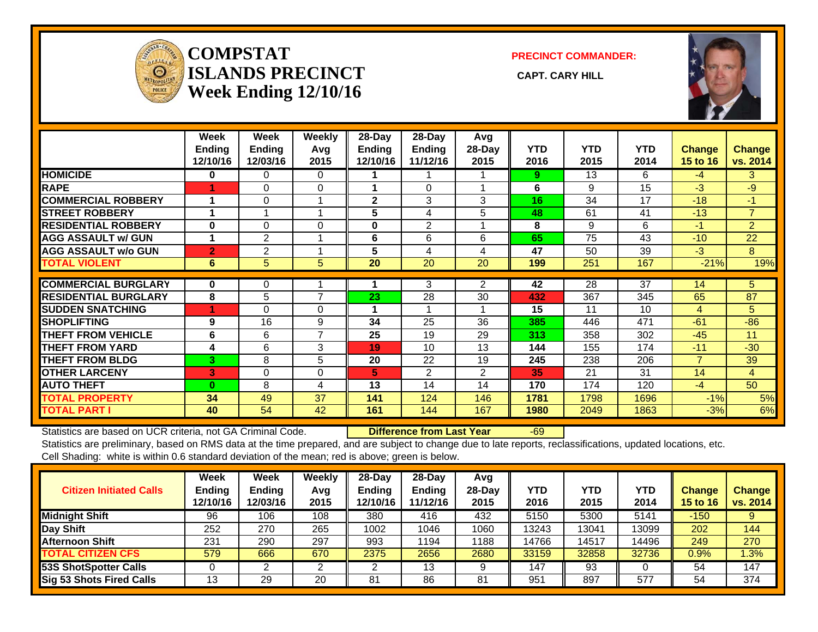

#### **COMPSTATISLANDS PRECINCT** CAPT. CARY HILL **Week Ending 12/10/16**

**PRECINCT COMMANDER:**



|                             | Week<br>Ending<br>12/10/16 | Week<br><b>Ending</b><br>12/03/16 | <b>Weekly</b><br>Avg<br>2015 | 28-Day<br><b>Ending</b><br>12/10/16 | 28-Day<br><b>Ending</b><br>11/12/16 | Avg<br>28-Day<br>2015 | <b>YTD</b><br>2016 | <b>YTD</b><br>2015 | <b>YTD</b><br>2014 | <b>Change</b><br>15 to 16 | <b>Change</b><br>vs. 2014 |
|-----------------------------|----------------------------|-----------------------------------|------------------------------|-------------------------------------|-------------------------------------|-----------------------|--------------------|--------------------|--------------------|---------------------------|---------------------------|
| <b>HOMICIDE</b>             | $\bf{0}$                   | $\Omega$                          | $\Omega$                     |                                     |                                     |                       | 9                  | 13                 | 6                  | $-4$                      | 3                         |
| <b>RAPE</b>                 |                            | $\Omega$                          | $\Omega$                     |                                     | $\Omega$                            |                       | 6                  | 9                  | 15                 | $-3$                      | $-9$                      |
| <b>COMMERCIAL ROBBERY</b>   |                            | 0                                 |                              | $\mathbf{2}$                        | 3                                   | 3                     | 16.                | 34                 | 17                 | $-18$                     | $-1$                      |
| <b>STREET ROBBERY</b>       |                            |                                   |                              | 5                                   | 4                                   | 5                     | 48                 | 61                 | 41                 | $-13$                     | $\overline{7}$            |
| <b>RESIDENTIAL ROBBERY</b>  | $\bf{0}$                   | $\Omega$                          | $\Omega$                     | $\bf{0}$                            | $\overline{2}$                      |                       | 8                  | 9                  | 6                  | $-1$                      | 2                         |
| <b>AGG ASSAULT w/ GUN</b>   |                            | $\overline{2}$                    |                              | 6                                   | 6                                   | 6                     | 65                 | 75                 | 43                 | $-10$                     | 22                        |
| <b>AGG ASSAULT w/o GUN</b>  | $\overline{2}$             | 2                                 |                              | 5                                   | 4                                   | 4                     | 47                 | 50                 | 39                 | $-3$                      | 8                         |
| <b>TOTAL VIOLENT</b>        | 6                          | 5                                 | 5                            | 20                                  | 20                                  | 20                    | 199                | 251                | 167                | $-21%$                    | 19%                       |
| <b>COMMERCIAL BURGLARY</b>  | $\bf{0}$                   |                                   |                              |                                     | 3                                   | 2                     | 42                 | 28                 | 37                 | 14                        | 5                         |
|                             |                            | 0                                 | $\overline{7}$               |                                     |                                     |                       |                    |                    |                    |                           |                           |
| <b>RESIDENTIAL BURGLARY</b> | 8                          | 5                                 |                              | 23                                  | 28                                  | 30                    | 432                | 367                | 345                | 65                        | 87                        |
| <b>SUDDEN SNATCHING</b>     | 4                          | $\Omega$                          | $\Omega$                     |                                     |                                     |                       | 15                 | 11                 | 10                 | 4                         | 5                         |
| <b>SHOPLIFTING</b>          | 9                          | 16                                | 9                            | 34                                  | 25                                  | 36                    | 385                | 446                | 471                | $-61$                     | $-86$                     |
| THEFT FROM VEHICLE          | 6                          | 6                                 | 7                            | 25                                  | 19                                  | 29                    | 313                | 358                | 302                | $-45$                     | 11                        |
| <b>THEFT FROM YARD</b>      | 4                          | 6                                 | 3                            | 19                                  | 10                                  | 13                    | 144                | 155                | 174                | $-11$                     | $-30$                     |
| <b>THEFT FROM BLDG</b>      | 3                          | 8                                 | 5                            | 20                                  | 22                                  | 19                    | 245                | 238                | 206                | $\overline{7}$            | 39                        |
| <b>OTHER LARCENY</b>        | 3                          | 0                                 | 0                            | 5                                   | 2                                   | $\overline{2}$        | 35                 | 21                 | 31                 | 14                        | $\overline{4}$            |
| <b>AUTO THEFT</b>           | $\Omega$                   | 8                                 | 4                            | 13                                  | 14                                  | 14                    | 170                | 174                | 120                | $-4$                      | 50                        |
| <b>TOTAL PROPERTY</b>       | 34                         | 49                                | 37                           | 141                                 | 124                                 | 146                   | 1781               | 1798               | 1696               | $-1%$                     | 5%                        |
| <b>TOTAL PART I</b>         | 40                         | 54                                | 42                           | 161                                 | 144                                 | 167                   | 1980               | 2049               | 1863               | $-3%$                     | 6%                        |

Statistics are based on UCR criteria, not GA Criminal Code. **Difference from Last Year** -69 Statistics are preliminary, based on RMS data at the time prepared, and are subject to change due to late reports, reclassifications, updated locations, etc. Cell Shading: white is within 0.6 standard deviation of the mean; red is above; green is below.

| <b>Citizen Initiated Calls</b>  | <b>Week</b><br><b>Ending</b><br>12/10/16 | Week<br><b>Ending</b><br>12/03/16 | Weekly<br>Avg<br>2015 | $28$ -Day<br>Ending<br>12/10/16 | $28-Dav$<br><b>Ending</b><br>11/12/16 | Avg<br>$28-Day$<br>2015 | <b>YTD</b><br>2016 | YTD<br>2015 | YTD<br>2014 | Change<br><b>15 to 16</b> | <b>Change</b><br>vs. 2014 |
|---------------------------------|------------------------------------------|-----------------------------------|-----------------------|---------------------------------|---------------------------------------|-------------------------|--------------------|-------------|-------------|---------------------------|---------------------------|
| <b>Midnight Shift</b>           | 96                                       | 106                               | 108                   | 380                             | 416                                   | 432                     | 5150               | 5300        | 5141        | $-150$                    | 9                         |
| Day Shift                       | 252                                      | 270                               | 265                   | 1002                            | 1046                                  | 1060                    | 13243              | 13041       | 13099       | 202                       | 144                       |
| <b>Afternoon Shift</b>          | 231                                      | 290                               | 297                   | 993                             | 194                                   | 1188                    | 14766              | 14517       | 14496       | 249                       | 270                       |
| <b>TOTAL CITIZEN CFS</b>        | 579                                      | 666                               | 670                   | 2375                            | 2656                                  | 2680                    | 33159              | 32858       | 32736       | $0.9\%$                   | 1.3%                      |
| <b>53S ShotSpotter Calls</b>    |                                          |                                   |                       |                                 | 13                                    | 9                       | 147                | 93          |             | 54                        | 147                       |
| <b>Sig 53 Shots Fired Calls</b> | 13                                       | 29                                | 20                    | 81                              | 86                                    | 81                      | 951                | 897         | 577         | 54                        | 374                       |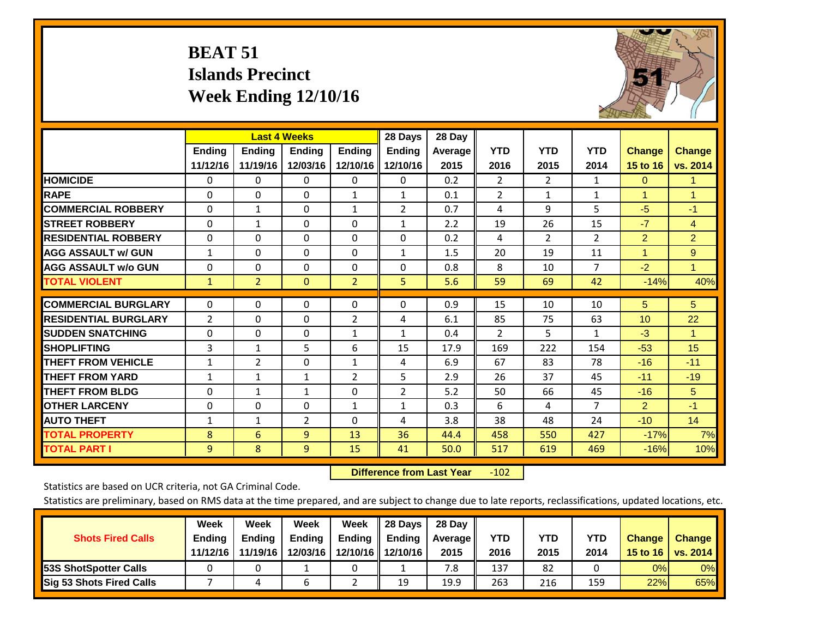# **BEAT 51 Islands Precinct Week Ending 12/10/16**



|                             |               | <b>Last 4 Weeks</b> |                |                | 28 Days        | 28 Day  |                |                       |                |                |                |
|-----------------------------|---------------|---------------------|----------------|----------------|----------------|---------|----------------|-----------------------|----------------|----------------|----------------|
|                             | <b>Ending</b> | <b>Ending</b>       | Ending         | <b>Ending</b>  | <b>Ending</b>  | Average | <b>YTD</b>     | <b>YTD</b>            | <b>YTD</b>     | <b>Change</b>  | <b>Change</b>  |
|                             | 11/12/16      | 11/19/16            | 12/03/16       | 12/10/16       | 12/10/16       | 2015    | 2016           | 2015                  | 2014           | 15 to 16       | vs. 2014       |
| <b>HOMICIDE</b>             | 0             | 0                   | $\Omega$       | $\mathbf{0}$   | 0              | 0.2     | $\overline{2}$ | $\mathbf{2}^{\prime}$ | 1              | $\Omega$       | 1.             |
| <b>RAPE</b>                 | $\Omega$      | $\Omega$            | $\Omega$       | $\mathbf{1}$   | $\mathbf{1}$   | 0.1     | $\overline{2}$ | 1                     | 1              | 1              | 1              |
| <b>COMMERCIAL ROBBERY</b>   | $\Omega$      | $\mathbf{1}$        | $\Omega$       | 1              | $\overline{2}$ | 0.7     | 4              | 9                     | 5              | $-5$           | $-1$           |
| <b>STREET ROBBERY</b>       | $\Omega$      | $\mathbf{1}$        | $\mathbf 0$    | $\Omega$       | $\mathbf{1}$   | 2.2     | 19             | 26                    | 15             | $-7$           | $\overline{4}$ |
| <b>RESIDENTIAL ROBBERY</b>  | $\Omega$      | 0                   | $\Omega$       | $\mathbf{0}$   | $\Omega$       | 0.2     | 4              | $\overline{2}$        | $\overline{2}$ | $\overline{2}$ | $\overline{2}$ |
| <b>AGG ASSAULT w/ GUN</b>   | $\mathbf{1}$  | 0                   | $\Omega$       | $\mathbf{0}$   | $\mathbf{1}$   | 1.5     | 20             | 19                    | 11             | $\mathbf{1}$   | 9              |
| <b>AGG ASSAULT w/o GUN</b>  | $\mathbf 0$   | $\Omega$            | $\Omega$       | $\Omega$       | $\Omega$       | 0.8     | 8              | 10                    | $\overline{7}$ | $-2$           | $\mathbf{1}$   |
| <b>TOTAL VIOLENT</b>        | $\mathbf{1}$  | $\overline{2}$      | $\mathbf{0}$   | $\overline{2}$ | 5.             | 5.6     | 59             | 69                    | 42             | $-14%$         | 40%            |
|                             |               |                     |                |                |                |         |                |                       |                |                |                |
| <b>COMMERCIAL BURGLARY</b>  | $\Omega$      | $\Omega$            | $\Omega$       | $\mathbf{0}$   | $\Omega$       | 0.9     | 15             | 10                    | 10             | 5              | 5 <sup>5</sup> |
| <b>RESIDENTIAL BURGLARY</b> | 2             | 0                   | $\mathbf{0}$   | 2              | 4              | 6.1     | 85             | 75                    | 63             | 10             | 22             |
| <b>ISUDDEN SNATCHING</b>    | $\Omega$      | $\Omega$            | $\Omega$       | 1              | $\mathbf{1}$   | 0.4     | $\overline{2}$ | 5                     | 1              | $-3$           | $\mathbf{1}$   |
| <b>SHOPLIFTING</b>          | 3             | $\mathbf{1}$        | 5              | 6              | 15             | 17.9    | 169            | 222                   | 154            | $-53$          | 15             |
| <b>THEFT FROM VEHICLE</b>   | $\mathbf{1}$  | $\overline{2}$      | $\Omega$       | $\mathbf{1}$   | 4              | 6.9     | 67             | 83                    | 78             | $-16$          | $-11$          |
| <b>THEFT FROM YARD</b>      | $\mathbf{1}$  | $\mathbf{1}$        | $\mathbf{1}$   | $\overline{2}$ | 5              | 2.9     | 26             | 37                    | 45             | $-11$          | $-19$          |
| <b>THEFT FROM BLDG</b>      | 0             | $\mathbf{1}$        | $\mathbf{1}$   | $\Omega$       | $\overline{2}$ | 5.2     | 50             | 66                    | 45             | $-16$          | 5              |
| <b>OTHER LARCENY</b>        | $\Omega$      | 0                   | $\Omega$       | 1              | $\mathbf{1}$   | 0.3     | 6              | 4                     | $\overline{7}$ | $\overline{2}$ | $-1$           |
| <b>AUTO THEFT</b>           | 1             | $\mathbf{1}$        | $\overline{2}$ | $\mathbf{0}$   | 4              | 3.8     | 38             | 48                    | 24             | $-10$          | 14             |
| <b>TOTAL PROPERTY</b>       | 8             | 6                   | 9              | 13             | 36             | 44.4    | 458            | 550                   | 427            | $-17%$         | 7%             |
| <b>TOTAL PART I</b>         | 9             | 8                   | 9              | 15             | 41             | 50.0    | 517            | 619                   | 469            | $-16%$         | 10%            |

 **Difference from Last Year**r -102

Statistics are based on UCR criteria, not GA Criminal Code.

|                                 | Week          | Week          | <b>Week</b> | Week     | 28 Days       | 28 Day     |      |      |            |               |                 |
|---------------------------------|---------------|---------------|-------------|----------|---------------|------------|------|------|------------|---------------|-----------------|
| <b>Shots Fired Calls</b>        | <b>Ending</b> | <b>Endina</b> | Ending      | Ending   | <b>Ending</b> | Average II | YTD  | YTD  | <b>YTD</b> | <b>Change</b> | <b>Change</b>   |
|                                 | 11/12/16      | 11/19/16      | 12/03/16    | 12/10/16 | 12/10/16      | 2015       | 2016 | 2015 | 2014       | 15 to 16      | <b>VS. 2014</b> |
| <b>153S ShotSpotter Calls</b>   |               |               |             |          |               | 7.8        | 137  | 82   |            | 0%            | 0%              |
| <b>Sig 53 Shots Fired Calls</b> |               |               | b           |          | 19            | 19.9       | 263  | 216  | 159        | 22%           | 65%             |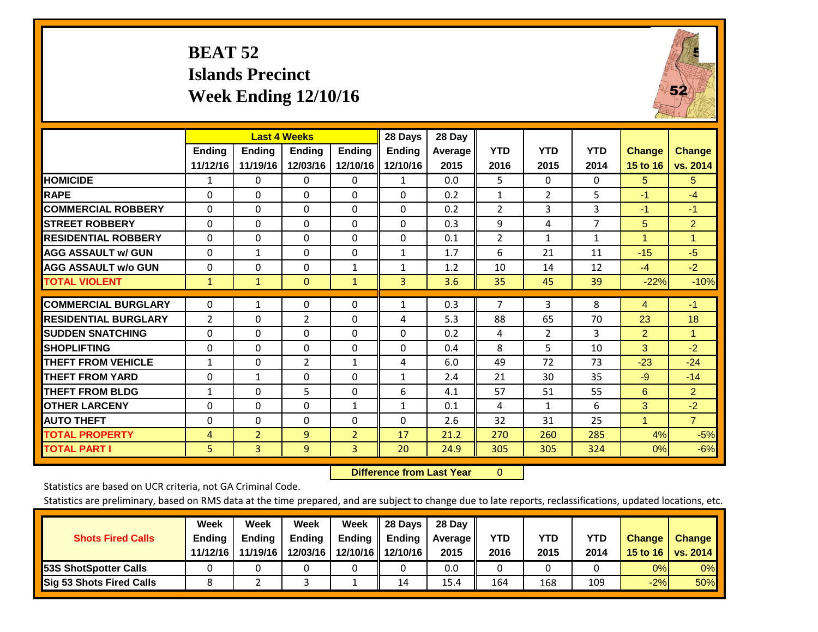# **BEAT 52 Islands Precinct Week Ending 12/10/16**



|                              |                           |                           | <b>Last 4 Weeks</b>       |                           | 28 Days                   | 28 Day          |                    |                    |                    |                           |                           |
|------------------------------|---------------------------|---------------------------|---------------------------|---------------------------|---------------------------|-----------------|--------------------|--------------------|--------------------|---------------------------|---------------------------|
|                              | <b>Ending</b><br>11/12/16 | <b>Endina</b><br>11/19/16 | <b>Endina</b><br>12/03/16 | <b>Endina</b><br>12/10/16 | <b>Endina</b><br>12/10/16 | Average<br>2015 | <b>YTD</b><br>2016 | <b>YTD</b><br>2015 | <b>YTD</b><br>2014 | <b>Change</b><br>15 to 16 | <b>Change</b><br>vs. 2014 |
| <b>HOMICIDE</b>              | 1                         | 0                         | 0                         | 0                         | $\mathbf{1}$              | 0.0             | 5                  | $\Omega$           | 0                  | 5                         | 5                         |
| <b>RAPE</b>                  | 0                         | 0                         | $\Omega$                  | $\Omega$                  | $\Omega$                  | 0.2             | $\mathbf{1}$       | $\overline{2}$     | 5                  | $-1$                      | $-4$                      |
| <b>COMMERCIAL ROBBERY</b>    | $\Omega$                  | 0                         | $\Omega$                  | $\Omega$                  | $\Omega$                  | 0.2             | $\overline{2}$     | 3                  | 3                  | $-1$                      | $-1$                      |
| <b>STREET ROBBERY</b>        | $\Omega$                  | $\Omega$                  | $\Omega$                  | $\Omega$                  | $\Omega$                  | 0.3             | 9                  | 4                  | 7                  | 5                         | $\overline{2}$            |
| <b>RESIDENTIAL ROBBERY</b>   | $\Omega$                  | 0                         | $\Omega$                  | $\Omega$                  | $\Omega$                  | 0.1             | $\overline{2}$     | $\mathbf{1}$       | $\mathbf{1}$       | 4                         | 1                         |
| <b>AGG ASSAULT w/ GUN</b>    | $\Omega$                  | $\mathbf{1}$              | $\Omega$                  | $\mathbf{0}$              | $\mathbf{1}$              | 1.7             | 6                  | 21                 | 11                 | $-15$                     | $-5$                      |
| <b>AGG ASSAULT w/o GUN</b>   | $\Omega$                  | 0                         | $\Omega$                  | $\mathbf 1$               | $\mathbf{1}$              | 1.2             | 10                 | 14                 | 12                 | $-4$                      | $-2$                      |
| <b>TOTAL VIOLENT</b>         | $\mathbf{1}$              | $\mathbf{1}$              | $\mathbf{0}$              | $\mathbf{1}$              | 3                         | 3.6             | 35                 | 45                 | 39                 | $-22%$                    | $-10%$                    |
| <b>COMMERCIAL BURGLARY</b>   | $\Omega$                  | 1                         | 0                         | $\mathbf{0}$              | $\mathbf{1}$              | 0.3             | $\overline{7}$     | 3                  | 8                  | 4                         | $-1$                      |
| <b>IRESIDENTIAL BURGLARY</b> | 2                         | 0                         | $\overline{2}$            | $\mathbf{0}$              | 4                         | 5.3             | 88                 | 65                 | 70                 | 23                        | 18                        |
| <b>ISUDDEN SNATCHING</b>     | $\Omega$                  | 0                         | $\Omega$                  | $\Omega$                  | $\Omega$                  | 0.2             | 4                  | $\overline{2}$     | 3                  | $\overline{2}$            | 1                         |
| <b>SHOPLIFTING</b>           | $\Omega$                  | $\Omega$                  | $\Omega$                  | $\mathbf{0}$              | $\Omega$                  | 0.4             | 8                  | 5                  | 10                 | 3 <sup>1</sup>            | $-2$                      |
| <b>THEFT FROM VEHICLE</b>    | $\mathbf{1}$              | 0                         | 2                         | $\mathbf{1}$              | 4                         | 6.0             | 49                 | 72                 | 73                 | $-23$                     | $-24$                     |
| <b>THEFT FROM YARD</b>       | $\Omega$                  | $\mathbf{1}$              | $\Omega$                  | $\Omega$                  | $\mathbf{1}$              | 2.4             | 21                 | 30                 | 35                 | $-9$                      | $-14$                     |
| <b>THEFT FROM BLDG</b>       | 1                         | 0                         | 5                         | $\Omega$                  | 6                         | 4.1             | 57                 | 51                 | 55                 | 6                         | $\overline{2}$            |
| <b>OTHER LARCENY</b>         | 0                         | $\Omega$                  | $\Omega$                  | $\mathbf{1}$              | $\mathbf{1}$              | 0.1             | 4                  | $\mathbf{1}$       | 6                  | 3                         | $-2$                      |
| <b>AUTO THEFT</b>            | $\Omega$                  | $\Omega$                  | $\Omega$                  | $\mathbf{0}$              | $\Omega$                  | 2.6             | 32                 | 31                 | 25                 | 1                         | $\overline{7}$            |
| <b>TOTAL PROPERTY</b>        | 4                         | $\overline{2}$            | 9                         | $\overline{2}$            | 17                        | 21.2            | 270                | 260                | 285                | 4%                        | $-5%$                     |
| <b>TOTAL PART I</b>          | 5.                        | 3                         | $\overline{9}$            | $\overline{3}$            | 20                        | 24.9            | 305                | 305                | 324                | 0%                        | $-6%$                     |

 **Difference from Last Year**r 0

Statistics are based on UCR criteria, not GA Criminal Code.

|                                 | Week          | Week          | Week          | Week | II 28 Davs                | 28 Day         |      |            |      |               |               |
|---------------------------------|---------------|---------------|---------------|------|---------------------------|----------------|------|------------|------|---------------|---------------|
| <b>Shots Fired Calls</b>        | <b>Ending</b> | <b>Endina</b> | <b>Ending</b> |      | Ending $\parallel$ Ending | <b>Average</b> | YTD  | <b>YTD</b> | YTD  | <b>Change</b> | <b>Change</b> |
|                                 | 11/12/16      | 11/19/16      | 12/03/16      |      | 12/10/16 12/10/16         | 2015           | 2016 | 2015       | 2014 | 15 to 16      | vs. $2014$    |
| <b>153S ShotSpotter Calls</b>   |               |               |               |      |                           | 0.0            |      |            |      | 0%            | $0\%$         |
| <b>Sig 53 Shots Fired Calls</b> |               |               |               |      | 14                        | 15.4           | 164  | 168        | 109  | $-2%$         | <b>50%</b>    |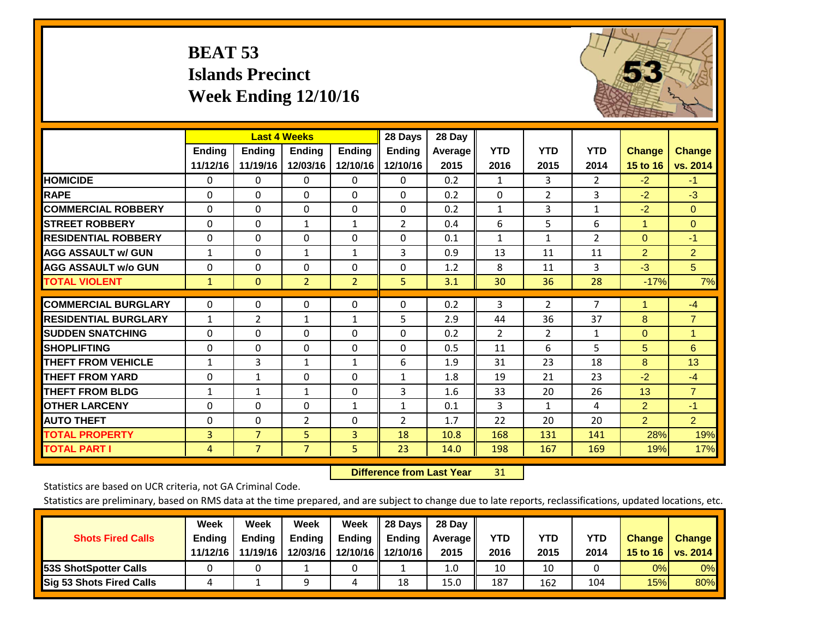# **BEAT 53 Islands Precinct Week Ending 12/10/16**



|                             |              | <b>Last 4 Weeks</b> |                |                | 28 Days        | 28 Day  |              |                |                |                |                |
|-----------------------------|--------------|---------------------|----------------|----------------|----------------|---------|--------------|----------------|----------------|----------------|----------------|
|                             | Ending       | Ending              | <b>Ending</b>  | <b>Endina</b>  | <b>Ending</b>  | Average | <b>YTD</b>   | <b>YTD</b>     | <b>YTD</b>     | <b>Change</b>  | <b>Change</b>  |
|                             | 11/12/16     | 11/19/16            | 12/03/16       | 12/10/16       | 12/10/16       | 2015    | 2016         | 2015           | 2014           | 15 to 16       | vs. 2014       |
| <b>HOMICIDE</b>             | 0            | 0                   | 0              | 0              | $\Omega$       | 0.2     | 1            | 3              | $\overline{2}$ | $-2$           | $-1$           |
| <b>RAPE</b>                 | $\Omega$     | 0                   | $\Omega$       | 0              | 0              | 0.2     | $\Omega$     | $\overline{2}$ | 3              | $-2$           | $-3$           |
| <b>COMMERCIAL ROBBERY</b>   | $\Omega$     | $\Omega$            | $\mathbf{0}$   | $\Omega$       | $\Omega$       | 0.2     | 1            | 3              | $\mathbf{1}$   | $-2$           | $\mathbf{0}$   |
| <b>STREET ROBBERY</b>       | $\Omega$     | $\Omega$            | 1              | $\mathbf{1}$   | $\overline{2}$ | 0.4     | 6            | 5              | 6              | 1              | $\Omega$       |
| <b>RESIDENTIAL ROBBERY</b>  | $\Omega$     | $\Omega$            | 0              | $\Omega$       | $\Omega$       | 0.1     | $\mathbf{1}$ | 1              | $\overline{2}$ | $\mathbf{0}$   | $-1$           |
| <b>AGG ASSAULT w/ GUN</b>   | 1            | $\Omega$            | 1              | 1              | 3              | 0.9     | 13           | 11             | 11             | $\overline{2}$ | $\overline{2}$ |
| <b>AGG ASSAULT w/o GUN</b>  | 0            | $\Omega$            | 0              | 0              | $\Omega$       | 1.2     | 8            | 11             | 3              | $-3$           | 5 <sup>5</sup> |
| <b>TOTAL VIOLENT</b>        | $\mathbf{1}$ | $\mathbf{0}$        | $\overline{2}$ | $\overline{2}$ | 5              | 3.1     | 30           | 36             | 28             | $-17%$         | 7%             |
|                             |              |                     |                |                |                |         |              |                | $\overline{7}$ | 1              |                |
| <b>COMMERCIAL BURGLARY</b>  | $\Omega$     | 0                   | $\mathbf 0$    | 0              | $\Omega$       | 0.2     | 3            | $\overline{2}$ |                |                | $-4$           |
| <b>RESIDENTIAL BURGLARY</b> | 1            | 2                   | 1              | 1              | 5              | 2.9     | 44           | 36             | 37             | 8              | $\overline{7}$ |
| <b>SUDDEN SNATCHING</b>     | $\Omega$     | 0                   | $\Omega$       | 0              | 0              | 0.2     | 2            | $\overline{2}$ | 1              | $\Omega$       | $\mathbf{1}$   |
| <b>SHOPLIFTING</b>          | $\Omega$     | $\Omega$            | $\Omega$       | $\Omega$       | 0              | 0.5     | 11           | 6              | 5              | 5              | 6              |
| <b>THEFT FROM VEHICLE</b>   | 1            | 3                   | 1              | $\mathbf{1}$   | 6              | 1.9     | 31           | 23             | 18             | 8              | 13             |
| <b>THEFT FROM YARD</b>      | 0            | 1                   | $\Omega$       | $\Omega$       | $\mathbf{1}$   | 1.8     | 19           | 21             | 23             | $-2$           | $-4$           |
| <b>THEFT FROM BLDG</b>      | 1            | 1                   | 1              | 0              | 3              | 1.6     | 33           | 20             | 26             | 13             | $\overline{7}$ |
| <b>OTHER LARCENY</b>        | $\Omega$     | $\Omega$            | $\Omega$       | 1              | $\mathbf{1}$   | 0.1     | 3            | 1              | 4              | $\overline{2}$ | $-1$           |
| <b>AUTO THEFT</b>           | 0            | $\Omega$            | $\overline{2}$ | $\Omega$       | 2              | 1.7     | 22           | 20             | 20             | $\overline{2}$ | $\overline{2}$ |
| <b>TOTAL PROPERTY</b>       | 3            | $\overline{7}$      | 5              | 3              | 18             | 10.8    | 168          | 131            | 141            | 28%            | 19%            |
| <b>TOTAL PART I</b>         | 4            | $\overline{7}$      | $\overline{7}$ | 5.             | 23             | 14.0    | 198          | 167            | 169            | 19%            | 17%            |

 **Difference from Last Year**r 31

Statistics are based on UCR criteria, not GA Criminal Code.

| <b>Shots Fired Calls</b>        | Week<br><b>Ending</b><br>11/12/16 | Week<br><b>Endina</b><br>11/19/16 | <b>Week</b><br>Ending<br>12/03/16 | Week<br>Ending | 28 Days<br><b>Ending</b><br>12/10/16   12/10/16 | 28 Day<br>Average II<br>2015 | YTD<br>2016 | YTD<br>2015 | <b>YTD</b><br>2014 | <b>Change</b><br>15 to 16 | <b>Change</b><br>vs. 2014 |
|---------------------------------|-----------------------------------|-----------------------------------|-----------------------------------|----------------|-------------------------------------------------|------------------------------|-------------|-------------|--------------------|---------------------------|---------------------------|
| <b>153S ShotSpotter Calls</b>   |                                   |                                   |                                   |                |                                                 | 1.0                          | 10          | 10          |                    | 0%                        | 0%                        |
| <b>Sig 53 Shots Fired Calls</b> |                                   |                                   |                                   |                | 18                                              | 15.0                         | 187         | 162         | 104                | 15%                       | 80%                       |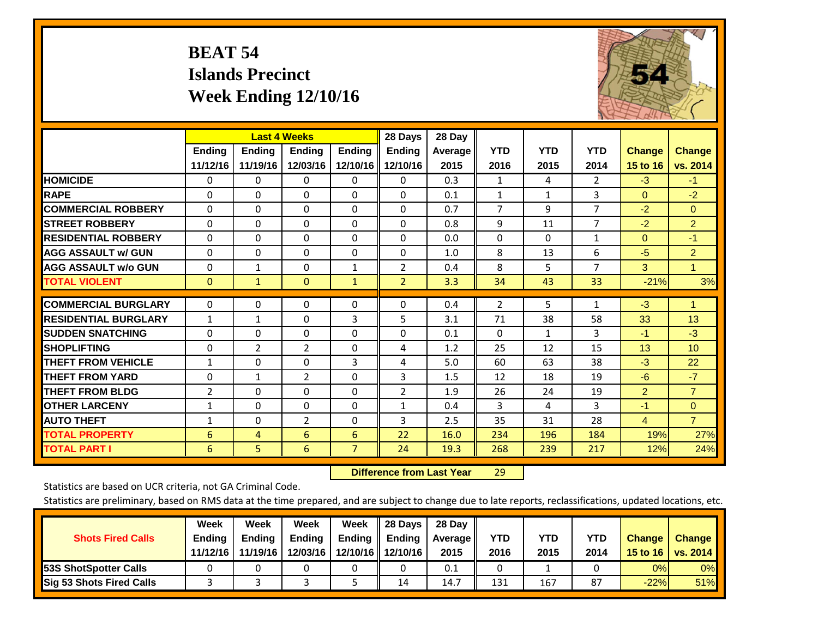# **BEAT 54 Islands Precinct Week Ending 12/10/16**



|                             | <b>Last 4 Weeks</b> |                |                |                | 28 Days        | 28 Day  |                |            |                |                |                |
|-----------------------------|---------------------|----------------|----------------|----------------|----------------|---------|----------------|------------|----------------|----------------|----------------|
|                             | <b>Ending</b>       | Ending         | <b>Endina</b>  | <b>Ending</b>  | <b>Ending</b>  | Average | <b>YTD</b>     | <b>YTD</b> | <b>YTD</b>     | <b>Change</b>  | <b>Change</b>  |
|                             | 11/12/16            | 11/19/16       | 12/03/16       | 12/10/16       | 12/10/16       | 2015    | 2016           | 2015       | 2014           | 15 to 16       | vs. 2014       |
| <b>HOMICIDE</b>             | 0                   | 0              | 0              | 0              | $\Omega$       | 0.3     | 1              | 4          | 2              | $-3$           | $-1$           |
| <b>RAPE</b>                 | $\Omega$            | 0              | $\Omega$       | $\Omega$       | 0              | 0.1     | 1              | 1          | 3              | $\mathbf{0}$   | $-2$           |
| <b>COMMERCIAL ROBBERY</b>   | $\Omega$            | 0              | $\Omega$       | 0              | 0              | 0.7     | $\overline{7}$ | 9          | $\overline{7}$ | $-2$           | $\Omega$       |
| <b>STREET ROBBERY</b>       | 0                   | 0              | 0              | 0              | 0              | 0.8     | 9              | 11         | $\overline{7}$ | $-2$           | $\overline{2}$ |
| <b>RESIDENTIAL ROBBERY</b>  | $\Omega$            | $\Omega$       | $\Omega$       | $\Omega$       | $\Omega$       | 0.0     | $\mathbf{0}$   | $\Omega$   | $\mathbf{1}$   | $\mathbf{0}$   | $-1$           |
| <b>AGG ASSAULT w/ GUN</b>   | $\Omega$            | $\Omega$       | $\mathbf{0}$   | $\Omega$       | $\Omega$       | 1.0     | 8              | 13         | 6              | $-5$           | $\overline{2}$ |
| <b>AGG ASSAULT w/o GUN</b>  | $\Omega$            | $\mathbf{1}$   | $\Omega$       | $\mathbf{1}$   | $\overline{2}$ | 0.4     | 8              | 5          | $\overline{7}$ | 3              | $\mathbf{1}$   |
| <b>TOTAL VIOLENT</b>        | $\mathbf{0}$        | $\mathbf{1}$   | $\mathbf{0}$   | $\mathbf{1}$   | $\overline{2}$ | 3.3     | 34             | 43         | 33             | $-21%$         | 3%             |
| <b>COMMERCIAL BURGLARY</b>  | 0                   | 0              | 0              | 0              | 0              | 0.4     | 2              | 5          | 1              | $-3$           | 1              |
| <b>RESIDENTIAL BURGLARY</b> | $\mathbf{1}$        | 1              | $\Omega$       | 3              | 5              | 3.1     | 71             | 38         | 58             | 33             | 13             |
| <b>ISUDDEN SNATCHING</b>    | 0                   | 0              | 0              | $\Omega$       | 0              | 0.1     | $\Omega$       | 1          | 3              | $-1$           | $-3$           |
| <b>SHOPLIFTING</b>          | 0                   | $\overline{2}$ | $\overline{2}$ | 0              | 4              | 1.2     | 25             | 12         | 15             | 13             | 10             |
| <b>THEFT FROM VEHICLE</b>   | $\mathbf{1}$        | $\Omega$       | $\Omega$       | 3              | 4              | 5.0     | 60             | 63         | 38             | $-3$           | 22             |
| <b>THEFT FROM YARD</b>      | 0                   | $\mathbf{1}$   | $\overline{2}$ | $\Omega$       | 3              | 1.5     | 12             | 18         | 19             | $-6$           | $-7$           |
| <b>THEFT FROM BLDG</b>      | 2                   | $\Omega$       | $\Omega$       | 0              | 2              | 1.9     | 26             | 24         | 19             | $\overline{2}$ | $\overline{7}$ |
| <b>OTHER LARCENY</b>        | 1                   | $\Omega$       | $\mathbf 0$    | 0              | $\mathbf{1}$   | 0.4     | 3              | 4          | 3              | $-1$           | $\overline{0}$ |
| <b>AUTO THEFT</b>           | $\mathbf{1}$        | $\Omega$       | $\overline{2}$ | $\Omega$       | 3              | 2.5     | 35             | 31         | 28             | $\overline{4}$ | $\overline{7}$ |
| <b>TOTAL PROPERTY</b>       | 6                   | $\overline{4}$ | 6              | 6              | 22             | 16.0    | 234            | 196        | 184            | 19%            | 27%            |
| <b>TOTAL PART I</b>         | 6                   | 5.             | 6              | $\overline{7}$ | 24             | 19.3    | 268            | 239        | 217            | 12%            | 24%            |

 **Difference from Last Year**r 29

Statistics are based on UCR criteria, not GA Criminal Code.

| <b>Shots Fired Calls</b>        | Week<br><b>Ending</b><br>11/12/16 | Week<br><b>Endina</b><br>11/19/16 | Week<br>Ending<br>12/03/16 | Week<br>Ending | 28 Days<br><b>Ending</b><br>12/10/16 12/10/16 | 28 Day<br>Average II<br>2015 | YTD<br>2016 | YTD<br>2015 | <b>YTD</b><br>2014 | <b>Change</b><br>15 to $16$ | <b>Change</b><br>vs. 2014 |
|---------------------------------|-----------------------------------|-----------------------------------|----------------------------|----------------|-----------------------------------------------|------------------------------|-------------|-------------|--------------------|-----------------------------|---------------------------|
| <b>153S ShotSpotter Calls</b>   |                                   |                                   |                            |                |                                               | 0.1                          |             |             |                    | 0%                          | 0%                        |
| <b>Sig 53 Shots Fired Calls</b> |                                   |                                   |                            |                | 14                                            | 14.7                         | 131         | 167         | 87                 | $-22%$                      | 51%                       |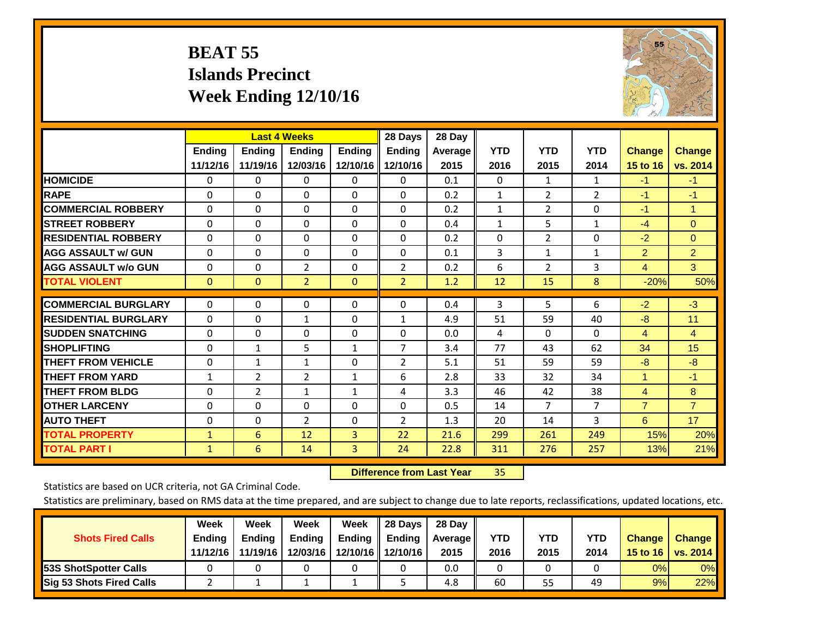# **BEAT 55 Islands Precinct Week Ending 12/10/16**



|                             | <b>Last 4 Weeks</b> |                |                |               | 28 Days        | 28 Day  |              |                |                |                      |                |
|-----------------------------|---------------------|----------------|----------------|---------------|----------------|---------|--------------|----------------|----------------|----------------------|----------------|
|                             | <b>Ending</b>       | <b>Ending</b>  | <b>Endina</b>  | <b>Ending</b> | <b>Ending</b>  | Average | <b>YTD</b>   | <b>YTD</b>     | <b>YTD</b>     | <b>Change</b>        | <b>Change</b>  |
|                             | 11/12/16            | 11/19/16       | 12/03/16       | 12/10/16      | 12/10/16       | 2015    | 2016         | 2015           | 2014           | 15 to 16             | vs. 2014       |
| <b>HOMICIDE</b>             | 0                   | 0              | $\Omega$       | 0             | 0              | 0.1     | $\mathbf{0}$ | $\mathbf{1}$   | 1              | $-1$                 | $-1$           |
| <b>RAPE</b>                 | 0                   | $\Omega$       | $\Omega$       | $\Omega$      | $\Omega$       | 0.2     | 1            | $\overline{2}$ | $\overline{2}$ | $-1$                 | $-1$           |
| <b>COMMERCIAL ROBBERY</b>   | $\Omega$            | 0              | $\Omega$       | 0             | $\Omega$       | 0.2     | $\mathbf{1}$ | 2              | 0              | $-1$                 | 1              |
| <b>ISTREET ROBBERY</b>      | $\Omega$            | $\Omega$       | $\Omega$       | $\Omega$      | $\Omega$       | 0.4     | $\mathbf{1}$ | 5              | $\mathbf{1}$   | $-4$                 | $\Omega$       |
| <b>RESIDENTIAL ROBBERY</b>  | $\Omega$            | $\Omega$       | $\Omega$       | $\mathbf{0}$  | $\Omega$       | 0.2     | $\Omega$     | 2              | 0              | $-2$                 | $\Omega$       |
| <b>AGG ASSAULT w/ GUN</b>   | $\Omega$            | $\Omega$       | $\Omega$       | $\Omega$      | $\Omega$       | 0.1     | 3            | 1              | 1              | $\overline{2}$       | $\overline{2}$ |
| <b>AGG ASSAULT w/o GUN</b>  | 0                   | 0              | $\overline{2}$ | 0             | $\overline{2}$ | 0.2     | 6            | 2              | 3              | 4                    | 3              |
| <b>TOTAL VIOLENT</b>        | $\Omega$            | $\Omega$       | $\overline{2}$ | $\mathbf{0}$  | $\overline{2}$ | 1.2     | 12           | 15             | 8              | $-20%$               | 50%            |
| <b>COMMERCIAL BURGLARY</b>  | $\Omega$            | $\Omega$       | 0              | 0             | $\Omega$       | 0.4     | 3            | 5              | 6              | $-2$                 | $-3$           |
|                             |                     |                |                |               |                |         |              |                |                |                      |                |
| <b>RESIDENTIAL BURGLARY</b> | $\Omega$            | 0              | $\mathbf{1}$   | $\mathbf{0}$  | 1              | 4.9     | 51           | 59             | 40             | -8                   | 11             |
| <b>SUDDEN SNATCHING</b>     | $\Omega$            | 0              | $\mathbf{0}$   | $\mathbf{0}$  | $\Omega$       | 0.0     | 4            | $\Omega$       | $\Omega$       | 4                    | 4              |
| <b>SHOPLIFTING</b>          | $\Omega$            | $\mathbf{1}$   | 5              | $\mathbf{1}$  | 7              | 3.4     | 77           | 43             | 62             | 34                   | 15             |
| <b>THEFT FROM VEHICLE</b>   | $\Omega$            | $\mathbf{1}$   | $\mathbf{1}$   | 0             | 2              | 5.1     | 51           | 59             | 59             | $-8$                 | $-8$           |
| <b>THEFT FROM YARD</b>      | 1                   | $\overline{2}$ | 2              | 1             | 6              | 2.8     | 33           | 32             | 34             | $\blacktriangleleft$ | $-1$           |
| <b>THEFT FROM BLDG</b>      | $\Omega$            | $\overline{2}$ | $\mathbf{1}$   | $\mathbf{1}$  | 4              | 3.3     | 46           | 42             | 38             | 4                    | 8              |
| <b>OTHER LARCENY</b>        | $\Omega$            | 0              | $\Omega$       | $\Omega$      | $\Omega$       | 0.5     | 14           | $\overline{7}$ | $\overline{7}$ | $\overline{7}$       | $\overline{7}$ |
| <b>AUTO THEFT</b>           | 0                   | 0              | $\overline{2}$ | 0             | 2              | 1.3     | 20           | 14             | 3              | 6                    | 17             |
| <b>TOTAL PROPERTY</b>       | $\mathbf{1}$        | 6              | 12             | 3             | 22             | 21.6    | 299          | 261            | 249            | 15%                  | 20%            |
| <b>TOTAL PART I</b>         | $\mathbf{1}$        | 6              | 14             | 3             | 24             | 22.8    | 311          | 276            | 257            | 13%                  | 21%            |

 **Difference from Last Year**r 35

Statistics are based on UCR criteria, not GA Criminal Code.

| <b>Shots Fired Calls</b>        | Week<br><b>Ending</b><br>11/12/16 | Week<br><b>Endina</b><br>11/19/16 | Week<br>Ending<br>12/03/16 | Week<br>Ending | 28 Days<br><b>Ending</b><br>12/10/16 12/10/16 | 28 Day<br>Average II<br>2015 | YTD<br>2016 | YTD<br>2015 | <b>YTD</b><br>2014 | <b>Change</b><br>15 to $16$ | <b>Change</b><br>vs. 2014 |
|---------------------------------|-----------------------------------|-----------------------------------|----------------------------|----------------|-----------------------------------------------|------------------------------|-------------|-------------|--------------------|-----------------------------|---------------------------|
| <b>153S ShotSpotter Calls</b>   |                                   |                                   |                            |                |                                               | 0.0                          |             |             |                    | 0%                          | 0%                        |
| <b>Sig 53 Shots Fired Calls</b> |                                   |                                   |                            |                |                                               | 4.8                          | 60          | 55          | 49                 | 9%                          | 22%                       |